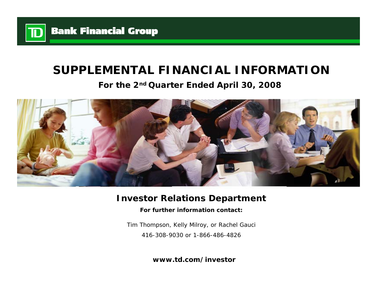

# **SUPPLEMENTAL FINANCIAL INFORMATION**

**For the 2nd Quarter Ended April 30, 2008**



# **Investor Relations Department**

**For further information contact:**

Tim Thompson, Kelly Milroy, or Rachel Gauci 416-308-9030 or 1-866-486-4826

**www.td.com/investor**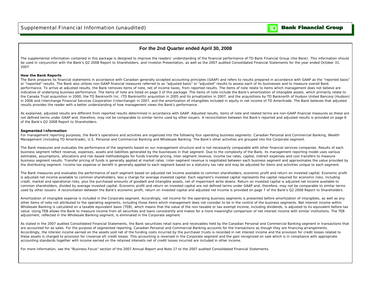

## **For the 2nd Quarter ended April 30, 2008**

The supplemental information contained in this package is designed to improve the readers' understanding of the financial performance of TD Bank Financial Group (the Bank). This information should be used in conjunction with the Bank's Q2 2008 Report to Shareholders, and Investor Presentation, as well as the 2007 audited Consolidated Financial Statements for the year ended October 31, 2007.

#### **How the Bank Reports**

The Bank prepares its financial statements in accordance with Canadian generally accepted accounting principles (GAAP) and refers to results prepared in accordance with GAAP as the "reported basis" or "reported" results. The Bank also utilizes non-GAAP financial measures referred to as "adjusted basis" or "adjusted" results to assess each of its businesses and to measure overall Bank performance. To arrive at adjusted results, the Bank removes items of note, net of income taxes, from reported results. The items of note relate to items which management does not believe are indicative of underlying business performance. The items of note are listed on page 3 of this package. The items of note include the Bank's amortization of intangible assets, which primarily relate to the Canada Trust acquisition in 2000, the TD Banknorth Inc. (TD Banknorth) acquisition in 2005 and its privatization in 2007, and the acquisitions by TD Banknorth of Hudson United Bancorp (Hudson) in 2006 and Interchange Financial Services Corporation (Interchange) in 2007, and the amortization of intangibles included in equity in net income of TD Ameritrade. The Bank believes that adjusted results provides the reader with a better understanding of how management views the Bank's performance.

As explained, adjusted results are different from reported results determined in accordance with GAAP. Adjusted results, items of note and related terms are non-GAAP financial measures as these are not defined terms under GAAP and, therefore, may not be comparable to similar terms used by other issuers. A reconciliation between the Bank's reported and adjusted results is provided on page 6 of the Bank's Q2 2008 Report to Shareholders.

#### **Segmented Information**

For management reporting purposes, the Bank's operations and activities are organized into the following four operating business segments: Canadian Personal and Commercial Banking, Wealth Management (including TD Ameritrade), U.S. Personal and Commercial Banking and Wholesale Banking. The Bank's other activities are grouped into the Corporate segment.

The Bank measures and evaluates the performance of the segments based on our management structure and is not necessarily comparable with other financial services companies. Results of each business segment reflect revenue, expenses, assets and liabilities generated by the businesses in that segment. Due to the complexity of the Bank, its management reporting model uses various estimates, assumptions, allocations and risk-based methodologies for funds transfer pricing, inter-segment revenue, income tax rates, capital, indirect expenses and cost transfers to measure business segment results. Transfer pricing of funds is generally applied at market rates. Inter-segment revenue is negotiated between each business segment and approximates the value provided by the distributing segment. Income tax expense or benefit is generally applied to each segment based on a statutory tax rate and may be adjusted for items and activities unique to each segment.

The Bank measures and evaluates the performance of each segment based on adjusted net income available to common shareholders, economic profit and return on invested capital. Economic profit is adjusted net income available to common shareholders, less a charge for average invested capital. Each segment's invested capital represents the capital required for economic risks, including credit, market and operational risks, plus the purchased amounts of goodwill and intangible assets, net of impairment write downs. Return on invested capital is adjusted net income available to common shareholders, divided by average invested capital. Economic profit and return on invested capital are not defined terms under GAAP and, therefore, may not be comparable to similar terms used by other issuers. A reconciliation between the Bank's economic profit, return on invested capital and adjusted net income is provided on page 7 of the Bank's Q2 2008 Report to Shareholders.

Amortization of intangible expense is included in the Corporate segment. Accordingly, net income for the operating business segments is presented before amortization of intangibles, as well as any other items of note not attributed to the operating segments, including those items which management does not consider to be in the control of the business segments. Net interest income within Wholesale Banking is calculated on a taxable equivalent basis (TEB), which means that the value of the non-taxable or tax-exempt income, including dividends, is adjusted to its equivalent before-tax value. Using TEB allows the Bank to measure income from all securities and loans consistently and makes for a more meaningful comparison of net interest income with similar institutions. The TEB adjustment, reflected in the Wholesale Banking segment, is eliminated in the Corporate segment.

As stated in the 2007 audited Consolidated Financial Statements, the Bank securitizes retail loans and receivables held by the Canadian Personal and Commercial Banking segment in transactions that are accounted for as sales. For the purpose of segmented reporting, Canadian Personal and Commercial Banking accounts for the transactions as though they are financing arrangements. Accordingly, the interest income earned on the assets sold net of the funding costs incurred by the purchaser trusts is recorded in net interest income and the provision for credit losses related to these assets is charged to provision for (reversal of) credit losses. This accounting is reversed in the Corporate segment and the gain recognized on sale which is in compliance with appropriate accounting standards together with income earned on the retained interests net of credit losses incurred are included in other income.

For more information, see the "Business Focus" section of the 2007 Annual Report and Note 27 to the 2007 audited Consolidated Financial Statements.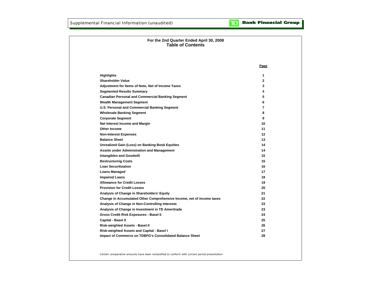| For the 2nd Quarter Ended April 30, 2008<br><b>Table of Contents</b>  |              |
|-----------------------------------------------------------------------|--------------|
|                                                                       |              |
|                                                                       |              |
|                                                                       | Page         |
| <b>Highlights</b>                                                     | 1            |
| <b>Shareholder Value</b>                                              | $\mathbf{2}$ |
| Adjustment for Items of Note, Net of Income Taxes                     | 3            |
| <b>Segmented Results Summary</b>                                      | 4            |
| <b>Canadian Personal and Commercial Banking Segment</b>               | 5            |
| <b>Wealth Management Segment</b>                                      | 6            |
| U.S. Personal and Commercial Banking Segment                          | 7            |
| <b>Wholesale Banking Segment</b>                                      | 8            |
| <b>Corporate Segment</b>                                              | 9            |
| Net Interest Income and Margin                                        | 10           |
| <b>Other Income</b>                                                   | 11           |
| <b>Non-Interest Expenses</b>                                          | 12           |
| <b>Balance Sheet</b>                                                  | 13           |
| <b>Unrealized Gain (Loss) on Banking Book Equities</b>                | 14           |
| <b>Assets under Administration and Management</b>                     | 14           |
| <b>Intangibles and Goodwill</b>                                       | 15           |
| <b>Restructuring Costs</b>                                            | 15           |
| <b>Loan Securitization</b>                                            | 16           |
| <b>Loans Managed</b>                                                  | 17           |
| <b>Impaired Loans</b>                                                 | 18           |
| <b>Allowance for Credit Losses</b>                                    | 19           |
| <b>Provision for Credit Losses</b>                                    | 20           |
| Analysis of Change in Shareholders' Equity                            | 21           |
| Change in Accumulated Other Comprehensive Income, net of income taxes | 22           |
| Analysis of Change in Non-Controlling Interests                       | 23           |
| Analysis of Change in Investment in TD Ameritrade                     | 23           |
| Gross Credit Risk Exposures - Basel II                                | 24           |
| Capital - Basel II                                                    | 25           |
| Risk-weighted Assets - Basel II                                       | 26           |
| Risk-weighted Assets and Capital - Basel I                            | 27           |
| Impact of Commerce on TDBFG's Consolidated Balance Sheet              | 28           |
|                                                                       |              |
|                                                                       |              |

Certain comparative amounts have been reclassified to conform with current period presentation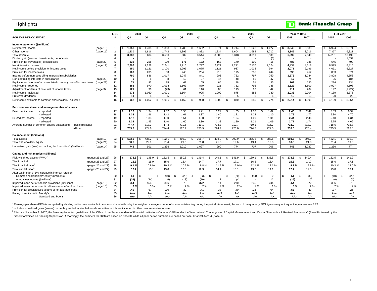| <b>LINE</b><br>2008<br>2007<br>2006<br>Year to Date<br>Q <sub>2</sub><br><b>FOR THE PERIOD ENDED</b><br>Q <sub>2</sub><br>Q1<br>Q4<br>Q <sub>3</sub><br>Q <sub>2</sub><br>Q1<br>Q <sub>4</sub><br>Q3<br>2008<br>2007<br>#                              | <b>Full Year</b><br>2007<br>2006 |
|--------------------------------------------------------------------------------------------------------------------------------------------------------------------------------------------------------------------------------------------------------|----------------------------------|
|                                                                                                                                                                                                                                                        |                                  |
|                                                                                                                                                                                                                                                        |                                  |
| Income statement (\$millions)                                                                                                                                                                                                                          |                                  |
| 1,788<br>1,808<br>1,662<br>1,671<br>1.714<br>1,623<br>1,427<br>3,646<br>3,333<br>Net interest income<br>1,858<br>\$.<br>\$.<br>1,783<br>\$<br>-S<br>S.<br>(page 10)<br>$\overline{1}$<br>\$.<br>\$.<br>\$.<br>-S<br>\$.                                | 6,924<br>6,371<br>-S             |
| $\overline{2}$<br>1,530<br>1,742<br>1,899<br>1,882<br>1,604<br>1,688<br>3,346<br>1,816<br>1,834<br>1,712<br>3,716<br>Other income<br>(page 11)                                                                                                         | 7,357<br>6,821                   |
| 3,550<br>3.682<br>3.544<br>3.388<br>3,604<br>3,505<br>3,318<br>3,311<br>3,139<br>6.992<br>7,049<br>Total revenue<br>3                                                                                                                                  | 14,281<br>13,192                 |
| Dilution gain (loss) on investments, net of costs<br>(5)<br>$\overline{4}$<br>$\overline{\phantom{a}}$<br>÷.                                                                                                                                           | 1,559                            |
| 232<br>255<br>139<br>171<br>172<br>163<br>170<br>109<br>487<br>335<br>$\overline{5}$<br>16<br>Provision for (reversal of) credit losses<br>(page 20)                                                                                                   | 645<br>409                       |
| 2,228<br>6<br>2,206<br>2,241<br>2,216<br>2,297<br>2,221<br>2,211<br>2,170<br>2,124<br>4,434<br>4,518<br>Non-interest expenses<br>(page 12)                                                                                                             | 8,975<br>8,815                   |
| 950<br>937<br>1,032<br>994<br>2,071<br>1.121<br>1.170<br>1.295<br>1,075<br>1,121<br>2,196<br>Net income before provision for income taxes<br>$\overline{7}$                                                                                            | 4,661<br>5,527                   |
| 8<br>160<br>235<br>234<br>175<br>235<br>395<br>153<br>248<br>218<br>244<br>452<br>Provision for income taxes                                                                                                                                           | 853<br>874                       |
| 886<br>762<br>797<br>750<br>9<br>790<br>1.017<br>1.047<br>841<br>903<br>1,676<br>1.744<br>Income before non-controlling interests in subsidiaries                                                                                                      | 3.808<br>4.653                   |
| 48<br>52<br>17<br>10<br>8<br>8<br>13<br>27<br>47<br>47<br>74<br>Non-controlling interests in subsidiaries<br>(page 23)<br>9                                                                                                                            | 95<br>184                        |
| 92<br>65<br>48<br>51<br>35<br>11<br>71<br>85<br>69<br>65<br>163<br>130<br>Equity in net income of an associated company, net of income taxes<br>$(paqe$ 23)                                                                                            | 284<br>134                       |
| 852<br>1.094<br>762<br>796<br>738<br>12<br>970<br>1.103<br>879<br>921<br>1,822<br>1,800<br>Net income - reported                                                                                                                                       | 3.997<br>4,603                   |
| 90<br>13<br>121<br>90<br>88<br>113<br>42<br>211<br>204<br>Adjustment for items of note, net of income taxes<br>(page 3)<br>(73)<br>61<br>116                                                                                                           | 192<br>(1,227)                   |
| 14<br>973<br>1.060<br>1,021<br>1,164<br>995<br>1,009<br>875<br>886<br>780<br>2,033<br>2,004<br>Net income - adjusted                                                                                                                                   | 4,189<br>3,376                   |
| 15<br>11<br>5<br>5<br>6<br>19<br>Preferred dividends<br>8<br>$\mathcal{P}$<br>$\overline{7}$<br>6<br>6<br>13                                                                                                                                           | 20<br>22                         |
| 962<br>988<br>870<br>880<br>774<br>1.052<br>\$<br>1.016<br>\$<br>1.162<br>1,003<br>S.<br>2.014<br>s.<br>1,991<br>$\mathbf{s}$<br>16<br>\$<br>\$<br>S<br>Net income available to common shareholders - adjusted<br>£.<br>£.<br>\$.                      | 4.169<br>s.<br>3.354             |
| Per common share <sup>1</sup> and average number of shares                                                                                                                                                                                             |                                  |
| 17<br>1.12<br>1.34<br>1.52<br>1.53<br>\$<br>1.21<br>1.27<br>1.05<br>1.10<br>1.02<br>2.46<br>2.49<br>£.<br>£.<br>Basic net income<br>- reported                                                                                                         | 5.53<br>6.39<br>$\mathcal{S}$    |
| 1.33<br>1.46<br>1.42<br>1.61<br>1.37<br>1.40<br>1.21<br>1.22<br>2.79<br>2.77<br>- adjusted<br>18<br>1.10                                                                                                                                               | 5.80<br>4.70                     |
| 1.12<br>1.33<br>1.50<br>1.09<br>- reported<br>19<br>1.51<br>1.20<br>1.26<br>1.04<br>1.01<br>2.44<br>2.46<br>Diluted net income                                                                                                                         | 6.34<br>5.48                     |
| - adjusted<br>20<br>1.32<br>1.45<br>1.40<br>1.60<br>1.36<br>1.38<br>1.20<br>1.21<br>1.09<br>2.77<br>2.74                                                                                                                                               | 5.75<br>4.66                     |
| 21<br>747.7<br>718.3<br>717.3<br>718.3<br>719.7<br>719.1<br>715.7<br>732.9<br>718.7<br>Average number of common shares outstanding<br>719.5<br>719.1<br>- basic (millions)                                                                             | 718.6<br>716.8                   |
| 22<br>753.7<br>726.9<br>724.9<br>726.0<br>722.5<br>739.0<br>725.4<br>- diluted<br>724.6<br>724.4<br>725.9<br>724.7                                                                                                                                     | 725.5<br>723.0                   |
| <b>Balance sheet (\$billions)</b>                                                                                                                                                                                                                      |                                  |
| 23<br>503.6<br>435.2<br>422.1<br>403.9<br>396.7<br>408.2<br>392.9<br>385.8<br>388.6<br>503.6<br>396.7<br>(page 13)<br>\$.<br><b>Total assets</b><br>\$<br>-S<br>£.<br>-96                                                                              | 422.1<br>392.9<br>- \$           |
| 24<br>30.6<br>22.9<br>19.4<br>30.6<br>21.8<br>Total shareholders' equity<br>(page 21)<br>21.4<br>21.0<br>21.8<br>21.0<br>19.6<br>19.3                                                                                                                  | 21.4<br>19.6                     |
|                                                                                                                                                                                                                                                        |                                  |
| Unrealized gain (loss) on banking book equities ' (\$millions)<br>25<br>901<br>774<br>707<br>706<br>746<br>1.236<br>1.010<br>1.027<br>990<br>746<br>1,027<br>(page 14)                                                                                 | 774<br>1.236                     |
| Capital and risk metrics (\$billions)                                                                                                                                                                                                                  |                                  |
| 178.6<br>178.6<br>145.9<br>152.5<br>s.<br>150.8<br>\$<br>149.4<br>\$.<br>149.1<br>141.9<br>139.1<br>S.<br>135.8<br>$\mathbf{s}$<br>149.4<br>$\mathbf{\hat{S}}$<br>Risk-weighted assets (RWA) <sup>3</sup><br>(pages 26 and 27)<br>26<br>s.<br>£.<br>£. | 152.5<br>s.<br>141.9             |
| Tier 1 capital <sup>3</sup><br>27<br>16.3<br>15.9<br>15.6<br>15.4<br>14.7<br>17.7<br>17.1<br>16.8<br>16.4<br>16.3<br>14.7<br>(pages 25 and 27)                                                                                                         | 17.1<br>15.6                     |
| Tier 1 capital ratio <sup>3</sup><br>28<br>10.2%<br>12.0%<br>12.1%<br>(pages 25 and 27)<br>9.1%<br>10.9%<br>10.3%<br>9.8%<br>11.9%<br>12.1 %<br>9.1%<br>9.8%                                                                                           | 10.3%<br>12.0%                   |
| Total capital ratio <sup>3</sup><br>12.7<br>13.2<br>(pages 25 and 27)<br>29<br>13.0<br>13.3<br>12.3<br>13.1<br>14.1<br>12.7<br>12.3<br>15.1<br>14.1                                                                                                    | 13.0<br>13.1                     |
| After-tax impact of 1% increase in interest rates on                                                                                                                                                                                                   |                                  |
| 51<br>(33)<br>Common shareholders' equity (\$millions)<br>30<br>51<br>\$<br>(10)<br>$\mathcal{S}$<br>(20)<br>\$<br>(33)<br>5<br>(20)<br>(14)<br>$\overline{2}$<br>-S<br>-S<br>- \$<br>- \$<br>- \$<br>.S<br>S<br>$\overline{\phantom{a}}$              | (20)<br>(10)<br>- \$             |
| (26)<br>(18)<br>$\overline{2}$<br>12<br>(26)<br>(10)<br>31<br>(24)<br>(6)<br>(10)<br>(4)<br>Annual net income (\$millions)                                                                                                                             | (4)<br>(6)                       |
| 32<br>654<br>554<br>244<br>654<br>372<br>Impaired loans net of specific provisions (\$millions)<br>366<br>379<br>372<br>314<br>270<br>245<br>(page 18)                                                                                                 | 366<br>270                       |
| 33<br>Impaired loans net of specific allowance as a % of net loans<br>.2%<br>.2%<br>.2%<br>.3%<br>.2%<br>(page 18)<br>.3%<br>$.3\%$<br>$.2\%$<br>.2%<br>$.1\%$<br>.1%                                                                                  | $.2\%$<br>.2%                    |
| 34<br>.57<br>.30<br>.40<br>.26<br>.53<br>Provision for credit losses as a % of net average loans<br>.49<br>.39<br>.38<br>.04<br>.39<br>.41                                                                                                             | .37<br>.25                       |
| 35<br>Aa3<br>Aa3<br>Aa3<br>Aaa<br>Rating of senior debt: Moody's<br>Aaa<br>Aaa<br>Aaa<br>Aaa<br>Aa3<br>Aaa<br>Aaa                                                                                                                                      | Aa3<br>Aaa                       |
| 36<br>Standard and Poor's<br>AA-<br>AA-<br>AA-<br>AA-<br>AA-<br>AA-<br>AA-<br>A+<br>A+<br>$A+$<br>A+                                                                                                                                                   | AA-<br>A+                        |

<sup>1</sup> Earnings per share (EPS) is computed by dividing net income available to common shareholders by the weighted average number of shares outstanding during the period. As a result, the sum of the quarterly EPS figures may

 $<sup>2</sup>$  Includes unrealized gains (losses) on publicly traded available-for-sale securities which are included in other comprehensive income.</sup>

3 Effective November 1, 2007, the Bank implemented quidelines of the Office of the Superintendent of Financial Institutions Canada (OSFI) under the "International Convergence of Capital Measurement and Capital Standards - Basel Committee on Banking Supervision. Accordingly, the numbers for 2008 are based on Basel II, while all prior period numbers are based on Basel I Capital Accord (Basel I).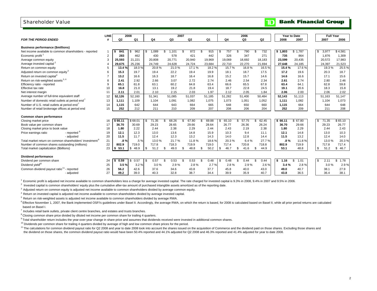## Shareholder Value

|                                                                                                                                                                                         | <b>LINE</b>    |                | 2008       |               |              | 2007        |              |            | 2006        |              |                                   | Year to Date | <b>Full Year</b> |           |
|-----------------------------------------------------------------------------------------------------------------------------------------------------------------------------------------|----------------|----------------|------------|---------------|--------------|-------------|--------------|------------|-------------|--------------|-----------------------------------|--------------|------------------|-----------|
| <b>FOR THE PERIOD ENDED</b>                                                                                                                                                             |                | Q <sub>2</sub> | Q1         | Q4            | Q3           | Q2          | Q1           | Q4         | Q3          | Q2           | 2008                              | 2007         | 2007             | 2006      |
|                                                                                                                                                                                         |                |                |            |               |              |             |              |            |             |              |                                   |              |                  |           |
| <b>Business performance (\$millions)</b>                                                                                                                                                |                |                |            |               |              |             |              |            |             |              |                                   |              |                  |           |
| Net income available to common shareholders - reported                                                                                                                                  |                | 841            | 962        | 1,089         | 1.101        | 872         | \$<br>915    | 757        | 790         | \$.<br>732   | \$1,803                           | \$1,787      | 3,977<br>\$      | \$4,581   |
| Economic profit                                                                                                                                                                         | $\overline{2}$ | 283            | 462        | 430           | 578          | 421         | 442          | 326        | 347         | 271          | 735                               | 864          | 1,876            | 1,309     |
| Average common equity                                                                                                                                                                   | 3              | 25,593         | 21,221     | 20,808        | 20,771       | 20,940      | 19,969       | 19,069     | 18,692      | 18,183       | 23,599                            | 20,435       | 20,572           | 17,983    |
| Average invested capital <sup>2</sup>                                                                                                                                                   |                | 29,675         | 25,236     | 24,749        | 24,628       | 24,724      | 23,684       | 22.710     | 22.270      | 21.694       | 27,648                            | 24,185       | 24,397           | 21,523    |
| Return on common equity                                                                                                                                                                 | 5              | 13.4 %         | 18.0%      | $20.8\%$      | 21.0%        | 17.1 %      | 18.2%        | 15.7%      | 16.8%       | 16.5%        | 15.4%                             | 17.6%        | 19.3%            | 25.5 %    |
| Adjusted return on common equity <sup>3</sup>                                                                                                                                           | 6              | 15.3           | 19.7       | 19.4          | 22.2         | 19.4        | 19.9         | 18.1       | 18.7        | 17.5         | 17.2                              | 19.6         | 20.3             | 18.7      |
| Return on invested capital <sup>4</sup>                                                                                                                                                 |                | 13.2           | 16.6       | 16.3          | 18.7         | 16.4        | 16.8         | 15.2       | 15.7        | 14.6         | 14.6                              | 16.6         | 17.1             | 15.6      |
| Return on risk-weighted assets <sup>5,6</sup>                                                                                                                                           | 8              | 2.41           | 2.92       | 2.66          | 3.07         | 2.72        | 2.74         | 2.46       | 2.54        | 2.34         | 2.61                              | 2.74         | 2.80             | 2.46      |
| Efficiency ratio - reported                                                                                                                                                             | 9              | 65.1           | 61.8       | 63.1          | 60.2         | 64.8        | 63.4         | 66.6       | 65.5        | 67.8         | 63.4                              | 64.1         | 62.8             | 59.8      |
| Effective tax rate                                                                                                                                                                      | 10             | 16.8           | 21.0       | 13.1          | 19.2         | 21.8        | 19.4         | 18.7       | 22.8        | 24.5         | 19.1                              | 20.6         | 18.3             | 15.8      |
| Net interest margin                                                                                                                                                                     | 11             | 2.11           | 2.01       | 2.10          | 2.15         | 2.03        | 1.97         | 2.12       | 2.05        | 1.84         | 2.06                              | 2.00         | 2.06             | 2.02      |
| Average number of full-time equivalent staff                                                                                                                                            | 12             | 52,126         | 52,160     | 51,341        | 51,085       | 51,037      | 51,185       | 51,282     | 51,400      | 50,484       | 52,143                            | 51,113       | 51,163           | 51,147    |
| Number of domestic retail outlets at period end <sup>7</sup>                                                                                                                            | 13             | 1,111          | 1,109      | 1,104         | 1,091        | 1,082       | 1,075        | 1,073      | 1,051       | 1,052        | 1,111                             | 1,082        | 1,104            | 1,073     |
| Number of U.S. retail outlets at period end                                                                                                                                             | 14             | 1,115          | 642        | 644           | 643          | 664         | 665          | 648        | 650         | 660          | 1,115                             | 664          | 644              | 648       |
| Number of retail brokerage offices at period end                                                                                                                                        | 15             | 252            | 212        | 211           | 210          | 209         | 207          | 208        | 206         | 204          | 252                               | 209          | 211              | 208       |
|                                                                                                                                                                                         |                |                |            |               |              |             |              |            |             |              |                                   |              |                  |           |
| Common share performance                                                                                                                                                                |                |                |            |               |              |             |              |            |             |              |                                   |              |                  |           |
| Closing market price                                                                                                                                                                    | 16             | \$66.11        | \$68.01    | 71.35<br>- \$ | 68.26<br>\$. | 67.80<br>\$ | 69.88        | 65.10<br>S | 57.75<br>\$ | 62.45<br>\$. | \$66.11                           | \$67.80      | 71.35<br>\$      | \$65.10   |
| Book value per common share                                                                                                                                                             | 17             | 36.70          | 30.69      | 29.23         | 28.65        | 29.66       | 28.64        | 26.77      | 26.36       | 26.24        | 36.70                             | 29.66        | 29.23            | 26.77     |
| Closing market price to book value                                                                                                                                                      | 18             | 1.80           | 2.22       | 2.44          | 2.38         | 2.29        | 2.44         | 2.43       | 2.19        | 2.38         | 1.80                              | 2.29         | 2.44             | 2.43      |
| Price earnings ratio<br>- reported                                                                                                                                                      | 19             | 12.1           | 12.3       | 13.0          | 13.6         | 14.8        | 15.9         | 10.3       | 9.4         | 11.1         | 12.1                              | 14.8         | 13.0             | 10.3      |
| - adjusted                                                                                                                                                                              | 20             | 11.5           | 11.7       | 12.4          | 12.3         | 13.2        | 14.3         | 14.0       | 12.8        | 14.4         | 11.5                              | 13.2         | 12.4             | 14.0      |
| Total market return on common shareholders' investment <sup>9</sup>                                                                                                                     | 21             | $.8\%$         | .5%        | 13.0%         | 21.7%        | 11.8%       | 18.6%        | 20.3%      | 6.4%        | 27.7%        | $.8\%$                            | 11.8%        | 13.0%            | 20.3%     |
| Number of common shares outstanding (millions)                                                                                                                                          | 22             | 802.9          | 719.0      | 717.8         | 718.3        | 719.9       | 719.0        | 717.4      | 720.8       | 718.8        | 802.9                             | 719.9        | 717.8            | 717.4     |
| Total market capitalization (\$billions)                                                                                                                                                | 23             | \$53.1         | \$48.9     | 51.2<br>\$    | 49.0<br>S    | 48.8<br>\$  | 50.2<br>S.   | 46.7<br>S  | 41.6<br>S   | 44.9<br>\$   | 53.1                              | 48.8         | 51.2<br>S.       | 46.7<br>S |
|                                                                                                                                                                                         |                |                |            |               |              |             |              |            |             |              |                                   |              |                  |           |
| Dividend performance                                                                                                                                                                    |                |                |            |               |              |             |              |            |             |              |                                   |              |                  |           |
| Dividend per common share                                                                                                                                                               | 24             | 0.59           | 0.57<br>\$ | 0.57<br>\$    | 0.53<br>\$.  | 0.53<br>\$  | 0.48<br>- \$ | 0.48<br>\$ | 0.44<br>\$. | 0.44<br>\$.  | 1.16<br>\$                        | \$<br>1.01   | \$<br>2.11       | S<br>1.78 |
| Dividend yield <sup>10</sup>                                                                                                                                                            | 25             | 3.5%           | 3.2%       | 3.0%          | 2.9%         | 2.8%        | 2.7%         | 2.8%       | 2.9%        | 2.6%         | 3.4%                              | 2.8%         | 3.0%             | 2.9%      |
| Common dividend payout ratio <sup>11</sup> - reported                                                                                                                                   | 26             | 56.2           | 42.6       | 37.6          | 34.6         | 43.8        | 37.7         | 45.8       | 40.0        | 43.0         | 49.0                              | 40.7         | 38.1             | 27.9      |
| - adjusted                                                                                                                                                                              | 27             | 49.2           | 39.0       | 40.3          | 32.8         | 38.7        | 34.4         | 39.9       | 35.9        | 40.7         | 43.8                              | 36.5         | 36.4             | 38.1      |
| <sup>1</sup> Economic profit is adjusted net income available to common shareholders less a charge for average invested capital. The rate charged for invested capital is 0.3% in 2008. |                |                |            |               |              |             |              |            |             |              | $0.40/$ in 2007 and 0.50/ in 2006 |              |                  |           |

mic profit is adjusted net income available to common shareholders less a charge for average invested capital. The rate charged for invested capital is 9.3% in 2008, 9.4% in 2007 and 9.5% in 2006.

<sup>2</sup> Invested capital is common shareholders' equity plus the cumulative after-tax amount of purchased intangible assets amortized as of the reporting date.

 $3$  Adjusted return on common equity is adjusted net income available to common shareholders divided by average common equity.

4 Return on invested capital is adjusted net income available to common shareholders divided by average invested capital.

5 Return on risk-weighted assets is adjusted net income available to common shareholders divided by average RWA.

<sup>6</sup> Effective November 1, 2007, the Bank implemented OSFI's guidelines under Basel II. Accordingly, the average RWA, on which the return is based, for 2008 is calculated based on Basel II, while all prior period returns ar based on Basel I.

 $7$  Includes retail bank outlets, private client centre branches, and estates and trusts branches.

<sup>8</sup> Closing common share price divided by diluted net income per common share for trailing 4 quarters.

9 Total shareholder return includes the year-over-year change in share price and assumes that dividends received were invested in additional common shares.

 $10$  Dividends per common share for trailing 4 quarters divided by average of high and low common share prices for the period.

<sup>11</sup> The calculations for common dividend payout ratio for Q2 2008 and year to date 2008 took into account the shares issued on the acquisition of Commerce and the dividend paid on those shares. Excluding those shares and the dividend on those shares, the common dividend payout ratio would have been 50.4% reported and 44.1% adjusted for Q2 2008 and 46.3% reported and 41.4% adjusted for year to date 2008.

## **TD** Bank Financial Group

|  | 2 1 1 | S | 1.78 |  |
|--|-------|---|------|--|
|  | 3.0%  |   | 2.9% |  |
|  | 38.1  |   | 27.9 |  |
|  | 36.4  |   | 38.1 |  |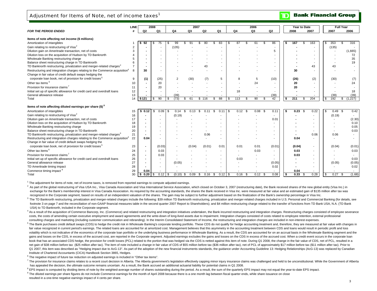## Adjustment for Items of Note, net of income taxes<sup>1</sup>

|                                                                                                                                                     | LINE           |             | 2008                     |    |        | 2007       |            |                |           |      | 2006 |                          |      |        | Year to Date |      |                    |        | <b>Full Year</b> |
|-----------------------------------------------------------------------------------------------------------------------------------------------------|----------------|-------------|--------------------------|----|--------|------------|------------|----------------|-----------|------|------|--------------------------|------|--------|--------------|------|--------------------|--------|------------------|
| <b>FOR THE PERIOD ENDED</b>                                                                                                                         | #              | Q2          | Q <sub>1</sub>           |    | Q4     | Q3         | Q2         | Q <sub>1</sub> | Q4        |      | Q3   | Q <sub>2</sub>           |      | 2008   |              | 2007 |                    | 2007   | 2006             |
| Items of note affecting net income (\$ millions)                                                                                                    |                |             |                          |    |        |            |            |                |           |      |      |                          |      |        |              |      |                    |        |                  |
| Amortization of intangibles                                                                                                                         |                | 92          | 75<br>S                  | -S | 99     | ٩٠         | 80         | 83             | 87        | ዳ    | 61   | 86<br>\$.                |      | 167    |              | 163  | \$.                | 353    | 316<br>\$        |
| Gain relating to restructuring of Visa <sup>2</sup>                                                                                                 | $\overline{2}$ |             |                          |    | (135)  |            |            |                |           |      |      |                          |      |        |              |      |                    | (135)  |                  |
| Dilution gain on Ameritrade transaction, net of costs                                                                                               | 3              |             |                          |    |        |            |            |                |           |      |      | 5                        |      |        |              |      |                    |        | (1,665)          |
| Dilution loss on the acquisition of Hudson by TD Banknorth                                                                                          |                |             |                          |    |        |            |            |                |           |      |      |                          |      |        |              |      |                    |        | 72               |
| Wholesale Banking restructuring charge                                                                                                              |                |             |                          |    |        |            |            |                |           |      |      |                          |      |        |              |      |                    |        | 35               |
| Balance sheet restructuring charge in TD Banknorth                                                                                                  |                |             |                          |    |        |            |            |                |           |      |      |                          |      |        |              |      |                    |        | 19               |
| TD Banknorth restructuring, privatization and merger-related charges <sup>3</sup>                                                                   |                |             |                          |    |        |            | 43         |                |           |      |      |                          |      |        |              | 43   |                    | 43     |                  |
| Restructuring and integration charges relating to the Commerce acquisition <sup>4</sup><br>Change in fair value of credit default swaps hedging the | 8              | 30          |                          |    |        |            |            |                |           |      |      |                          |      | 30     |              |      |                    |        |                  |
| corporate loan book, net of provision for credit losses <sup>5</sup>                                                                                | 9              |             | (25)                     |    |        | (30)       |            | 5              |           |      | 5    | (10)                     |      |        |              |      |                    | (30)   |                  |
|                                                                                                                                                     |                | (1)         |                          |    |        |            | (7)        |                |           |      |      |                          |      | (26)   |              | (2)  |                    |        | (7)              |
| Other tax items <sup>6</sup>                                                                                                                        | 10             |             | 20                       |    |        |            |            |                |           |      | 24   |                          |      | 20     |              |      |                    |        | 24               |
| Provision for insurance claims <sup>7</sup>                                                                                                         | 11             |             | 20                       |    |        |            |            |                |           |      |      |                          |      | 20     |              |      |                    |        |                  |
| Initial set up of specific allowance for credit card and overdraft loans                                                                            | 12             |             |                          |    |        |            |            |                | 18        |      |      |                          |      |        |              |      |                    |        | 18               |
| General allowance release                                                                                                                           | 13             |             |                          |    | (39)   |            |            |                |           |      |      | (39)                     |      |        |              |      |                    | (39)   | (39)             |
| Total                                                                                                                                               | 14             | \$121       | 90<br>\$                 | \$ | (73)   | 61<br>\$.  | \$116      | 88<br>\$       | \$<br>113 | £.   | 90   | 42<br>\$                 | - \$ | 211    |              | 204  | $\mathbf{\hat{s}}$ | 192    | (1,227)<br>\$    |
| Items of note affecting diluted earnings per share (\$) <sup>8</sup>                                                                                |                |             |                          |    |        |            |            |                |           |      |      |                          |      |        |              |      |                    |        |                  |
| Amortization of intangibles                                                                                                                         | 15             | 0.12        | 0.09<br>\$               |    | 0.14   | 0.13       | 0.11       | \$<br>0.11     | 0.12      | - \$ | 0.08 | <b>S</b><br>0.11         |      | 0.23   | - \$         | 0.22 | \$                 | 0.49   | 0.42<br><b>S</b> |
| Gain relating to restructuring of Visa <sup>2</sup>                                                                                                 | 16             |             | $\blacksquare$           |    | (0.19) |            |            |                |           |      |      | ٠                        |      |        |              |      |                    | (0.19) |                  |
| Dilution gain on Ameritrade transaction, net of costs                                                                                               | 17             |             |                          |    |        |            |            |                |           |      |      | 0.0                      |      |        |              |      |                    |        | (2.30)           |
| Dilution loss on the acquisition of Hudson by TD Banknorth                                                                                          | 18             |             |                          |    |        |            |            |                |           |      |      |                          |      |        |              |      |                    |        | 0.10             |
| Wholesale Banking restructuring charge                                                                                                              | 19             |             |                          |    |        |            |            |                |           |      |      |                          |      |        |              |      |                    |        | 0.05             |
| Balance sheet restructuring charge in TD Banknorth                                                                                                  | 20             |             |                          |    |        |            |            |                |           |      |      |                          |      |        |              |      |                    |        | 0.03             |
| TD Banknorth restructuring, privatization and merger-related charges <sup>3</sup>                                                                   | 21             |             |                          |    |        |            | 0.06       |                |           |      |      |                          |      |        |              | 0.06 |                    | 0.06   |                  |
| Restructuring and integration charges relating to the Commerce acquisition <sup>4</sup>                                                             | 22             | 0.04        | $\overline{\phantom{a}}$ |    |        |            |            |                |           |      |      |                          |      | 0.04   |              |      |                    |        | $\sim$           |
| Change in fair value of credit default swaps hedging the                                                                                            |                |             |                          |    |        |            |            |                |           |      |      |                          |      |        |              |      |                    |        |                  |
| corporate loan book, net of provision for credit losses <sup>5</sup>                                                                                | 23             |             | (0.03)                   |    |        | (0.04)     | (0.01)     | 0.01           | 0.01      |      | 0.01 | (0.01)                   |      | (0.04) |              |      |                    | (0.04) | (0.01)           |
| Other tax items <sup>6</sup>                                                                                                                        | 24             |             | 0.03                     |    |        |            |            |                |           |      | 0.03 |                          |      | 0.03   |              |      |                    |        | 0.03             |
| Provision for insurance claims <sup>7</sup>                                                                                                         | 25             |             | 0.03                     |    |        |            |            |                |           |      |      | $\overline{\phantom{a}}$ |      | 0.03   |              |      |                    |        |                  |
| Initial set up of specific allowance for credit card and overdraft loans                                                                            | 26             |             | $\overline{\phantom{a}}$ |    |        |            |            |                | 0.03      |      |      |                          |      |        |              |      |                    |        | 0.03             |
| General allowance release                                                                                                                           | 27             |             | $\overline{\phantom{a}}$ |    | (0.05) |            |            |                |           |      |      | (0.05)                   |      |        |              |      |                    | (0.05) | (0.05)           |
| TD Ameritrade timing impact                                                                                                                         | 28             |             |                          |    |        |            |            |                |           |      |      | 0.02                     |      |        |              |      |                    |        | 0.02             |
| Commerce timing impact <sup>9</sup>                                                                                                                 | 29             | 0.04        |                          |    |        |            |            |                |           |      |      |                          |      | 0.04   |              |      |                    |        | $\sim$           |
| Total                                                                                                                                               | 30             | 0.20<br>-\$ | \$                       |    | (0.10) | 0.09<br>\$ | 0.16<br>\$ | \$             | 0.16      | \$   | 0.12 | 0.08<br>- \$             | l \$ | 0.33   | - \$         | 0.28 | <b>S</b>           | 0.27   | (1.68)<br>- \$   |

 $1$  The adjustment for items of note, net of income taxes, is removed from reported earnings to compute adjusted earnings.

<sup>2</sup> As part of the alobal restructuring of Visa USA Inc.. Visa Canada Association and Visa International Service Association, which closed on October 3, 2007 (restructuring date), the Bank received shares of the new global exchange for the Bank's membership interest in Visa Canada Association. As required by the accounting standards, the shares the Bank received in Visa Inc. were measured at fair value and an estimated gain of \$135 million a recognized in the Corporate segment, based on results of an independent valuation of the shares. The gain may be subject to further adjustment based on the finalization of the Bank's ownership percentage in Visa Inc.

<sup>3</sup> The TD Banknorth restructuring, privatization and merger-related charges include the following: \$39 million TD Banknorth restructuring, privatization and merger-related charges included in U.S. Personal and Commercial footnote 3 on page 7 and the reconciliation of non-GAAP financial measures table in the second quarter 2007 Report to Shareholders); and \$4 million restructuring charge related to the transfer of functions from TD Bank USA USA) to TD Banknorth, included in the Corporate segment.

4 As a result of the acquisition of Commerce Bancorp, Inc. (Commerce) and related restructuring and integration initiatives undertaken, the Bank incurred restructuring and integration charges. Restructuring charges consist costs, the costs of amending certain executive employment and award agreements and the write-down of long-lived assets due to impairment. Integration charges consisted of costs related to employee retention, external profe consulting charges and marketing (including customer communication and rebranding). In the Interim Consolidated Statement of Income, the restructuring and integration charges are included in non-interest expenses.

<sup>5</sup> The Bank purchases credit default swaps (CDS) to hedge the credit risk in Wholesale Banking's corporate lending portfolio. These CDS do not qualify for hedge accounting treatment and, therefore, they are measured at fa fair value recognized in current period's earnings. The related loans are accounted for at amortized cost. Management believes that this asymmetry in the accounting treatment between CDS and loans would result in periodic volatility which is not indicative of the economics of the corporate loan portfolio or the underlying business performance in Wholesale Banking. As a result, the CDS are accounted for on an accrual basis in the Wholesale B gains and losses on the CDS, in excess of the accrued cost, are reported in the Corporate segment. Adjusted earnings excludes the gains and losses on the CDS in excess of the accrued cost. When a credit event occurs in the book that has an associated CDS hedge, the provision for credit losses (PCL) related to the portion that was hedged via the CDS is netted against this item of note. During Q1 2008, the change in the fair value of CDS, net net gain of \$38 million before tax (\$25 million after tax). The item of note included a change in fair value of CDS of \$55 million before tax (\$36 million after tax), net of PCL of approximately \$17 million before tax (\$11 Q1 2007, this item was described as "Hedging impact due to AcG-13". As part of the adoption of the new financial instruments standards, the quidance under Accounting Guideline 13: Hedging Relationships (AcG-13) was replace Institute of Chartered Accountants (CICA) Handbook Section 3865, Hedges.

 $6$  The negative impact of future tax reduction on adjusted earnings is included in "Other tax items".

7 The provision for insurance claims relates to a recent court decision in Alberta. The Alberta government's legislation effectively capping minor injury insurance claims was challenged and held to be unconstitutional. Whi has appealed the decision, the ultimate outcome remains uncertain. As a result, the Bank accrued an additional actuarial liability for potential claims in Q1 2008.

<sup>8</sup> EPS impact is computed by dividing items of note by the weighted-average number of shares outstanding during the period. As a result, the sum of the quarterly EPS impact may not equal the year-to-date EPS impact.

<sup>9</sup> The diluted earnings per share figures do not include Commerce earnings for the month of April 2008 because there is a one month lag between fiscal quarter ends, while share issuance on close

resulted in a one-time negative earnings impact of 4 cents per share.

**Bank Financial Group**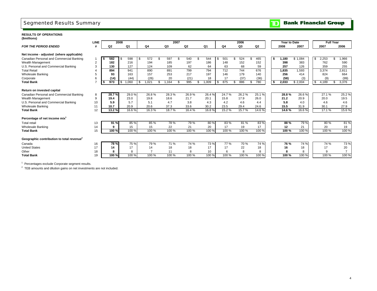## Segmented Results Summary

#### **Bank Financial Group**  $\mathbf{D}$

**RESULTS OF OPERATIONS (\$millions)**

|                                                       | <b>LINE</b> |                | 2008 |                |                |                | 2007 |       |                |     |                | 2006           |                |    | Year to Date |         |    | <b>Full Year</b> |                |
|-------------------------------------------------------|-------------|----------------|------|----------------|----------------|----------------|------|-------|----------------|-----|----------------|----------------|----------------|----|--------------|---------|----|------------------|----------------|
| <b>FOR THE PERIOD ENDED</b>                           |             | Q <sub>2</sub> |      | Q <sub>1</sub> | Q4             | Q <sub>3</sub> |      | Q2    | Q <sub>1</sub> |     | Q <sub>4</sub> | Q <sub>3</sub> | Q <sub>2</sub> |    | 2008         | 2007    |    | 2007             | 2006           |
| Net income - adjusted (where applicable)              |             |                |      |                |                |                |      |       |                |     |                |                |                |    |              |         |    |                  |                |
| Canadian Personal and Commercial Banking              |             | 582            |      | 598            | 572            | 597            | £    | 540   | 544            | -SS | 501            | 524            | 465            | s. | 1,180        | \$1,084 | S  | 2,253            | ,966           |
| Wealth Management                                     | 2           | 182            |      | 216            | 194            | 185            |      | 197   | 186            |     | 148            | 152            | 152            |    | 398          | 383     |    | 762              | 590            |
| U.S. Personal and Commercial Banking                  | 3           | 130            |      | 127            | 124            | 109            |      | 62    | 64             |     | 63             | 68             | 59             |    | 257          | 126     |    | 359              | 255            |
| <b>Total Retail</b>                                   |             | 894            |      | 941            | 890            | 891            |      | 799   | 794            |     | 712            | 744            | 676            |    | 1,835        | 1.593   |    | 3.374            | 2.811          |
| Wholesale Banking                                     | 5           | 93             |      | 163            | 157            | 253            |      | 217   | 197            |     | 146            | 179            | 140            |    | 256          | 414     |    | 824              | 664            |
| Corporate                                             |             | (14)           |      | (44)           | (26)           | 20             |      | (21)  | 18             |     | 17             | (37)           | (36)           |    | (58)         | (3)     |    | (9)              | (99)           |
| <b>Total Bank</b>                                     |             | 973            | \$   | 1.060          | .021           | \$<br>1.164    |      | 995   | 1,009          |     | 875            | 886            | 780            | \$ | 2,033        | \$2,004 | \$ | 4,189            | \$<br>3,376    |
| Return on invested capital                            |             |                |      |                |                |                |      |       |                |     |                |                |                |    |              |         |    |                  |                |
| Canadian Personal and Commercial Banking              | 8           | 28.7%          |      | 29.0%          | 26.8%          | 28.3%          |      | 26.9% | 26.4%          |     | 24.7%          | 26.2%          | 25.1%          |    | 28.8%        | 26.6%   |    | 27.1%            | 25.2%          |
| Wealth Management                                     | 9           | 19.4           |      | 23.0           | 19.8           | 18.6           |      | 21.7  | 20.1           |     | 15.8           | 17.9           | 26.0           |    | 21.2         | 20.9    |    | 20.0             | 19.5           |
| U.S. Personal and Commercial Banking                  | 10          | 5.9            |      | 5.7            | 5.1            | 4.7            |      | 3.8   | 4.3            |     | 4.2            | 4.6            | 4.4            |    | 5.8          | 4.0     |    | 4.6              | 4.6            |
| <b>Wholesale Banking</b>                              | 11          | 10.7           |      | 20.9           | 20.6           | 37.3           |      | 33.6  | 30.2           |     | 23.5           | 29.4           | 24.6           |    | 15.5         | 31.9    |    | 30.1             | 27.9           |
| <b>Total Bank</b>                                     | 12          | 13.2%          |      | 16.6%          | 16.3%          | 18.7%          |      | 16.4% | 16.8%          |     | 15.2%          | 15.7%          | 14.6%          |    | 14.6 %       | 16.6%   |    | 17.1 %           | 15.6%          |
| Percentage of net income mix <sup>1</sup>             |             |                |      |                |                |                |      |       |                |     |                |                |                |    |              |         |    |                  |                |
| <b>Total retail</b>                                   | 13          | 91 %           |      | 85 %           | 85 %           | 78%            |      | 79 %  | 80%            |     | 83%            | 81 %           | 83%            |    | 88%          | 79 %    |    | 80%              | 81%            |
| <b>Wholesale Banking</b>                              | 14          | g              |      | 15             | 15             | 22             |      | 21    | 20             |     | 17             | 19             | 17             |    | 12           | 21      |    | 20               | 19             |
| <b>Total Bank</b>                                     | 15          | 100 %          |      | 100 %          | 100 %          | 100 %          |      | 100 % | 100 %          |     | 100 %          | 100 %          | 100 %          |    | 100 %        | 100 %   |    | 100 %            | 100 %          |
| Geographic contribution to total revenue <sup>2</sup> |             |                |      |                |                |                |      |       |                |     |                |                |                |    |              |         |    |                  |                |
| Canada                                                | 16          | <b>78%</b>     |      | 75 %           | 79 %           | 71 %           |      | 74 %  | 73%            |     | 77 %           | 70 %           | 74 %           |    | <b>76 %</b>  | 74 %    |    | 74 %             | 73 %           |
| <b>United States</b>                                  | 17          | 14             |      | 17             | 14             | 18             |      | 18    | 17             |     | 17             | 22             | 18             |    | 16           | 18      |    | 17               | 20             |
| Other                                                 | 18          |                |      | 8              | $\overline{ }$ | 11             |      | 8     | 10             |     | 6              | 8              | 8              |    | 8            | 8       |    | 9                | $\overline{7}$ |
| <b>Total Bank</b>                                     | 19          | 100 %          |      | 100 %          | 100 %          | 100 %          |      | 100 % | 100 %          |     | 100 %          | 100 %          | 100 %          |    | 100%         | 100 %   |    | 100 %            | 100 %          |

<sup>1</sup> Percentages exclude Corporate segment results.

 $2$  TEB amounts and dilution gains on net investments are not included.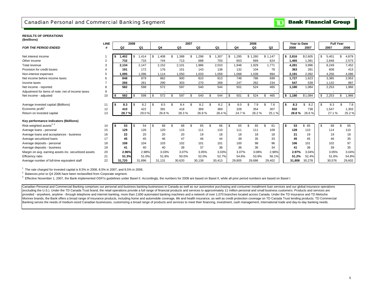## Canadian Personal and Commercial Banking Segment

#### **RESULTS OF OPERATIONS(\$millions)**

|                                                       | LINE |      |        | 2008 |        |               |        |      | 2007   |     |                |        |                | 2006           |     |         | Year to Date |           |          | <b>Full Year</b> |             |
|-------------------------------------------------------|------|------|--------|------|--------|---------------|--------|------|--------|-----|----------------|--------|----------------|----------------|-----|---------|--------------|-----------|----------|------------------|-------------|
| <b>FOR THE PERIOD ENDED</b>                           |      |      | Q2     |      | Q1     |               | Q4     |      | Q3     |     | Q <sub>2</sub> | Q1     | Q <sub>4</sub> | Q <sub>3</sub> |     | Q2      | 2008         | 2007      |          | 2007             | 2006        |
|                                                       |      |      |        |      |        |               |        |      |        |     |                |        |                |                |     |         |              |           |          |                  |             |
| Net interest income                                   |      | s.   | 1.402  | S.   | 1.414  | . \$          | .408   |      | .388   |     | .298           | 1,307  | \$<br>,295     | \$1,260        |     | \$1,147 | \$2,816      | \$2,605   | <b>S</b> | 5.401            | 4,879       |
| Other income                                          | 2    |      | 732    |      | 733    |               | 744    |      | 713    |     | 688            | 703    | 653            | 669            |     | 624     | 1,465        | 1,391     |          | 2,848            | 2,573       |
| Total revenue                                         |      |      | 2.134  |      | 2,147  |               | 2,152  |      | 2,101  |     | 1,986          | 2,010  | 1,948          | 1,929          |     | 1.771   | 4,281        | 3,996     |          | 8.249            | 7,452       |
| Provision for credit losses                           |      |      | 191    |      | 172    |               | 176    |      | 151    |     | 143            | 138    | 132            | 104            |     | 78      | 363          | 281       |          | 608              | 413         |
| Non-interest expenses                                 |      |      | 1.095  |      | 1.096  |               | 1.114  |      | 1,050  |     | 1,033          | 1,059  | 1,068          | 1,039          |     | 994     | 2,191        | 2,092     |          | 4.256            | 4,086       |
| Net income before income taxes                        |      |      | 848    |      | 879    |               | 862    |      | 900    |     | 810            | 813    | 748            | 786            |     | 699     | 1.727        | 1.623     |          | 3,385            | 2,953       |
| Income taxes                                          |      |      | 266    |      | 281    |               | 290    |      | 303    |     | 270            | 269    | 247            | 262            |     | 234     | 547          | 539       |          | 1.132            | 987         |
| Net income - reported                                 |      |      | 582    |      | 598    |               | 572    |      | 597    |     | 540            | 544    | 501            | 524            |     | 465     | 1,180        | 1,084     |          | 2,253            | 1,966       |
| Adjustment for items of note, net of income taxes     | 9    |      |        |      |        |               |        |      |        |     |                |        |                |                |     |         |              |           |          |                  |             |
| Net income - adjusted                                 | 10   | \$   | 582    | \$   | 598    | \$            | 572    | - \$ | 597    |     | 540            | 544    | \$<br>501      | \$<br>524      | \$  | 465     | \$<br>1,180  | \$1,084   | <b>S</b> | 2,253            | \$<br>1,966 |
|                                                       |      |      |        |      |        |               |        |      |        |     |                |        |                |                |     |         |              |           |          |                  |             |
| Average invested capital (\$billions)                 |      | l \$ | 8.3    |      | 8.2    | . \$          | 8.5    |      | 8.4    |     | 8.2            | 8.2    | \$<br>8.0      | 7.9            |     | 7.6     | \$<br>8.3    | 8.2<br>\$ | <b>S</b> | 8.3              | \$<br>7.8   |
| Economic profit <sup>1</sup>                          | 12   |      | 410    |      | 422    |               | 391    |      | 418    |     | 369            | 369    | 328            | 354            |     | 307     | 832          | 738       |          | 1,547            | 1,303       |
| Return on invested capital                            | 13   |      | 28.7%  |      | 29.0%  |               | 26.8%  |      | 28.3%  |     | 26.9%          | 26.4%  | 24.7%          | 26.2%          |     | 25.1%   | 28.8%        | 26.6%     |          | 27.1 %           | 25.2%       |
|                                                       |      |      |        |      |        |               |        |      |        |     |                |        |                |                |     |         |              |           |          |                  |             |
| Key performance indicators (\$billions)               |      |      |        |      |        |               |        |      |        |     |                |        |                |                |     |         |              |           |          |                  |             |
| Risk-weighted assets <sup>2, 3</sup>                  | 14   | s.   | 53     |      | 54     | $\mathfrak s$ | 68     | . ጽ  | 68     | \$. | 65             | 66     | \$<br>65       | 65             | \$. | 61      | \$<br>53     | \$<br>65  | <b>S</b> | 68               | \$<br>65    |
| Average loans - personal                              | 15   |      | 129    |      | 126    |               | 120    |      | 115    |     | 111            | 110    | 111            | 111            |     | 109     | 128          | 110       |          | 114              | 110         |
| Average loans and acceptances - business              | 16   |      | 22     |      | 20     |               | 20     |      | 20     |     | 19             | 18     | 18             | 18             |     | 18      | 21           | 19        |          | 19               | 18          |
| Average securitized loans                             | 17   |      | 45     |      | 45     |               | 46     |      | 47     |     | 46             | 44     | 39             | 35             |     | 33      | 45           | 45        |          | 46               | 35          |
| Average deposits - personal                           | 18   |      | 108    |      | 104    |               | 103    |      | 102    |     | 101            | 101    | 100            | 98             |     | 96      | 106          | 101       |          | 102              | 97          |
| Average deposits - business                           | 19   |      | 41     |      | 40     |               | 40     |      | 39     |     | 37             | 38     | 36             | 36             |     | 34      | 41           | 38        |          | 39               | 35          |
| Margin on avg. earning assets inc. securitized assets | 20   |      | 2.96%  |      | 2.98%  |               | 3.03%  |      | 3.07%  |     | 3.05%          | 3.03%  | 3.07%          | 3.08%          |     | 2.98%   | 2.97%        | 3.04%     |          | 3.05%            | 3.04%       |
| Efficiency ratio                                      | 21   |      | 51.3%  |      | 51.0%  |               | 51.8%  |      | 50.0%  |     | 52.0%          | 52.7%  | 54.8%          | 53.9%          |     | 56.1%   | 51.2%        | 52.4%     |          | 51.6%            | 54.8%       |
| Average number of full-time equivalent staff          | 22   |      | 31,720 |      | 31,896 |               | 31,131 |      | 30,620 |     | 30,138         | 30,413 | 29,805         | 29,686         |     | 29,402  | 31.808       | 30,278    |          | 30,576           | 29,602      |

 $1$  The rate charged for invested capital is 8.5% in 2008, 8.5% in 2007, and 8.5% in 2006.

<sup>2</sup> Balances prior to Q4 2006 have been reclassified from Corporate segment.

 $3$  Effective November 1, 2007, the Bank implemented OSFI's quidelines under Basel II. Accordingly, the numbers for 2008 are based on Basel II, while all prior period numbers are based on Basel I.

Canadian Personal and Commercial Banking comprises our personal and business banking businesses in Canada as well as our automotive purchasing and consumer installment loan services and our global insurance operations (excluding the U.S.). Under the TD Canada Trust brand, the retail operations provide a full range of financial products and services to approximately 11 million personal and small business customers. Products and services provided - anywhere, anytime - through telephone and internet banking, more than 2,600 automated banking machines and a network of over 1,070 branches located across Canada. Under the TD Insurance and TD Meloche Monnex brands, the Bank offers a broad range of insurance products, including home and automobile coverage, life and health insurance, as well as credit protection coverage on TD Canada Trust lending products. TD Commercial Banking serves the needs of medium-sized Canadian businesses, customizing a broad range of products and services to meet their financing, investment, cash management, international trade and day-to-day banking needs.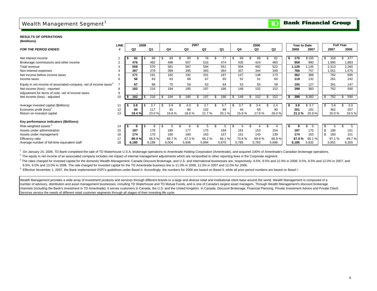## Wealth Management Segment<sup>1</sup>

#### **Bank Financial Group**  $\mathbf{D}% _{T}=\mathbf{D}_{T}\times\mathbf{D}_{T}$

### **RESULTS OF OPERATIONS**

| (\$millions) |  |
|--------------|--|

|                                                                              | <b>LINE</b>    |            | 2008        |       |       | 2007       |          |                          |            | 2006      |       |       | Year to Date |        |      |       | <b>Full Year</b> |  |
|------------------------------------------------------------------------------|----------------|------------|-------------|-------|-------|------------|----------|--------------------------|------------|-----------|-------|-------|--------------|--------|------|-------|------------------|--|
| <b>FOR THE PERIOD ENDED</b>                                                  |                | Q2         | Q1          | Q4    | Q3    | Q2         | Q1       |                          | Q4         | Q3        |       | Q2    | 2008         | 2007   |      | 2007  | 2006             |  |
|                                                                              |                |            |             |       |       |            |          |                          |            |           |       |       |              |        |      |       |                  |  |
| Net interest income                                                          |                | 82         | 88          | 83    | 80    | 78         | 77       |                          | 69         |           | 68    | 62    | 170          | \$155  | £.   | 318   | 377              |  |
| Brokerage commissions and other income                                       | $\overline{2}$ | 476        | 482         | 498   | 507   | 516        | 474      |                          | 435        | 424       |       | 460   | 958          | 990    |      | 1,995 | 1,883            |  |
| Total revenue                                                                | 3              | 558        | 570         | 581   | 587   | 594        | 551      |                          | 504        | 492       |       | 522   | 1,128        | .145   |      | 2,313 | 2,260            |  |
| Non-interest expenses                                                        |                | 387        | 379         | 399   | 395   | 393        | 364      |                          | 357        | 344       |       | 349   | 766          | 757    |      | 1,551 | 1,575            |  |
| Net income before income taxes                                               | 5              | 171        | 191         | 182   | 192   | 201        | 187      |                          | 147        | 148       |       | 173   | 362          | 388    |      | 762   | 685              |  |
| Income taxes                                                                 | 6              | 56         | 63          | 63    | 66    | 67         | 65       |                          | 52         | 51        |       | 60    | 119          | 132    |      | 261   | 242              |  |
| Equity in net income of associated company, net of income taxes <sup>2</sup> |                | 67         | 88          | 75    | 59    | 63         | 64       |                          | 53         |           | 55    | 39    | 155          | 127    |      | 261   | 147              |  |
| Net income (loss) - reported                                                 | 8              | 182        | 216         | 194   | 185   | 197        | 186      |                          | 148        | 152       |       | 152   | 398          | 383    |      | 762   | 590              |  |
| Adjustment for items of note, net of income taxes                            | 9              |            | ۰           |       |       |            |          | $\overline{\phantom{a}}$ |            |           |       | ٠     |              |        |      |       |                  |  |
| Net income (loss) - adjusted                                                 | 10             | 182        | 216<br>- \$ | 194   | 185   | 197<br>-55 | 186<br>S |                          | \$<br>148  | 152<br>s. | \$    | 152   | 398          | \$383  | - \$ | 762   | 590<br>- 35      |  |
|                                                                              |                |            |             |       |       |            |          |                          |            |           |       |       |              |        |      |       |                  |  |
| Average invested capital (\$billions)                                        | 11             | 3.8<br>- 5 | 3.7<br>- \$ | 3.9   |       | 3.7        | 3.7      |                          | 3.7<br>\$. | 3.4       |       | 2.4   | 3.8          | \$3.7  | - 35 | 3.8   | 3.0              |  |
| Economic profit (loss) <sup>3</sup>                                          | 12             | 84         | 117         | 91    | 80    | 102        | 89       |                          | 44         |           | 59    | 90    | 201          | 191    |      | 362   | 257              |  |
| Return on invested capital                                                   | 13             | 19.4 %     | 23.0%       | 19.8% | 18.6% | 21.7%      | 20.1%    |                          | 15.8%      |           | 17.9% | 26.0% | 21.2%        | 20.9%  |      | 20.0% | 19.5%            |  |
|                                                                              |                |            |             |       |       |            |          |                          |            |           |       |       |              |        |      |       |                  |  |
| Key performance indicators (\$billions)                                      |                |            |             |       |       |            |          |                          |            |           |       |       |              |        |      |       |                  |  |
| Risk-weighted assets <sup>4</sup>                                            | 14             | 8          | 8           |       |       |            |          |                          |            |           |       |       |              | 5      |      |       |                  |  |
| Assets under administration                                                  | 15             | 187        | 178         | 185   | 177   | 175        | 169      |                          | 161        | 153       |       | 154   | 187          | 175    | -9   | 185   | 161              |  |
| Assets under management                                                      | 16             | 174        | 170         | 160   | 160   | 163        | 157      |                          | 151        | 143       |       | 139   | 174          | 163    |      | 160   | 151              |  |
| Efficiency ratio                                                             | 17             | 69.4 %     | 66.5%       | 68.7% | 67.3% | 66.2%      | 66.1%    |                          | 70.8%      |           | 69.9% | 66.9% | 67.9%        | 66.1 % |      | 67.1% | 69.7%            |  |
| Average number of full-time equivalent staff                                 | 18             | 6,180      | 6,189       | 6,004 | 5,936 | 5,994      | 5,870    |                          | 5,785      | 5,783     |       | 5,698 | 6,185        | 5,932  |      | 5,951 | 6,265            |  |

<sup>1</sup> On January 24, 2006, TD Bank completed the sale of TD Waterhouse U.S.A. brokerage operations to Ameritrade Holding Corporation (Ameritrade), and acquired 100% of Ameritrade's Canadian brokerage operations.

<sup>2</sup> The equity in net income of an associated company includes net impact of internal management adjustments which are reclassified to other reporting lines in the Corporate segment.

<sup>3</sup> The rates charged for invested capital for the domestic Wealth Management, Canada Discount Brokerage, and U.S. and International businesses are, respectively, 9.5%, 9.5% and 12.0% in 2008; 9.5%, 9.5% and 12.0% in 2008; 9.5%, 9.5% and 13.0% in 2006. The rate charged for invested capital for the TD Ameritrade business line is 11.0% in 2008, 11.0% in 2007 and 12.0% for 2006.

<sup>4</sup> Effective November 1, 2007, the Bank implemented OSFI's guidelines under Basel II. Accordingly, the numbers for 2008 are based on Basel II, while all prior period numbers are based on Basel I.

Wealth Management provides a wide array of investment products and services through different brands to a large and diverse retail and institutional client base around the world. Wealth Management is composed of a number of advisory, distribution and asset management businesses, including TD Waterhouse and TD Mutual Funds, and is one of Canada's largest asset managers. Through Wealth Management's discount brokerage channels (including the Bank's investment in TD Ameritrade), it serves customers in Canada, the U.S. and the United Kingdom. In Canada, Discount Brokerage, Financial Planning, Private Investment Advice and Private Client Services service the needs of different retail customer segments through all stages of their investing life cycle.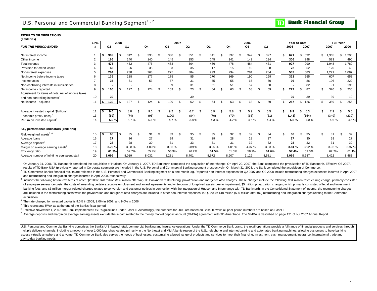## U.S. Personal and Commercial Banking Segment<sup>1, 2</sup>

#### **RESULTS OF OPERATIONS(\$millions)**

| ( <del>www.urity)</del>                           | LINE           |      |                | 2008 |                |           |     |       | 2007           |       |                          |             |                |              | 2006  |          |    | Year to Date |           |              | <b>Full Year</b> |       |
|---------------------------------------------------|----------------|------|----------------|------|----------------|-----------|-----|-------|----------------|-------|--------------------------|-------------|----------------|--------------|-------|----------|----|--------------|-----------|--------------|------------------|-------|
| <b>FOR THE PERIOD ENDED</b>                       |                |      | Q <sub>2</sub> |      | Q <sub>1</sub> | Q4        |     | Q3    |                | Q2    | Q1                       |             | Q <sub>4</sub> |              | Q3    | Q2       |    | 2008         | 2007      | 2007         |                  | 2006  |
|                                                   |                |      |                |      |                |           |     |       |                |       |                          |             |                |              |       |          |    |              |           |              |                  |       |
| Net interest income                               |                |      | 309            | \$.  | 312            | \$<br>335 | . ፍ | 338   | $\mathfrak{L}$ | 351   | 341                      | . <b>\$</b> | 337            |              | 342   | 327      | \$ | 621          | 692<br>\$ | 1,365<br>\$. |                  | 1,290 |
| Other income                                      | $\overline{2}$ |      | 166            |      | 140            | 140       |     | 145   |                | 153   | 145                      |             | 141            |              | 142   | 134      |    | 306          | 298       | 583          |                  | 490   |
| Total revenue                                     | 3              |      | 475            |      | 452            | 475       |     | 483   |                | 504   | 486                      |             | 478            |              | 484   | 461      |    | 927          | 990       | 1.948        |                  | 1.780 |
| Provision for credit losses                       |                |      | 46             |      | 26             | 35        |     | 33    |                | 35    | 17                       |             | 15             |              | 10    | 8        |    | 72           | 52        | 120          |                  | 40    |
| Non-interest expenses                             | 5              |      | 294            |      | 238            | 263       |     | 275   |                | 384   | 299                      |             | 294            |              | 284   | 284      |    | 532          | 683       | 1.221        |                  | 1,087 |
| Net income before income taxes                    | 6              |      | 135            |      | 188            | 177       |     | 175   |                | 85    | 170                      |             | 169            |              | 190   | 169      |    | 323          | 255       | 607          |                  | 653   |
| Income taxes                                      |                |      | 35             |      | 61             | 53        |     | 57    |                | 31    | 55                       |             | 55             |              | 65    | 60       |    | 96           | 86        | 196          |                  | 222   |
| Non-controlling interests in subsidiaries         | 8              |      |                |      |                |           |     | -9    |                | 31    | 51                       |             | 51             |              | 57    | 50       |    |              | 82        | 91           |                  | 195   |
| Net income - reported                             | 9              |      | 100            | \$   | 127            | \$<br>124 | \$  | 109   | \$             | 23    | \$<br>64                 | -S          | 63             | $\mathbf{s}$ | 68    | \$<br>59 | s. | 227          | 87<br>\$  | \$<br>320    |                  | 236   |
| Adjustment for items of note, net of income taxes |                |      |                |      |                |           |     |       |                |       |                          |             |                |              |       |          |    |              |           |              |                  |       |
| and non-controlling interests <sup>3</sup>        | 10             |      | 30             |      |                |           |     |       |                | 39    | $\overline{\phantom{a}}$ |             |                |              |       |          |    | 30           | 39        | 39           |                  | 19    |
| Net income - adjusted                             | 11             | ∣ S  | 130            | \$.  | 127            | \$<br>124 | S   | 109   | \$.            | 62    | 64                       | $\sqrt{3}$  | 63             | -S           | 68    | \$<br>59 | \$ | 257          | 126<br>\$ | 359<br>\$    |                  | 255   |
|                                                   |                |      |                |      |                |           |     |       |                |       |                          |             |                |              |       |          |    |              |           |              |                  |       |
| Average invested capital (\$billions)             | 12             |      | 9.0            | \$.  | 8.8            | \$<br>9.6 | . ፍ | 9.2   | £.             | 6.7   | 5.9                      | ∣\$         | 5.8            |              | 5.9   | 5.5      | S. | 8.9          | 6.3       | \$<br>7.9    |                  | 5.5   |
| Economic profit / (loss) <sup>4</sup>             | 13             |      | (69)           |      | (74)           | (95)      |     | (100) |                | (84)  | (70)                     |             | (70)           |              | (65)  | (61)     |    | (143)        | (154)     | (349)        |                  | (239) |
| Return on invested capital <sup>4</sup>           | 14             |      | 5.9%           |      | 5.7%           | 5.1%      |     | 4.7%  |                | 3.8%  | 4.3%                     |             | 4.2%           |              | 4.6%  | 4.4 %    |    | 5.8%         | 4.0%      |              | 4.6%             | 4.6%  |
|                                                   |                |      |                |      |                |           |     |       |                |       |                          |             |                |              |       |          |    |              |           |              |                  |       |
| Key performance indicators (\$billions)           |                |      |                |      |                |           |     |       |                |       |                          |             |                |              |       |          |    |              |           |              |                  |       |
| Risk-weighted assets <sup>5, 6</sup>              | 15             | ∣ \$ | 66             | \$.  | 35             | \$<br>31  | \$. | 33    | \$.            | 35    | 35                       | \$          | 32             | .ኖ           | 32    | \$<br>34 | \$ | 66           | 35        | 31<br>S.     | \$.              | 32    |
| Average loans                                     | 16             |      | 27             |      | 26             | 27        |     | 29    |                | 31    | 29                       |             | 28             |              | 28    | 27       |    | 27           | 30        | 29           |                  | 27    |
| Average deposits <sup>7</sup>                     | 17             |      | 28             |      | 28             | 30        |     | 31    |                | 33    | 31                       |             | 31             |              | 32    | 32       |    | 28           | 32        | 31           |                  | 30    |
| Margin on average earning assets'                 | 18             |      | 3.73%          |      | 3.88%          | 4.00 %    |     | 3.86% |                | 3.89% | 3.95 %                   |             | 4.01%          |              | 4.07% | 3.83%    |    | 3.81 %       | 3.92 %    |              | 3.93 %           | 3.97% |
| Efficiency ratio                                  | 19             |      | 61.9%          |      | 52.7%          | 55.4%     |     | 56.9% |                | 76.2% | 61.5%                    |             | 61.5%          |              | 58.7% | 61.6%    |    | 57.4%        | 69.0%     |              | 62.7%            | 61.1% |
| Average number of full-time equivalent staff      | 20             |      | 8.099          |      | 8,019          | 8,032     |     | 8,281 |                | 8,701 | 8,672                    |             | 8,907          |              | 9,129 | 8,581    |    | 8,059        | 8,687     | 8,422        |                  | 8,483 |

 $1$  On January 31, 2006. TD Banknorth completed the acquisition of Hudson. On January 1, 2007. TD Banknorth completed the acquisition of Interchange. On April 20, 2007, the Bank completed the privatization of TD Banknorth results of TD Bank USA (previously reported in Corporate segment) are included in the U.S. Personal and Commercial Banking segment prospectively. On March 31, 2008, the Bank completed the acquisition of Commerce.

<sup>2</sup> TD Commerce Bank's financial results are reflected in the U.S. Personal and Commercial Banking segment on a one month lag. Reported non-interest expenses for Q2 2007 and Q2 2008 include restructuring charges expenses i and restructuring and integration charges incurred in April 2008, respectively.

3 Includes the following before-tax items of note: Q2 2007: \$78 million (\$39 million after tax) TD Banknorth restructuring, privatization and merger-related charges. These charges include the following: \$31 million restruc of employee severance costs, the costs of amending certain executive employment and award agreements and write-down of long-lived assets due to impairment: \$5 million privatization charges, which primarily consisted of leg banking fees; and \$3 million merger-related charges related to conversion and customer notices in connection with the integration of Hudson and Interchange with TD Banknorth. In the Consolidated Statement of Income, the re are included in the restructuring costs while the privatization and merger-related charges are included in other non-interest expenses; in Q2 2008: \$48 million (\$30 million after tax) restructuring and integration charges acquisition.

4 The rate charged for invested capital is 9.0% in 2008, 9.0% in 2007, and 9.0% in 2006.

5 This represents RWA as at the end of the Bank's fiscal period.

<sup>6</sup> Effective November 1, 2007, the Bank implemented OSFI's guidelines under Basel II. Accordingly, the numbers for 2008 are based on Basel II, while all prior period numbers are based on Basel I.

 $^7$  Average deposits and margin on average earning assets exclude the impact related to the money market deposit account (MMDA) agreement with TD Ameritrade. The MMDA is described on page 121 of our 2007 Annual Report.

U.S. Personal and Commercial Banking comprises the Bank's U.S.-based retail, commercial banking and insurance operations. Under the TD Commerce Bank brand, the retail operations provide a full range of financial products a multiple delivery channels, including a network of over 1,000 branches located primarily in the Northeast and Mid-Atlantic region of the U.S., telephone and internet banking and automated banking machines, allowing custome access virtually anywhere and anytime. TD Commerce Bank also serves the needs of businesses, customizing a broad range of products and services to meet their financing, investment, cash management, insurance, international day-to-day banking needs.

#### **Bank Financial Group** D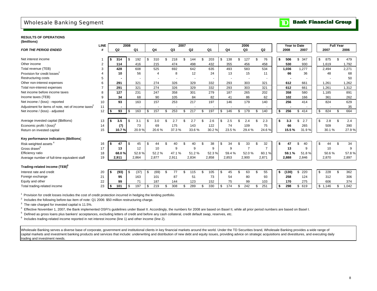## Wholesale Banking Segment



|                                                                | <b>LINE</b>    |     |                | 2008 |       |            |    |                | 2007 |                          |     |                |           |     | 2006                     |     |                | Year to Date |           |           | <b>Full Year</b> |       |
|----------------------------------------------------------------|----------------|-----|----------------|------|-------|------------|----|----------------|------|--------------------------|-----|----------------|-----------|-----|--------------------------|-----|----------------|--------------|-----------|-----------|------------------|-------|
| <b>FOR THE PERIOD ENDED</b>                                    | #              |     | Q <sub>2</sub> |      | Q1    | Q4         |    | Q3             |      | Q <sub>2</sub>           |     | Q <sub>1</sub> | Q4        |     | Q <sub>3</sub>           |     | Q2             | 2008         | 2007      | 2007      |                  | 2006  |
|                                                                |                |     |                |      |       |            |    |                |      |                          |     |                |           |     |                          |     |                |              |           |           |                  |       |
| Net interest income                                            |                | S.  | 314            | \$   | 192   | \$<br>310  | \$ | 218            |      | 144                      |     | 203            | \$<br>138 | \$  | 127                      |     | 76             | \$<br>506    | 347<br>\$ | \$<br>875 |                  | 479   |
| Other income                                                   | 2              |     | 114            |      | 416   | 215        |    | 474            |      | 498                      |     | 432            | 355       |     | 456                      |     | 458            | 530          | 930       | 1,619     |                  | 1,792 |
| Total revenue (TEB)                                            | 3              |     | 428            |      | 608   | 525        |    | 692            |      | 642                      |     | 635            | 493       |     | 583                      |     | 534            | 1.036        | 1.277     | 2.494     |                  | 2,271 |
| Provision for credit losses <sup>1</sup>                       | $\overline{4}$ |     | 10             |      | 56    | 4          |    | 8              |      | 12                       |     | 24             | 13        |     | 15                       |     | 11             | 66           | 36        | 48        |                  | 68    |
| Restructuring costs                                            | 5              |     |                |      |       |            |    | $\overline{a}$ |      | $\overline{\phantom{a}}$ |     |                |           |     | $\overline{\phantom{a}}$ |     |                |              |           |           |                  | 50    |
| Other non-interest expenses                                    | 6              |     | 291            |      | 321   | 274        |    | 326            |      | 329                      |     | 332            | 293       |     | 303                      |     | 321            | 612          | 661       | 1,261     |                  | 1,262 |
| Total non-interest expenses                                    | $\overline{7}$ |     | 291            |      | 321   | 274        |    | 326            |      | 329                      |     | 332            | 293       |     | 303                      |     | 321            | 612          | 661       | 1,261     |                  | 1,312 |
| Net income before income taxes                                 | 8              |     | 127            |      | 231   | 247        |    | 358            |      | 301                      |     | 279            | 187       |     | 265                      |     | 202            | 358          | 580       | 1,185     |                  | 891   |
| Income taxes (TEB)                                             | 9              |     | 34             |      | 68    | 90         |    | 105            |      | 84                       |     | 82             | 41        |     | 86                       |     | 62             | 102          | 166       | 361       |                  | 262   |
| Net income / (loss) - reported                                 | 10             |     | 93             |      | 163   | 157        |    | 253            |      | 217                      |     | 197            | 146       |     | 179                      |     | 140            | 256          | 414       | 824       |                  | 629   |
| Adjustment for items of note, net of income taxes <sup>2</sup> | 11             |     |                |      |       |            |    |                |      |                          |     |                |           |     |                          |     |                |              |           |           |                  | 35    |
| Net income / (loss) - adjusted                                 | 12             | \$  | 93             | \$   | 163   | \$<br>157  | £. | 253            | \$.  | 217                      |     | 197            | \$<br>146 | \$  | 179                      | \$. | 140            | \$<br>256    | \$<br>414 | \$<br>824 | \$               | 664   |
| Average invested capital (\$billions)                          | 13             | S.  | 3.5            | \$   | 3.1   | \$<br>3.0  | \$ | 2.7            |      | 2.7                      |     | 2.6            | \$<br>2.5 | \$. | 2.4                      |     | 2.3            | \$<br>3.3    | \$<br>2.7 | \$<br>2.8 | \$               | 2.4   |
| Economic profit / $(\text{loss})^3$                            | 14             |     | (7)            |      | 73    | 69         |    | 175            |      | 143                      |     | 122            | 74        |     | 109                      |     | 75             | 66           | 265       | 509       |                  | 390   |
| Return on invested capital                                     | 15             |     | 10.7%          |      | 20.9% | 20.6%      |    | 37.3%          |      | 33.6%                    |     | 30.2%          | 23.5%     |     | 29.4%                    |     | 24.6%          | 15.5%        | 31.9%     | 30.1%     |                  | 27.9% |
| Key performance indicators (\$billions)                        |                |     |                |      |       |            |    |                |      |                          |     |                |           |     |                          |     |                |              |           |           |                  |       |
| Risk-weighted assets <sup>4</sup>                              | 16             | \$  | 47             | \$   | 45    | \$<br>44   | \$ | 40             | \$   | 40                       |     | 38             | \$<br>34  | \$  | 33                       |     | 32             | \$<br>47     | \$<br>40  | \$<br>44  | \$.              | 34    |
| Gross drawn <sup>5</sup>                                       | 17             |     | 13             |      | 12    | 10         |    | 9              |      | 9                        |     | 9              | 9         |     | $\overline{7}$           |     | $\overline{7}$ | 13           | 9         | 10        |                  | 9     |
| Efficiency ratio                                               | 18             |     | 68.0%          |      | 52.8% | 52.2%      |    | 47.1%          |      | 51.2%                    |     | 52.3%          | 59.4%     |     | 52.0%                    |     | 60.1%          | 59.1%        | 51.8%     | 50.6%     |                  | 57.8% |
| Average number of full-time equivalent staff                   | 19             |     | 2,911          |      | 2,864 | 2,877      |    | 2,911          |      | 2,834                    |     | 2,858          | 2,853     |     | 2,900                    |     | 2,871          | 2.888        | 2,846     | 2,870     |                  | 2,897 |
| Trading-related income (TEB) <sup>6</sup>                      |                |     |                |      |       |            |    |                |      |                          |     |                |           |     |                          |     |                |              |           |           |                  |       |
| Interest rate and credit                                       | 20             | \$  | (93)           | \$   | (37)  | \$<br>(69) | \$ | 77             | \$   | 115                      | \$  | 105            | \$<br>45  | \$  | 63                       | \$  | 55             | \$<br>(130)  | \$<br>220 | \$<br>228 | \$               | 362   |
| Foreign exchange                                               | 21             |     | 95             |      | 163   | 101        |    | 87             |      | 51                       |     | 73             | 54        |     | 80                       |     | 93             | 258          | 124       | 312       |                  | 306   |
| Equity and other                                               | 22             |     | 99             |      | 71    | 187        |    | 144            |      | 123                      |     | 152            | 75        |     | 99                       |     | 103            | 170          | 275       | 606       |                  | 374   |
| Total trading-related income                                   | 23             | -\$ | 101            | \$   | 197   | \$<br>219  | \$ | 308            | \$   | 289                      | \$. | 330            | \$<br>174 | \$  | 242                      | \$  | 251            | \$<br>298    | \$<br>619 | \$1,146   | \$               | 1,042 |

1 Provision for credit losses includes the cost of credit protection incurred in hedging the lending portfolio.

<sup>2</sup> Includes the following before-tax item of note: Q1 2006: \$50 million restructuring charge.

 $3\text{ }$  The rate charged for invested capital is 11.5%.

<sup>4</sup> Effective November 1, 2007, the Bank implemented OSFI's guidelines under Basel II. Accordingly, the numbers for 2008 are based on Basel II, while all prior period numbers are based on Basel I.

<sup>5</sup> Defined as gross loans plus bankers' acceptances, excluding letters of credit and before any cash collateral, credit default swap, reserves, etc.

6 Includes trading-related income reported in net interest income (line 1) and other income (line 2).

Wholesale Banking serves a diverse base of corporate, government and institutional clients in key financial markets around the world. Under the TD Securities brand, Wholesale Banking provides a wide range of capital markets and investment banking products and services that include: underwriting and distribution of new debt and equity issues, providing advice on strategic acquisitions and divestitures, and executing daily trading and investment needs.

**Bank Financial Group** 

 $\mathbf{D}$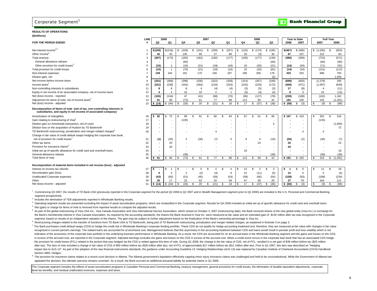### **RESULTS OF OPERATIONS(\$millions)** *FOR THE PERIOD ENDED*

| (\$millions)                                                                                                                              |                |                |                  |                  |                |                |                          |             |                     |                          |                     |                          |                      |                  |
|-------------------------------------------------------------------------------------------------------------------------------------------|----------------|----------------|------------------|------------------|----------------|----------------|--------------------------|-------------|---------------------|--------------------------|---------------------|--------------------------|----------------------|------------------|
|                                                                                                                                           | <b>LINE</b>    |                | 2008             |                  |                | 2007           |                          |             | 2006                |                          |                     | Year to Date             |                      | <b>Full Year</b> |
| <b>FOR THE PERIOD ENDED</b>                                                                                                               | #              | Q <sub>2</sub> | Q <sub>1</sub>   | Q4               | Q3             | Q <sub>2</sub> | Q1                       | Q4          | Q3                  | Q2                       | 2008                | 2007                     | 2007                 | 2006             |
| Net interest income <sup>2,3</sup>                                                                                                        |                | \$(249)        | \$(218)          | \$<br>(328)      | (241)<br>S.    | (209)<br>s.    | (257)<br>\$.             | \$<br>(125) | \$(174)             | \$(185)                  | \$(467)             | \$ (466)                 | \$(1,035)            | (654)<br>Ŝ.      |
| Other income <sup>3</sup>                                                                                                                 | $\overline{2}$ | 42             | 45               | 145              | 60             | 27             | 80                       | 20          | (3)                 | 36                       | 87                  | 107                      | 312                  | 83               |
| Total revenue                                                                                                                             | 3              | (207)          | (173)            | (183)            | (181)          | (182)          | (177)                    | (105)       | (177)               | (149)                    | (380)               | (359)                    | (723)                | (571)            |
| General allowance release                                                                                                                 |                |                |                  | (60)             |                |                |                          |             |                     | (60)                     |                     |                          | (60)                 | (60)             |
| Other provision for credit losses <sup>3</sup>                                                                                            | 5              | (15)           | -1               | (16)             | (21)           | (18)           | (16)                     | 10          | (20)                | (21)                     | (14)                | (34)                     | (71)                 | (52)             |
| Total provision for credit losses                                                                                                         | 6              | (15)           | $\overline{1}$   | (76)             | (21)           | (18)           | (16)                     | 10          | (20)                | (81)                     | (14)                | (34)                     | (131)                | (112)            |
| Non-interest expenses                                                                                                                     |                | 139            | 194              | 191              | 170            | 158            | 167                      | 199         | 200                 | 176                      | 333                 | 325                      | 686                  | 755              |
| Dilution gain, net                                                                                                                        | 8              |                |                  |                  |                |                |                          |             |                     | (5)                      |                     | $\overline{\phantom{a}}$ |                      | 1,559            |
| Net income before income taxes                                                                                                            | 9              | (331)          | (368)            | (298)            | (330)          | (322)          | (328)                    | (314)       | (357)               | (249)                    | (699)               | (650)                    | (1, 278)             | 345              |
| Income taxes <sup>2</sup>                                                                                                                 | 10             | (231)          | (238)            | (343)            | (283)          | (218)          | (253)                    | (220)       | (229)               | (172)                    | (469)               | (471)                    | (1,097)              | (839)            |
| Non-controlling interests in subsidiaries                                                                                                 | 11             | 9              | 8                | 8                | $\overline{4}$ | (4)            | (4)                      | (3)         | (5)                 | (3)                      | 17                  | (8)                      | $\overline{4}$       | (11)             |
| Equity in net income of an associated company, net of income taxes                                                                        | 12             | 4              | 4                | 10 <sup>10</sup> | 10             | $\overline{2}$ | $\overline{1}$           | (5)         | (4)                 | (4)                      | 8                   | 3                        | 23                   | (13)             |
| Net (loss) income - reported                                                                                                              | 13             | (105)          | (134)            | 47               | (41)           | (98)           | (70)                     | (96)        | (127)               | (78)                     | (239)               | (168)                    | (162)                | 1,182            |
| Adjustment for items of note, net of income taxes <sup>4</sup>                                                                            | 14             | 91             | 90               | (73)             | 61             | 77             | 88                       | 113         | 90                  | 42                       | 181                 | 165                      | 153                  | (1, 281)         |
| Net (loss) income - adjusted                                                                                                              | 15             | \$ (14)        | (44)<br>S        | (26)<br>\$       | 20<br>-S       | (21)<br>£.     | 18                       | \$<br>17    | (37)<br>S           | (36)<br>S.               | \$ (58)             | \$<br>(3)                | (9)<br>$\mathcal{S}$ | (99)<br>Ŝ.       |
| Decomposition of items of note (net of tax, non-controlling interests in<br>subsidiaries, and equity in net income of associated company) |                |                |                  |                  |                |                |                          |             |                     |                          |                     |                          |                      |                  |
| Amortization of intangibles                                                                                                               | 16             | 92<br>l S      | 75<br>Ŝ.         | 99<br>\$         | -S<br>91       | 80<br>\$.      | 83<br>\$.                | 87<br>\$    | S<br>61             | 86<br>\$.                | \$167               | \$163                    | 353<br>-9            | Ŝ.<br>316        |
| Gain relating to restructuring of Visa <sup>5</sup>                                                                                       | 17             |                |                  | (135)            |                |                |                          |             |                     | $\overline{\phantom{a}}$ |                     |                          | (135)                |                  |
| Dilution gain on Ameritrade transaction, net of costs                                                                                     | 18             |                |                  |                  |                |                | $\overline{\phantom{a}}$ |             |                     | 5                        |                     |                          |                      | (1,665)          |
| Dilution loss on the acquisition of Hudson by TD Banknorth                                                                                | 19             |                |                  |                  |                |                | ٠                        |             |                     | $\overline{\phantom{a}}$ |                     |                          |                      | 72               |
| TD Banknorth restructuring, privatization and merger-related charges <sup>6</sup>                                                         | 20             |                |                  |                  |                | 4              | $\overline{\phantom{a}}$ |             |                     |                          |                     | 4                        | $\overline{4}$       |                  |
| Change in fair value of credit default swaps hedging the corporate loan book,                                                             |                |                |                  |                  |                |                |                          |             |                     |                          |                     |                          |                      |                  |
| net of provision for credit losses <sup>7</sup>                                                                                           | 21             | (1)            | (25)             | $\overline{2}$   | (30)           | (7)            | 5                        | 8           | 5                   | (10)                     | (26)                | (2)                      | (30)                 | (7)              |
| Other tax items                                                                                                                           | 22             |                | 20               |                  |                |                | ٠                        |             | 24                  | ٠                        | 20                  |                          |                      | 24               |
| Provision for insurance claims <sup>8</sup>                                                                                               | 23             |                | 20               |                  |                |                | $\overline{\phantom{a}}$ |             |                     | ٠                        | 20                  |                          |                      |                  |
| Initial set up of specific allowance for credit card and overdraft loans                                                                  | 24             |                |                  |                  |                |                | $\overline{\phantom{a}}$ | 18          |                     | $\sim$                   |                     |                          |                      | 18               |
| General allowance release                                                                                                                 | 25             |                |                  | (39)             |                |                | $\overline{\phantom{a}}$ |             |                     | (39)                     |                     |                          | (39)                 | (39)             |
| Total items of note                                                                                                                       | 26             | 91<br>s.       | $\frac{1}{5}$ 90 | \$<br>(73)       | 61<br>-S       | 77<br>\$.      | 88<br>\$.                | \$<br>113   | 90<br>S             | 42<br>\$                 | $\overline{\$}$ 181 | $$ \frac{165}{ }$        | 153<br>-S            | \$(1,281)        |
| Decomposition of material items included in net income (loss) - adjusted                                                                  |                |                |                  |                  |                |                |                          |             |                     |                          |                     |                          |                      |                  |
| Interest on income tax refunds                                                                                                            | 27             | ∣ \$           | £.               | \$               | -S<br>5        | \$.<br>2       | \$.<br>$\overline{4}$    | 13<br>\$.   | S<br>$\overline{2}$ | 3<br>\$.                 | s<br>-1             | \$.<br>6                 | 11<br>-9             | Ŝ.<br>18         |
| Securitization gain (loss)                                                                                                                | 28             | 9              | 3                | $\overline{2}$   | (2)            | (4)            | 9                        | 15          | (11)                | (5)                      | 12                  | 5                        | 5                    | (4)              |
| Unallocated Corporate expenses                                                                                                            | 29             | (43)           | (65)             | (51)             | (45)           | (39)           | (54)                     | (58)        | (66)                | (54)                     | (108)               | (93)                     | (189)                | (234)            |
| Other                                                                                                                                     | 30             | 20             | 17               | 23               | 62             | 20             | 59                       | 47          | 38                  | 20                       | 37                  | 79                       | 164                  | 121              |
| Net (loss) income - adjusted                                                                                                              | 31             | (14)<br>  \$   | \$<br>(44)       | (26)<br>\$       | 20<br>-S       | (21)<br>\$     | 18<br>- \$               | \$<br>17    | (37)<br>\$          | (36)<br>\$               | \$ (58)             | (3)<br>\$                | (9)<br>-S            | (99)<br>\$       |
|                                                                                                                                           |                |                |                  |                  |                |                |                          |             |                     |                          |                     |                          |                      |                  |

<sup>1</sup> Commencing Q3 2007, the results of TD Bank USA (previously reported in the Corporate segment for the period Q2 2006 to Q2 2007 and in Wealth Management segment prior to Q2 2006) are included in the U.S. Personal and Co segment prospectively.

<sup>2</sup> Includes the elimination of TEB adiustments reported in Wholesale Banking results.

<sup>3</sup> Operating segment results are presented excluding the impact of asset securitization programs, which are reclassified in the Corporate segment. Results for Q4 2006 included an initial set up of specific allowance for c 4 Net (gain) or charge for items of note is removed from reported results to compute the adjusted results.

5 As part of the global restructuring of Visa USA Inc., Visa Canada Association and Visa International Service Association, which closed on October 3, 2007 (restructuring date), the Bank received shares of the new global e

the Bank's membership interest in Visa Canada Association. As required by the accounting standards, the shares the Bank received in Visa Inc. were measured at fair value and an estimated gain of \$135 million after tax was segment, based on results of an independent valuation of the shares. The gain may be subject to further adjustment based on the finalization of the Bank's ownership percentage in Visa Inc.

Restructuring charges related to the transfer of functions from TD Bank USA to TD Banknorth, being part of TD Banknorth restructuring, privatization and merger-related charges, as explained in footnote 3 on page 3.

The Bank purchases credit default swaps (CDS) to hedge the credit risk in Wholesale Banking's corporate lending portfolio. These CDS do not qualify for hedge accounting treatment and, therefore, they are measured at fair v recognized in current period's earnings. The related loans are accounted for at amortized cost. Management believes that this asymmetry in the accounting treatment between CDS and loans would result in periodic profit and indicative of the economics of the corporate loan portfolio or the underlying business performance in Wholesale Banking. As a result, the CDS are accounted for on an accrual basis in the Wholesale Banking segment and the g in excess of the accrued cost, are reported in the Corporate segment. Adjusted earnings excludes the gains and losses on the CDS in excess of the accrued cost. When a credit event occurs in the corporate loan book that has the provision for credit losses (PCL) related to the portion that was hedged via the CDS is netted against this item of note. During Q1 2008, the change in the fair value of CDS, net of PCL, resulted in a net gain of \$38 m after tax). The item of note included a change in fair value of CDS of \$55 million before tax (\$36 million after tax), net of PCL of approximately \$17 million before tax (\$11 million after tax). Prior to Q1 2007, this item impact due to AcG-13". As part of the adoption of the new financial instruments standards, the quidance under Accounting Guideline 13: Hedging Relationships (AcG-13) was replaced by Canadian Institute of Chartered Accounta Section 3865, Hedges.

The provision for insurance claims relates to a recent court decision in Alberta. The Alberta government's legislation effectively capping minor injury insurance claims was challenged and held to be unconstitutional. While appealed the decision, the ultimate outcome remains uncertain. As a result, the Bank accrued an additional actuarial liability for potential claims in Q1 2008.

The Corporate segment includes the effects of asset securitization programs in Canadian Personal and Commercial Banking, treasury management, general provisions for credit losses, the elimination of taxable equivalent adju level tax benefits, and residual unallocated revenues, expenses and taxes.

#### **Bank Financial Group**  $\blacksquare$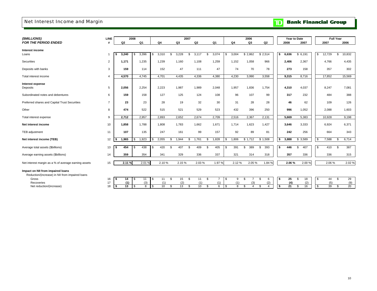## Net Interest Income and Margin

# **TD** Bank Financial Group

| (\$MILLIONS)                                         | LINE           |                | 2008           |          |       |                | 2007               |                |                |                |             | 2006      |                |      | Year to Date |                      |             | <b>Full Year</b> |        |
|------------------------------------------------------|----------------|----------------|----------------|----------|-------|----------------|--------------------|----------------|----------------|----------------|-------------|-----------|----------------|------|--------------|----------------------|-------------|------------------|--------|
| <b>FOR THE PERIOD ENDED</b>                          | #              | Q <sub>2</sub> | Q <sub>1</sub> |          | Q4    | Q3             |                    | Q <sub>2</sub> |                | Q1             | Q4          | Q3        | Q <sub>2</sub> |      | 2008         | 2007                 | 2007        |                  | 2006   |
|                                                      |                |                |                |          |       |                |                    |                |                |                |             |           |                |      |              |                      |             |                  |        |
| Interest income                                      |                | 3,240          |                |          |       | 3.228<br>\$    | \$                 |                | \$             | 3,074          |             | \$2,862   |                | - \$ |              |                      | \$          | S.               |        |
| Loans                                                |                | -S             | 3,396<br>S.    | S.       | 3,310 |                |                    | 3,117          |                |                | 3,004<br>S. |           | \$2,514        |      | 6,636        | \$6,191              | 12,729      |                  | 10,832 |
| Securities                                           | $\overline{2}$ | 1,171          | 1,235          |          | 1,239 | 1.160          |                    | 1,108          |                | 1,259          | 1,152       | 1,058     | 966            |      | 2,406        | 2,367                | 4,766       |                  | 4,435  |
| Deposits with banks                                  | 3              | 159            | 114            |          | 152   |                | 47                 | 111            |                | 47             | 74          | 70        | 78             |      | 273          | 158                  | 357         |                  | 302    |
| Total interest income                                | 4              | 4,570          | 4,745          |          | 4.701 | 4,435          |                    | 4,336          |                | 4,380          | 4,230       | 3,990     | 3,558          |      | 9,315        | 8,716                | 17,852      |                  | 15,569 |
| Interest expense                                     |                |                |                |          |       |                |                    |                |                |                |             |           |                |      |              |                      |             |                  |        |
| Deposits                                             | 5              | 2,056          | 2,254          |          | 2,223 | 1,987          |                    | 1,989          |                | 2,048          | 1,957       | 1,836     | 1,754          |      | 4,310        | 4,037                | 8,247       |                  | 7,081  |
|                                                      |                |                |                |          |       |                |                    |                |                |                |             |           |                |      |              |                      |             |                  |        |
| Subordinated notes and debentures                    | 6              | 159            | 158            |          | 127   |                | 125                | 124            |                | 108            | 96          | 107       | 99             |      | 317          | 232                  | 484         |                  | 388    |
| Preferred shares and Capital Trust Securities        | $\overline{7}$ | 23             | 23             |          | 28    |                | 19                 | 32             |                | 30             | 31          | 28        | 28             |      | 46           | 62                   | 109         |                  | 126    |
| Other                                                | 8              | 474            | 522            |          | 515   |                | 521                | 529            |                | 523            | 432         | 396       | 250            |      | 996          | 1,052                | 2,088       |                  | 1,603  |
| Total interest expense                               | 9              | 2,712          | 2,957          |          | 2,893 | 2,652          |                    | 2,674          |                | 2,709          | 2,516       | 2,367     | 2,131          |      | 5,669        | 5,383                | 10,928      |                  | 9,198  |
| Net interest income                                  | 10             | 1,858          | 1.788          |          | 1,808 | 1.783          |                    | 1.662          |                | 1.671          | 1,714       | 1,623     | 1,427          |      | 3,646        | 3,333                | 6,924       |                  | 6,371  |
| TEB adjustment                                       | 11             | 107            | 135            |          | 247   |                | 161                | 99             |                | 157            | 92          | 89        | 81             |      | 242          | 256                  | 664         |                  | 343    |
| Net interest income (TEB)                            | 12             | 1.965<br>s.    | 1.923<br>\$    |          | 2,055 | 1.944<br>Я.    | \$                 | 1.761          | \$             | 1.828          | 1.806<br>S. | \$1.712   | \$1,508        | -S   | 3,888        | \$3,589              | \$<br>7,588 | \$               | 6,714  |
| Average total assets (\$billions)                    | 13             | 454<br>- \$    | 438<br>-\$     |          | 420   | \$             | 407<br>\$          | 409            | \$             | 405            | 391<br>£.   | \$<br>389 | 393<br>\$      | - \$ | 446          | \$<br>407            | \$<br>410   | \$               | 387    |
|                                                      |                |                |                |          |       |                |                    |                |                |                |             |           |                |      |              |                      |             |                  |        |
| Average earning assets (\$billions)                  | 14             | 359            | 354            |          | 341   |                | 329                | 336            |                | 337            | 321         | 314       | 318            |      | 357          | 336                  | 336         |                  | 315    |
| Net interest margin as a % of average earning assets | 15             | 2.11%          | 2.01%          |          | 2.10% |                | 2.15%              | 2.03%          |                | 1.97%          | 2.12%       | 2.05%     | 1.84 %         |      | 2.06%        | 2.00%                | 2.06%       |                  | 2.02%  |
| Impact on NII from impaired loans                    |                |                |                |          |       |                |                    |                |                |                |             |           |                |      |              |                      |             |                  |        |
| Reduction/(increase) in NII from impaired loans      |                |                |                |          |       |                |                    |                |                |                |             |           |                |      |              |                      |             |                  |        |
| Gross                                                | 16             | 14<br>- 5      | 11<br>-\$      | <b>S</b> | 11    | \$             | 15<br>\$           | 11             | \$             | $\overline{7}$ | \$<br>9     | \$        | 6<br>\$        | ΙSΙ  | 25           | 18<br>\$             | \$<br>44    | \$               | 29     |
| Recoveries                                           | 17             | (1)            | (3)            |          | (1)   |                | (2)                | (1)            |                | (1)            | (1)         |           | (2)            |      | (4)          | (2)                  | (5)         |                  | (9)    |
| Net reduction/(increase)                             | 18             | \$<br>13       | \$<br>8        |          | 10    | $\mathfrak{s}$ | 13<br>$\mathbf{s}$ | 10             | $\mathfrak{s}$ | 6              | 8<br>\$     | £.<br>4   | $\overline{4}$ | \$   | 21           | 16<br>$\mathfrak{L}$ | \$<br>39    | \$               | 20     |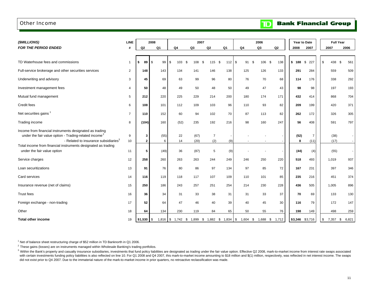## Other Income

**Bank Financial Group**  $\mathbf{D}$ 

| (\$MILLIONS)                                                                                                                                                                                                                                      | <b>LINE</b>    |                   | 2008       |                | 2007         |                       |                |                                                           | 2006        |                |           | Year to Date           | <b>Full Year</b> |             |
|---------------------------------------------------------------------------------------------------------------------------------------------------------------------------------------------------------------------------------------------------|----------------|-------------------|------------|----------------|--------------|-----------------------|----------------|-----------------------------------------------------------|-------------|----------------|-----------|------------------------|------------------|-------------|
| <b>FOR THE PERIOD ENDED</b>                                                                                                                                                                                                                       |                | Q <sub>2</sub>    | Q1         | Q <sub>4</sub> | Q3           | Q <sub>2</sub>        | Q <sub>1</sub> | Q <sub>4</sub>                                            | Q3          | Q2             | 2008      | 2007                   | 2007             | 2006        |
| TD Waterhouse fees and commissions                                                                                                                                                                                                                | -1             | 89<br>s.          | l \$<br>99 | \$<br>103      | -\$<br>108   | 115 \$<br>-\$         | 112S           | 91                                                        | 106<br>- \$ | 138<br>- \$    | \$188     | \$227                  | \$<br>438        | - \$<br>561 |
| Full-service brokerage and other securities services                                                                                                                                                                                              | $\overline{2}$ | 148               | 143        | 134            | 141          | 146                   | 138            | 125                                                       | 126         | 133            | 291       | 284                    | 559              | 509         |
| Underwriting and advisory                                                                                                                                                                                                                         | 3              | 45                | 69         | 63             | 99           | 96                    | 80             | 76                                                        | 70          | 68             | 114       | 176                    | 338              | 292         |
| Investment management fees                                                                                                                                                                                                                        | $\overline{4}$ | 50                | 48         | 49             | 50           | 48                    | 50             | 49                                                        | 47          | 43             | 98        | 98                     | 197              | 193         |
| Mutual fund management                                                                                                                                                                                                                            | 5              | 212               | 220        | 225            | 229          | 214                   | 200            | 180                                                       | 174         | 171            | 432       | 414                    | 868              | 704         |
| Credit fees                                                                                                                                                                                                                                       | 6              | 108               | 101        | 112            | 109          | 103                   | 96             | 110                                                       | 93          | 82             | 209       | 199                    | 420              | 371         |
| Net securities gains                                                                                                                                                                                                                              | $\overline{7}$ | 110               | 152        | 60             | 94           | 102                   | 70             | 87                                                        | 113         | 82             | 262       | 172                    | 326              | 305         |
| Trading income                                                                                                                                                                                                                                    | 8              | (104)             | 160        | (52)           | 235          | 192                   | 216            | 98                                                        | 160         | 247            | 56        | 408                    | 591              | 797         |
| Income from financial instruments designated as trading<br>under the fair value option - Trading-related income <sup>2</sup><br>- Related to insurance subsidiaries <sup>3</sup><br>Total income from financial instruments designated as trading | 9<br>10        | 3<br>$\mathbf{2}$ | (55)<br>6  | 22<br>14       | (67)<br>(20) | $\overline{7}$<br>(2) | (9)            |                                                           |             |                | (52)<br>8 | $\overline{7}$<br>(11) | (38)<br>(17)     |             |
| under the fair value option                                                                                                                                                                                                                       | 11             | 5                 | (49)       | 36             | (87)         | 5                     | (9)            |                                                           |             |                | (44)      | (4)                    | (55)             |             |
| Service charges                                                                                                                                                                                                                                   | 12             | 258               | 260        | 263            | 263          | 244                   | 249            | 246                                                       | 250         | 220            | 518       | 493                    | 1,019            | 937         |
| Loan securitizations                                                                                                                                                                                                                              | 13             | 91                | 76         | 80             | 86           | 97                    | 134            | 97                                                        | 85          | 72             | 167       | 231                    | 397              | 346         |
| Card services                                                                                                                                                                                                                                     | 14             | 116               | 119        | 118            | 117          | 107                   | 109            | 110                                                       | 101         | 85             | 235       | 216                    | 451              | 374         |
| Insurance revenue (net of claims)                                                                                                                                                                                                                 | 15             | 250               | 186        | 243            | 257          | 251                   | 254            | 214                                                       | 230         | 228            | 436       | 505                    | 1,005            | 896         |
| <b>Trust fees</b>                                                                                                                                                                                                                                 | 16             | 36                | 34         | 31             | 33           | 38                    | 31             | 31                                                        | 33          | 37             | 70        | 69                     | 133              | 130         |
| Foreign exchange - non-trading                                                                                                                                                                                                                    | 17             | 52                | 64         | 47             | 46           | 40                    | 39             | 40                                                        | 45          | 30             | 116       | 79                     | 172              | 147         |
| Other                                                                                                                                                                                                                                             | 18             | 64                | 134        | 230            | 119          | 84                    | 65             | 50                                                        | 55          | 76             | 198       | 149                    | 498              | 259         |
| <b>Total other income</b>                                                                                                                                                                                                                         | 19             |                   |            |                |              |                       |                | 1,816   \$ 1,742 \$ 1,899 \$ 1,882 \$ 1,834   \$ 1,604 \$ |             | 1,688 \$ 1,712 |           | \$3,346 \$3,716        | \$<br>7,357 \$   | 6,821       |

<sup>1</sup> Net of balance sheet restructuring charge of \$52 million in TD Banknorth in Q1 2006.

 $2$  These gains (losses) are on instruments managed within Wholesale Banking's trading portfolios.

with certain investments funding policy liabilities is also reflected on line 10. For Q1 2008 and Q4 2007, this mark-to-market income amounting to \$18 million and \$(1) million, respectively, was reflected in net interest i did not exist prior to Q4 2007. Due to the immaterial nature of the mark-to-market income in prior quarters, no retroactive reclassification was made. <sup>3</sup> Within the Bank's property and casualty insurance subsidiaries, investments that fund policy liabilities are designated as trading under the fair value option. Effective Q2 2008, mark-to-market income from interest rat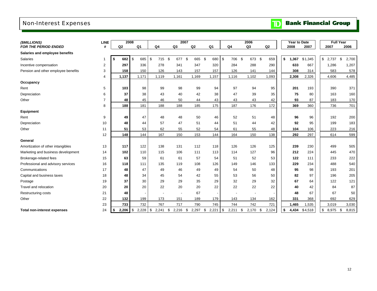# Non-Interest Expenses

# **TD** Bank Financial Group

| (\$MILLIONS)                        | <b>LINE</b>    | 2008        |                          |                |             | 2007           |                |                | 2006             |                | <b>Year to Date</b> |         | <b>Full Year</b>      |             |
|-------------------------------------|----------------|-------------|--------------------------|----------------|-------------|----------------|----------------|----------------|------------------|----------------|---------------------|---------|-----------------------|-------------|
| <b>FOR THE PERIOD ENDED</b>         |                | Q2          | Q1                       | Q <sub>4</sub> | Q3          | Q <sub>2</sub> | Q <sub>1</sub> | Q <sub>4</sub> | Q3               | Q <sub>2</sub> | 2008                | 2007    | 2007                  | 2006        |
| Salaries and employee benefits      |                |             |                          |                |             |                |                |                |                  |                |                     |         |                       |             |
| Salaries                            | -1             | \$<br>682   | \$<br>685                | \$<br>715      | \$<br>677   | \$<br>665      | \$<br>680      | \$<br>706      | \$<br>673        | \$<br>659      | \$<br>1,367         | \$1,345 | $\mathbb{S}$<br>2,737 | \$<br>2,700 |
| Incentive compensation              | 2              | 297         | 336                      | 278            | 341         | 347            | 320            | 284            | 288              | 290            | 633                 | 667     | 1.286                 | 1,207       |
| Pension and other employee benefits | 3              | 158         | 150                      | 126            | 143         | 157            | 157            | 126            | 141              | 144            | 308                 | 314     | 583                   | 578         |
|                                     | 4              | 1,137       | 1,171                    | 1,119          | 1,161       | 1,169          | 1,157          | 1,116          | 1,102            | 1,093          | 2,308               | 2,326   | 4,606                 | 4,485       |
| Occupancy                           |                |             |                          |                |             |                |                |                |                  |                |                     |         |                       |             |
| Rent                                | 5              | 103         | 98                       | 99             | 98          | 99             | 94             | 97             | 94               | 95             | 201                 | 193     | 390                   | 371         |
| Depreciation                        | 6              | 37          | 38                       | 43             | 40          | 42             | 38             | 47             | 39               | 35             | 75                  | 80      | 163                   | 160         |
| Other                               | $\overline{7}$ | 48          | 45                       | 46             | 50          | 44             | 43             | 43             | 43               | 42             | 93                  | 87      | 183                   | 170         |
|                                     | 8              | 188         | 181                      | 188            | 188         | 185            | 175            | 187            | 176              | 172            | 369                 | 360     | 736                   | 701         |
| <b>Equipment</b>                    |                |             |                          |                |             |                |                |                |                  |                |                     |         |                       |             |
| Rent                                | 9              | 49          | 47                       | 48             | 48          | 50             | 46             | 52             | 51               | 48             | 96                  | 96      | 192                   | 200         |
| Depreciation                        | 10             | 48          | 44                       | 57             | 47          | 51             | 44             | 51             | 44               | 42             | 92                  | 95      | 199                   | 183         |
| Other                               | 11             | 51          | 53                       | 62             | 55          | 52             | 54             | 61             | 55               | 48             | 104                 | 106     | 223                   | 216         |
|                                     | 12             | 148         | 144                      | 167            | 150         | 153            | 144            | 164            | 150              | 138            | 292                 | 297     | 614                   | 599         |
| General                             |                |             |                          |                |             |                |                |                |                  |                |                     |         |                       |             |
| Amortization of other intangibles   | 13             | 117         | 122                      | 138            | 131         | 112            | 118            | 126            | 126              | 125            | 239                 | 230     | 499                   | 505         |
| Marketing and business development  | 14             | 102         | 110                      | 115            | 106         | 111            | 113            | 114            | 127              | 96             | 212                 | 224     | 445                   | 470         |
| Brokerage-related fees              | 15             | 63          | 59                       | 61             | 61          | 57             | 54             | 51             | 52               | 53             | 122                 | 111     | 233                   | 222         |
| Professional and advisory services  | 16             | 118         | 111                      | 135            | 119         | 108            | 126            | 149            | 146              | 133            | 229                 | 234     | 488                   | 540         |
| Communications                      | 17             | 48          | 47                       | 49             | 46          | 49             | 49             | 54             | 50               | 48             | 95                  | 98      | 193                   | 201         |
| Capital and business taxes          | 18             | 48          | 34                       | 45             | 54          | 42             | 55             | 53             | 56               | 50             | 82                  | 97      | 196                   | 205         |
| Postage                             | 19             | 37          | 30                       | 29             | 29          | 35             | 29             | 32             | 29               | 32             | 67                  | 64      | 122                   | 121         |
| Travel and relocation               | 20             | 20          | 20                       | 22             | 20          | 20             | 22             | 22             | 22               | 22             | 40                  | 42      | 84                    | 87          |
| <b>Restructuring costs</b>          | 21             | 48          |                          |                |             | 67             |                |                |                  |                | 48                  | 67      | 67                    | 50          |
| Other                               | 22             | 132         | 199                      | 173            | 151         | 189            | 179            | 143            | 134              | 162            | 331                 | 368     | 692                   | 629         |
|                                     | 23             | 733         | 732                      | 767            | 717         | 790            | 745            | 744            | 742              | 721            | 1,465               | 1,535   | 3,019                 | 3,030       |
| <b>Total non-interest expenses</b>  | 24             | 2,206<br>\$ | $\sqrt{3}$<br>$2,228$ \$ | 2,241          | \$<br>2,216 | \$<br>2,297    | \$<br>2,221    | \$<br>2,211    | $2,170$ \$<br>\$ | 2,124          | \$<br>4,434         | \$4,518 | \$<br>8,975           | 8,815<br>\$ |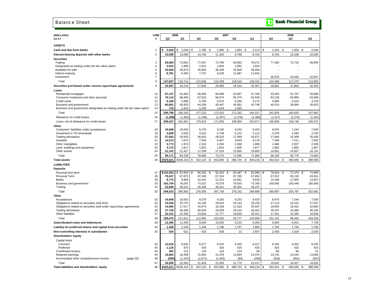### Balance Sheet

## **The Bank Financial Group**

| (\$MILLIONS)                                                              | LINE           |                  | 2008            |                              | 2007            |                |                 |                    | 2006            |                 |
|---------------------------------------------------------------------------|----------------|------------------|-----------------|------------------------------|-----------------|----------------|-----------------|--------------------|-----------------|-----------------|
| AS AT                                                                     | Ħ              | Q2               | Q1              | Q4                           | Q3              | Q2             | Q1              | Q4                 | Q3              | Q <sub>2</sub>  |
| <b>ASSETS</b>                                                             |                |                  |                 |                              |                 |                |                 |                    |                 |                 |
| Cash and due from banks                                                   | $\mathbf{1}$   | 2,520            | 2,036<br>\$     | \$<br>1,790                  | \$<br>1,986     | \$<br>1,994    | 2,113<br>\$     | \$<br>2,019<br>\$  | 1,958<br>- \$   | 2,046           |
| Interest-bearing deposits with other banks                                | $\overline{2}$ | 15,599           | 13,099          | 14,746                       | 11,343          | 9,796          | 8,724           | 8,763              | 10,236          | 10,295          |
| <b>Securities</b>                                                         |                |                  |                 |                              |                 |                |                 |                    |                 |                 |
| Trading                                                                   | 3              | 83,084           | 73,651          | 77,637                       | 72,756          | 69,093         | 78,071          | 77,482             | 73,733          | 69,809          |
| Designated as trading under the fair value option                         | 4              | 2,043            | 1,984           | 2,012                        | 1,935           | 1,862          | 1,916           |                    |                 |                 |
| Available-for-sale                                                        | 5              | 53,929           | 35,674          | 35,650                       | 36,209          | 35,668         | 38,394          |                    |                 |                 |
| Held-to-maturity                                                          | 6              | 8,781            | 8,405           | 7,737                        | 8,528           | 11,887         | 11,810          |                    |                 |                 |
| Investment                                                                | 7              |                  |                 |                              |                 |                |                 | 46,976             | 43,542          | 42,847          |
| Total                                                                     | 8              | 147,837          | 119,714         | 123,036                      | 119,428         | 118,510        | 130,191         | 124,458            | 117,275         | 112,656         |
| Securities purchased under reverse repurchase agreements                  | 9              | 33,067           | 34,234          | 27,648                       | 25,905          | 25,434         | 32,357          | 30,961             | 27,854          | 32,344          |
| Loans                                                                     |                |                  |                 |                              |                 |                |                 |                    |                 |                 |
| Residential mortgages                                                     | 10             | 67,137           | 61,662          | 58,485                       | 56,096          | 53,997         | 51,794          | 53,425             | 51,767          | 50,868          |
| Consumer instalment and other personal                                    | 11             | 75,114           | 68,405          | 67,532                       | 66,574          | 65,370         | 63,520          | 63,130             | 63,995          | 63,308          |
| Credit cards                                                              | 12             | 6,166            | 5,898           | 5,700                        | 5,574           | 5,369          | 5,175           | 4,856              | 4,419           | 3,764           |
| Business and government                                                   | 13             | 60,661           | 45,803          | 44,258                       | 43,447          | 45,081         | 43,748          | 40,514             | 39,844          | 39,923          |
| Business and government designated as trading under the fair value option | 14             | 718              | 1,425           | 1,235                        | 1,619           | 1,465          |                 |                    |                 |                 |
| Total                                                                     | 15             | 209,796          | 183,193         | 177,210                      | 173,310         | 171,282        | 164,237         | 161,925            | 160,025         | 157,863         |
| Allowance for credit losses                                               | 16             | (1, 369)         | (1, 362)        | (1,295)                      | (1, 357)        | (1,378)        | (1, 366)        | (1, 317)           | (1, 279)        | (1, 291)        |
| Loans, net of allowance for credit losses                                 | 17             | 208,427          | 181,831         | 175,915                      | 171,953         | 169,904        | 162,871         | 160,608            | 158,746         | 156,572         |
| Other                                                                     |                |                  |                 |                              |                 |                |                 |                    |                 |                 |
| Customers' liabilities under acceptances                                  | 18             | 10,848           | 10,633          | 9,279                        | 9,192           | 9,233          | 8,425           | 8,676              | 7,244           | 7,035           |
| Investment in TD Ameritrade                                               | 19             | 4.829            | 4,593           | 4,515                        | 4,749           | 5.131          | 5,113           | 4,379              | 4,284           | 3,783           |
| <b>Trading derivatives</b>                                                | 20<br>21       | 37,602<br>14,213 | 35,920<br>7,875 | 36,052                       | 29,520<br>8,407 | 27,569         | 26,871<br>8.176 | 27,845             | 32,308          | 35,430<br>7,652 |
| Goodwill<br>Other intangibles                                             | 22             | 3,773            | 1,974           | 7,918<br>2,104               | 2,264           | 8,940<br>2,368 | 1,896           | 7,396<br>1,946     | 7,411<br>2,007  | 2,185           |
| Land, buildings and equipment                                             | 23             | 3,715            | 1,817           | 1,822                        | 1,824           | 1,905          | 1,877           | 1,862              | 1,865           | 1,857           |
| Other assets                                                              | 24             | 21,191           | 21,427          | 17,299                       | 17,319          | 15,950         | 19,602          | 14,001             | 14,657          | 16,741          |
| Total                                                                     | 25             | 96,171           | 84,239          | 78,989                       | 73,275          | 71,096         | 71,960          | 66,105             | 69,776          | 74,683          |
| <b>Total assets</b>                                                       | 26             | \$503,621        | \$435,153       | \$<br>422,124                | 403,890<br>\$   | \$<br>396,734  | 408,216<br>\$   | \$<br>392,914 \$   | 385,845<br>- \$ | 388,596         |
| <b>LIABILITIES</b>                                                        |                |                  |                 |                              |                 |                |                 |                    |                 |                 |
| <b>Deposits</b>                                                           |                |                  |                 |                              |                 |                |                 |                    |                 |                 |
| Personal Non-term                                                         | 27             | \$110,453        | 83,934<br>\$    | 80,256<br>\$                 | \$<br>82,203    | \$<br>83,487   | \$<br>82,986    | 79,624<br>\$<br>\$ | 72,376<br>- \$  | 74,995          |
| Personal Term                                                             | 28             | 75,037           | 67,875          | 67,305                       | 67,319          | 67,785         | 67,652          | 67,012             | 65,116          | 63,831          |
| Banks                                                                     | 29             | 8,773            | 8,966           | 10,162                       | 12,214          | 12,681         | 9,033           | 14,186             | 17,855          | 13,597          |
| Business and government                                                   | 30             | 102,704          | 78,267          | 73,322                       | 70,579          | 70,655         | 73,780          | 100,085            | 100,440         | 100,568         |
| Trading                                                                   | 31             | 52,556           | 46.641          | 45,348                       | 35,421          | 35,554         | 36,237          |                    |                 |                 |
| Total                                                                     | 32             | 349,523          | 285,683         | 276,393                      | 267,736         | 270,162        | 269,688         | 260,907            | 255,787         | 252,991         |
| Other                                                                     |                |                  |                 |                              |                 |                |                 |                    |                 |                 |
| Acceptances                                                               | 33             | 10,848           | 10,633          | 9,279                        | 9,192           | 9,233          | 8,425           | 8,676              | 7,244           | 7,035           |
| Obligations related to securities sold short                              | 34             | 23,546           | 25,797          | 24,195                       | 26,624          | 25,143         | 26,230          | 27,113             | 24,153          | 27,037          |
| Obligations related to securities sold under repurchase agreements        | 35             | 14,850           | 17,517          | 16,574                       | 16,158          | 11,322         | 20,597          | 18,655             | 19,431          | 16,983          |
| <b>Trading derivatives</b>                                                | 36             | 37,730           | 36,309          | 39,028                       | 29,059          | 29,143         | 28,322          | 29,337             | 33,380          | 36,295          |
| Other liabilities                                                         | 37             | 22,101           | 22,365          | 23,829                       | 21,777          | 18,936         | 20,321          | 17,461             | 15,285          | 16,908          |
| Total                                                                     | 38             | 109,075          | 112,621         | 112,905                      | 102,810         | 93,777         | 103,895         | 101,242            | 99,493          | 104,258         |
| Subordinated notes and debentures                                         | 39             | 12,466           | 11,939          | 9,449                        | 10,005          | 9,210          | 9,209           | 6,900              | 6,915           | 7,748           |
| Liability for preferred shares and capital trust securities               | 40             | 1,428            | 1,449           | 1.449                        | 1,798           | 1,797          | 1,800           | 1,794              | 1,794           | 1,786           |
| Non-controlling interests in subsidiaries                                 | 41             | 534              | 521             | 524                          | 538             | 13             | 2,607           | 2,439              | 2,429           | 2,530           |
| Shareholders' equity                                                      |                |                  |                 |                              |                 |                |                 |                    |                 |                 |
| Capital stock                                                             |                |                  |                 |                              |                 |                |                 |                    |                 |                 |
| Common                                                                    | 42             | 12,818           | 6,632           | 6,577                        | 6,525           | 6,455          | 6,417           | 6,334              | 6,353           | 6,245           |
| Preferred                                                                 | 43             | 1,125            | 875             | 425                          | 425             | 425            | 425             | 425                | 425             | 425             |
| Contributed surplus<br>Retained earnings                                  | 44<br>45       | 383<br>16,864    | 121<br>16.499   | 119<br>15.954                | 118<br>15,378   | 124<br>14,865  | 68<br>14,375    | 66<br>13,725       | 56<br>13.544    | 51<br>13,069    |
| Accumulated other comprehensive income<br>(page 20)                       | 46             | (595)            | (1, 187)        | (1,671)                      | (1, 443)        | (94)           | (268)           | (918)              | (951)           | (507)           |
| Total                                                                     | 47             | 30,595           | 22,940          | 21,404                       | 21,003          | 21,775         | 21.017          | 19,632             | 19,427          | 19,283          |
| Total liabilities and shareholders' equity                                | 48             | \$503,621        | \$435,153       | $\mathfrak{s}$<br>422,124 \$ | 403,890 \$      | 396,734 \$     | 408,216 \$      | 392,914<br>S.      | 385,845<br>- \$ | 388,596         |
|                                                                           |                |                  |                 |                              |                 |                |                 |                    |                 |                 |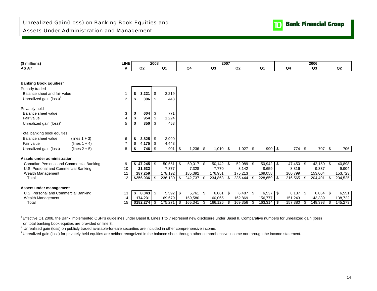| (\$ millions)                              | <b>LINE</b>    |      |                              | 2008           |                |                   |      |                | 2007 |                |      |                |      |         |     | 2006           |         |
|--------------------------------------------|----------------|------|------------------------------|----------------|----------------|-------------------|------|----------------|------|----------------|------|----------------|------|---------|-----|----------------|---------|
| AS AT                                      | #              |      | Q <sub>2</sub>               |                | Q <sub>1</sub> | Q4                |      | Q <sub>3</sub> |      | Q <sub>2</sub> |      | Q <sub>1</sub> |      | Q4      |     | Q <sub>3</sub> | Q2      |
|                                            |                |      |                              |                |                |                   |      |                |      |                |      |                |      |         |     |                |         |
|                                            |                |      |                              |                |                |                   |      |                |      |                |      |                |      |         |     |                |         |
| <b>Banking Book Equities</b>               |                |      |                              |                |                |                   |      |                |      |                |      |                |      |         |     |                |         |
| Publicly traded                            |                |      |                              |                |                |                   |      |                |      |                |      |                |      |         |     |                |         |
| Balance sheet and fair value               |                | \$   | 3,221                        |                | 3,219          |                   |      |                |      |                |      |                |      |         |     |                |         |
| Unrealized gain (loss) <sup>2</sup>        | 2              | \$   | 396                          | \$             | 448            |                   |      |                |      |                |      |                |      |         |     |                |         |
| Privately held                             |                |      |                              |                |                |                   |      |                |      |                |      |                |      |         |     |                |         |
| Balance sheet value                        | 3              |      | 604                          | \$             | 771            |                   |      |                |      |                |      |                |      |         |     |                |         |
| Fair value                                 |                |      | 954                          | \$             | 1,224          |                   |      |                |      |                |      |                |      |         |     |                |         |
| Unrealized gain (loss) <sup>3</sup>        | 5              |      | 350                          | l \$           | 453            |                   |      |                |      |                |      |                |      |         |     |                |         |
| Total banking book equities                |                |      |                              |                |                |                   |      |                |      |                |      |                |      |         |     |                |         |
| Balance sheet value<br>$(lines 1 + 3)$     | 6              | \$   | 3,825                        | $\blacksquare$ | 3,990          |                   |      |                |      |                |      |                |      |         |     |                |         |
| (lines $1 + 4$ )<br>Fair value             | $\overline{7}$ | \$   | 4,175                        | $\blacksquare$ | 4,443          |                   |      |                |      |                |      |                |      |         |     |                |         |
| Unrealized gain (loss)<br>(lines $2 + 5$ ) | 8              | \$   | 746                          | I \$           | 901            | \$<br>1,236       | -\$  | 1,010          | \$   | 1,027          | -\$  | 990 \$         |      | 774     | \$  | 707 \$         | 706     |
| Assets under administration                |                |      |                              |                |                |                   |      |                |      |                |      |                |      |         |     |                |         |
| Canadian Personal and Commercial Banking   | 9              |      | $\sqrt{47,245}$ \ $\sqrt{5}$ |                | 50,561         | \$<br>$50,017$ \$ |      | 50,142         | -\$  | 52,089         | - \$ | 50,942         | - \$ | 47,450  | \$  | 42,150 \$      | 40,898  |
| U.S. Personal and Commercial Banking       | 10             |      | 21,532                       |                | 7,377          | 7,328             |      | 7,770          |      | 8,142          |      | 8,659          |      | 8,316   |     | 9,337          | 9,904   |
| Wealth Management                          | 11             |      | 187,259                      |                | 178,192        | 185,392           |      | 176,951        |      | 175,213        |      | 169,058        |      | 160,799 |     | 153,004        | 153,723 |
| Total                                      | 12             |      | $$256,036$ \$                |                | 236,130 \$     | $242,737$ \$      |      | 234,863        | £.   | 235,444        | -96  | 228,659 \$     |      | 216,565 | -S  | 204,491        | 204,525 |
| Assets under management                    |                |      |                              |                |                |                   |      |                |      |                |      |                |      |         |     |                |         |
| U.S. Personal and Commercial Banking       | 13             | - \$ | $8,043$ \ $$$                |                | 5,592          | \$<br>5,761 \$    |      | 6,061          | - \$ | 6,487 \$       |      | $6,537$ \$     |      | 6,137   | -\$ | $6,054$ \$     | 6,551   |
| Wealth Management                          | 14             |      | 174,231                      |                | 169,679        | 159,580           |      | 160,065        |      | 162,869        |      | 156,777        |      | 151,243 |     | 143,339        | 138,722 |
| Total                                      | 15             |      | \$182,274                    | l \$           | 175,271        | \$<br>165,341     | - \$ | 166,126        | \$   | 169,356        | S    | $163,314$ \$   |      | 157,380 |     | 149,393        | 145,273 |

<sup>1</sup> Effective Q1 2008, the Bank implemented OSFI's guidelines under Basel II. Lines 1 to 7 represent new disclosure under Basel II. Comparative numbers for unrealized gain (loss) on total banking book equities are provided on line 8.

<sup>2</sup> Unrealized gain (loss) on publicly traded available-for-sale securities are included in other comprehensive income.

<sup>3</sup> Unrealized gain (loss) for privately held equities are neither recognized in the balance sheet through other comprehensive income nor through the income statement.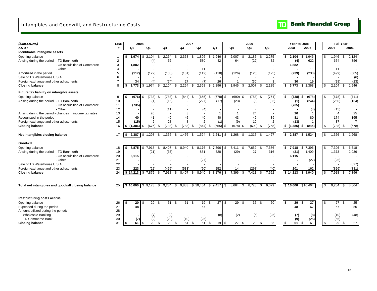## Intangibles and Goodwill, and Restructuring Costs

### $\overline{\mathbf{D}}$ **Bank Financial Group**

| (\$MILLIONS)                                            | <b>LINE</b>    | 2008                        |                           |               | 2007          |                |                   |               |          | 2006          |                |           | Year to Date           | <b>Full Year</b> |                         |
|---------------------------------------------------------|----------------|-----------------------------|---------------------------|---------------|---------------|----------------|-------------------|---------------|----------|---------------|----------------|-----------|------------------------|------------------|-------------------------|
| AS AT                                                   | #              | Q <sub>2</sub>              | Q <sub>1</sub>            | Q4            | Q3            | Q <sub>2</sub> | Q <sub>1</sub>    | Q4            |          | Q3            | Q <sub>2</sub> | 2008      | 2007                   | 2007             | 2006                    |
| Identifiable intangible assets                          |                |                             |                           |               |               |                |                   |               |          |               |                |           |                        |                  |                         |
| Opening balance                                         |                | 1.974                       | 2,104<br>\$<br><b>.ε</b>  | 2,264<br>\$   | 2,368         | 1,896<br>\$    | 1,946<br>\$       | 2,007<br>\$.  | \$       | 2,185<br>\$   | 2,275          | \$        | 1.946<br>2,104<br>\$   | \$<br>1,946      | \$<br>2,124             |
| Arising during the period - TD Banknorth                | $\overline{2}$ |                             | (4)                       | 52            |               | 580            | 42                |               | 64       | (22)          | 32             |           | (4)<br>622             | 674              | 356                     |
| - On acquisition of Commerce                            | 3              | 1,882                       |                           |               |               |                |                   |               |          |               |                |           | 1,882                  |                  |                         |
| - Other                                                 | 4              |                             |                           |               |               | 11             |                   |               |          |               |                |           | 11                     | 11               |                         |
| Amortized in the period                                 | 5              | (117)                       | (122)                     | (138)         | (131)         | (112)          | (118)             | (126)         |          | (126)         | (125)          |           | (230)<br>(239)         | (499)            | (505)                   |
| Sale of TD Waterhouse U.S.A.                            | 6              |                             |                           |               |               |                |                   |               |          |               |                |           |                        |                  | (6)                     |
| Foreign exchange and other adjustments                  | $\overline{7}$ | 34                          | (4)                       | (74)          | 27            | (7)            | 26                |               | 1        | (30)          | 3              |           | 30<br>19               | (28)             | (23)                    |
| <b>Closing balance</b>                                  | 8              | 3.773                       | .974<br>\$<br>\$          | 2,104<br>\$   | 2,264         | 2,368<br>\$    | \$<br>1,896       | 1,946<br>\$.  | \$       | 2,007<br>\$   | 2,185          | \$        | 3,773<br>\$2,368       | \$<br>2,104      | 1,946<br>\$             |
| Future tax liability on intangible assets               |                |                             |                           |               |               |                |                   |               |          |               |                |           |                        |                  |                         |
| Opening balance                                         | 9              | (676)                       | (738)<br>S.<br>- 35       | (788)<br>\$   | (844)<br>- \$ | (655)          | $(678)$ \$<br>-\$ | (690)         | \$       | (758)<br>\$   | (764)          | \$        | (738)<br>(678)<br>\$   | \$<br>$(678)$ \$ | (711)                   |
| Arising during the period - TD Banknorth                | 10             |                             | (1)                       | (16)          |               | (227)          | (17)              |               | (23)     | (8)           | (35)           |           | (1)<br>(244)           | (260)            | (164)                   |
| - On acquisition of Commerce                            | 11             | (735)                       |                           |               |               |                |                   |               |          |               |                |           | (735)                  |                  |                         |
| - Other                                                 | 12             |                             |                           | (11)          |               | (4)            |                   |               |          |               |                |           | (4)                    | (15)             |                         |
| Arising during the period - changes in income tax rates | 13             |                             | 20                        |               | 3             |                | $\overline{1}$    |               | 1        | 24            |                |           | 20<br>-1               | $\overline{4}$   | 25                      |
| Recognized in the period                                | 14             | 40                          | 41                        | 49            | 45            | 40             | 40                |               | 43       | 42            | 39             |           | 81<br>80               | 174              | 165                     |
| Foreign exchange and other adjustments                  | 15             | (15)                        | $\overline{2}$            | 28            | 8             | 2              | (1)               |               | (9)      | 10            | 2              |           | (13)<br>$\overline{1}$ | 37               | $\overline{7}$          |
| <b>Closing balance</b>                                  | 16             | (1, 386)<br>\$              | (676)<br>\$<br>\$         | (738)<br>\$   | (788)<br>-\$  | (844)          | (655)<br>\$       | (678)<br>-\$  | \$       | (690)<br>\$   | (758)          | \$(1,386) | (844)<br>\$            | \$<br>(738)      | (678)<br>$\mathfrak s$  |
|                                                         |                |                             |                           |               |               |                |                   |               |          |               |                |           |                        |                  |                         |
| Net intangibles closing balance                         | 17             | s.                          | $2,387$ \$ 1,298 \$       | 1,366<br>\$   | 1,476         | 1,524<br>\$    | \$<br>1,241       | 1,268<br>\$   | \$       | 1,317<br>\$   | 1,427          | s.        | 2,387<br>\$1,524       | \$<br>1,366      | \$<br>1,268             |
| Goodwill                                                |                |                             |                           |               |               |                |                   |               |          |               |                |           |                        |                  |                         |
| Opening balance                                         | 18             | 7,875                       | 7,918<br><b>\$</b><br>\$. | 8,407<br>\$   | 8.940         | 8,176<br>\$    | \$<br>7,396       | 7.411<br>S    | \$       | 7,652<br>S.   | 7,376          | \$        | 7,918<br>\$<br>7,396   | \$<br>7,396      | \$<br>6,518             |
| Arising during the period - TD Banknorth                | 19             |                             | (21)                      | (36)          |               | 881            | 528               |               | (29)     | 27            | 316            |           | (21)<br>1,409          | 1,373            | 2,036                   |
| - On acquisition of Commerce                            | 20             | 6.115                       |                           |               |               |                |                   |               |          |               |                |           | 6.115                  |                  |                         |
| - Other                                                 | 21             |                             |                           | 2             |               | (27)           |                   |               |          |               |                |           | (27)                   | (25)             |                         |
| Sale of TD Waterhouse U.S.A.                            | 22             |                             |                           |               |               |                |                   |               |          |               |                |           |                        |                  | (827)                   |
| Foreign exchange and other adjustments                  | 23             | 223                         | (22)                      | (455)         | (533)         | (90)           | 252               |               | 14       | (268)         | (40)           |           | 162<br>201             | (826)            | (331)                   |
| <b>Closing balance</b>                                  | 24             |                             | 7,875<br>\$               | 7,918<br>\$   | 8,407         | 8,940<br>\$    | 8,176<br>\$       | 7,396<br>\$   | \$       | 7,411<br>\$   | 7,652          | \$14,213  | \$8,940                | \$<br>7,918      | 7,396<br>\$             |
|                                                         |                |                             |                           |               |               |                |                   |               |          |               |                |           |                        |                  |                         |
| Total net intangibles and goodwill closing balance      | 25             |                             | $$16,600$ $$9,173$ $$$    | 9,284<br>- \$ | 9,883         | \$10,464       | \$9,417           | 8,664<br>l \$ | \$       | 8,728<br>- \$ | 9,079          | \$16,600  | \$10,464               | \$<br>9,284      | -\$<br>8,664            |
|                                                         |                |                             |                           |               |               |                |                   |               |          |               |                |           |                        |                  |                         |
|                                                         |                |                             |                           |               |               |                |                   |               |          |               |                |           |                        |                  |                         |
| <b>Restructuring costs accrual</b>                      |                |                             |                           |               |               |                |                   |               |          |               |                |           |                        |                  |                         |
| Opening balance                                         | 26             | 20                          | 29<br>\$<br>\$            | 51<br>\$      | 61<br>\$      | 19             | 27<br>\$          | \$            | 29<br>\$ | 35<br>- \$    | 60             | \$        | 29<br>27<br>\$         | \$<br>27         | \$<br>25                |
| Expensed during the period                              | 27             | 48                          |                           |               |               | 67             |                   |               |          |               |                |           | 48<br>67               | 67               | 50                      |
| Amount utilized during the period:                      | 28             |                             |                           |               |               |                |                   |               |          |               |                |           |                        |                  |                         |
| <b>Wholesale Banking</b>                                | 29             |                             | (7)                       | (2)           |               |                | (8)               |               | (2)      | (6)           | (25)           |           | (8)<br>(7)             | (10)             | (48)                    |
| TD Commerce Bank                                        | 30             | (7)                         | (2)                       | (20)          | (10)          | (25)           |                   |               |          |               |                |           | (9)<br>(25)            | (55)             |                         |
| <b>Closing balance</b>                                  | 31             | $\overline{61}$   \$<br>-\$ | $20 \quad$ \$             | 29S           | 51<br>- \$    | 61             | 19S<br>-\$        |               | 27S      | 29S           | 35             | \$        | 61<br>61 \$            | \$<br>29         | $\overline{27}$<br>- \$ |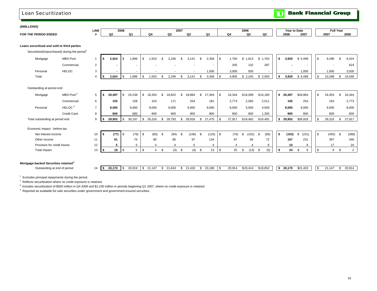## Loan Securitization

**TD** Bank Financial Group

#### *(\$MILLIONS)*

| (SMIIDOS)<br>טושו.                            |             |    |      |                |      |    |                 |                |        |        |      |         |
|-----------------------------------------------|-------------|----|------|----------------|------|----|-----------------|----------------|--------|--------|------|---------|
|                                               | <b>LINE</b> |    | 2008 | $- - -$<br>zuu |      |    | $- - -$<br>2006 |                | ′ear t | to Dat |      | ull Yea |
| <b>FOR THE</b><br><b>FNDED</b><br>חמות<br>DE. |             | ω, | ~    |                | UJ 1 | Q4 | r               | O <sub>2</sub> | 2008   | 200    | 2007 | 2006    |

#### **Loans securitized and sold to third parties**

Securitized/(repurchased) during the period<sup>1</sup>

| Mortgage | <b>MBS Pool</b> |  | 2,024 | l \$ | 1.896 | .553 | 2.246 | 3,141 | 2,358 | 1,700 | 1,613 | 1,763 | 3,920 | \$5,499 | <b>1 \$</b> | 9,298  | 6.424  |
|----------|-----------------|--|-------|------|-------|------|-------|-------|-------|-------|-------|-------|-------|---------|-------------|--------|--------|
|          | Commercial      |  |       |      |       |      |       |       |       | 205   | 132   | 287   |       |         |             |        | 624    |
| Personal | <b>HELOC</b>    |  |       |      |       |      |       |       | 1.000 | 3,000 | 500   |       |       | 000, ا  |             | 1,000  | 3,500  |
| Total    |                 |  | 2,024 |      | 1,896 | .553 | 2.246 | ,141  | 3,358 | 4,905 | 2,245 | 2,050 | 3,920 | \$6,499 | l \$        | 10,298 | 10,548 |

#### Outstanding at period end

| Mortgage                        | MBS Pool <sup>2</sup> |   | 20.497         | 20,238 | 18,353 | 18,822 | '8,864 | 17.494<br>.১ | 16,344 | \$16,099 | \$16,180 | 20.497 | \$18,864 | 18,353 | 16,344 |
|---------------------------------|-----------------------|---|----------------|--------|--------|--------|--------|--------------|--------|----------|----------|--------|----------|--------|--------|
|                                 | Commercial            |   | 155            | 159    | 163    | 171    | 254    | 181          | 2,773  | 2,583    | 2,511    | 155    | 254      | 163    | 2,773  |
| Personal                        | HELOC <sup>3</sup>    |   | 8.500          | 9,000  | 9,000  | 9,000  | 9,000  | 9,000        | 8,000  | 5,000    | 4,500    | 8,500  | 9,000    | 9,000  | 8,000  |
|                                 | Credit Card           |   | 800            | 800    | 800    | 800    | 800    | 800          | 800    | 800      | 1,300    | 800    | 800      | 800    | 800    |
| Total outstanding at period end |                       | 9 | 29,952<br>- 15 | 30,197 | 28,316 | 28,793 | 28,918 | 27,475       | 27,917 | \$24,482 | \$24,491 | 29,952 | \$28,918 | 28,316 | 27,917 |
| Economic impact - before-tax    |                       |   |                |        |        |        |        |              |        |          |          |        |          |        |        |

| Net interest income         | 10 <sup>1</sup> | (77)<br>'' | (76) | (80) | (94) | (106) | (125) | (76)                  | (102) | (85)    | (153) | (231) | (405) | (368) |
|-----------------------------|-----------------|------------|------|------|------|-------|-------|-----------------------|-------|---------|-------|-------|-------|-------|
| Other income                |                 | 91         | 76   | 80   | 86   | 97    | 134   | 97                    | 85    | 70<br>. | 167   | 231   | 397   | 346   |
| Provision for credit losses | 12              |            |      |      |      |       |       |                       |       |         | 10    |       |       | 24    |
| Total impact                | 13              | 10.        |      |      |      |       | 13    | <b><i><u></u></i></b> | (13)  | (5)     | 24    |       |       |       |

### **Mortgage-backed Securities retained<sup>4</sup>**

Outstanding at end of period **21,14 14** 

| 20,170 | 20.919 | 21 147<br>$\sim$ 1 | 21,643 | ה. | 21,433 | 23,186 | 20,914 | \$20,414 | \$18,852 | 20.170 | \$21.433 | - 35 | 147<br>ົາ | 20,914 |
|--------|--------|--------------------|--------|----|--------|--------|--------|----------|----------|--------|----------|------|-----------|--------|

 $1$  Excludes principal repayments during the period.

<sup>2</sup> Reflects securitization where no credit exposure is retained.

<sup>3</sup> Includes securitization of \$500 million in Q4 2006 and \$1,100 million in periods beginning Q1 2007, where no credit exposure is retained.

4 Reported as available-for-sale securities under government and government-insured securities.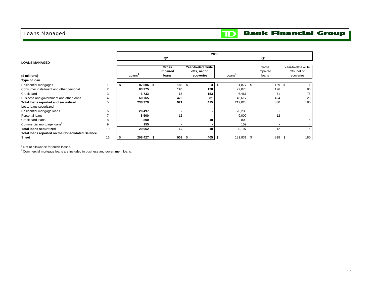## Loans Managed

### **Bank Financial Group**  $\mathbf{D}$

|                                                         |                |            |          |                    | 2008 |            |          |                    |
|---------------------------------------------------------|----------------|------------|----------|--------------------|------|------------|----------|--------------------|
|                                                         |                |            | Q2       |                    |      |            | Q1       |                    |
| <b>LOANS MANAGED</b>                                    |                |            |          |                    |      |            |          |                    |
|                                                         |                |            | Gross    | Year-to-date write |      |            | Gross    | Year-to-date write |
|                                                         |                |            | impaired | offs, net of       |      |            | impaired | offs, net of       |
| (\$ millions)                                           |                | Loans'     | loans    | recoveries         |      | Loans      | loans    | recoveries         |
| Type of loan                                            |                |            |          |                    |      |            |          |                    |
| Residential mortgages                                   |                | 87,606 \$  | 183S     | 3                  | \$   | 81,877 \$  | 159      | \$                 |
| Consumer installment and other personal                 | $\overline{2}$ | 83,275     | 195      | 178                |      | 77,073     | 176      | 86                 |
| Credit card                                             | 3              | 6,733      | 68       | 153                |      | 6,461      | 71       | 75                 |
| Business and government and other loans                 | 4              | 60,765     | 475      | 81                 |      | 46,617     | 424      | 23                 |
| Total loans reported and securitized                    | 5              | 238,379    | 921      | 415                |      | 212,028    | 830      | 185                |
| Less: Ioans securitized                                 |                |            |          |                    |      |            |          |                    |
| Residential mortgage loans                              | 6              | 20,497     |          |                    |      | 20,238     |          |                    |
| Personal loans                                          |                | 8,500      | 12       |                    |      | 9,000      | 12       |                    |
| Credit card loans                                       | 8              | 800        |          | 10                 |      | 800        | ٠        |                    |
| Commercial mortgage loans <sup>2</sup>                  | 9              | 155        |          |                    |      | 159        |          |                    |
| <b>Total loans securitized</b>                          | 10             | 29,952     | 12       | 10                 |      | 30,197     | 12       |                    |
| <b>Total loans reported on the Consolidated Balance</b> |                |            |          |                    |      |            |          |                    |
| <b>Sheet</b>                                            | 11             | 208,427 \$ | 909      | 405<br>- 55        | - \$ | 181,831 \$ | 818 \$   | 180                |

<sup>1</sup> Net of allowance for credit losses.

<sup>2</sup> Commercial mortgage loans are Included in business and government loans.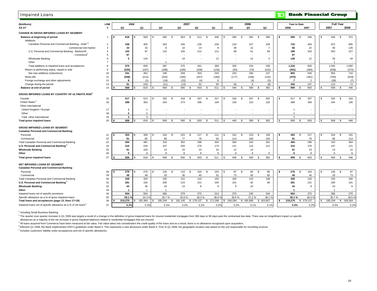| <b>Impaired Loans</b>                                                     |                |                         |      |                |     |              |      |              |              |              |              |            |              |              |                |              |      |                     | $\mathbf \mathbf D$ |                |                |            |     | <b>Bank Financial Group</b> |                |
|---------------------------------------------------------------------------|----------------|-------------------------|------|----------------|-----|--------------|------|--------------|--------------|--------------|--------------|------------|--------------|--------------|----------------|--------------|------|---------------------|---------------------|----------------|----------------|------------|-----|-----------------------------|----------------|
| (\$millions)                                                              | LINE           | 2008                    |      |                |     |              |      | 2007         |              |              |              |            |              |              |                | 2006         |      |                     |                     | Year to Date   |                |            |     | <b>Full Year</b>            |                |
| AS AT                                                                     | #              | Q2                      |      | Q1             |     | Q4           |      | Q3           |              | Q2           |              | Q1         |              | Q4           |                | Q3           |      | Q2                  |                     | 2008           | 2007           |            |     | 2007                        | 2006           |
| <b>CHANGE IN GROSS IMPAIRED LOANS BY SEGMENT</b>                          |                |                         |      |                |     |              |      |              |              |              |              |            |              |              |                |              |      |                     |                     |                |                |            |     |                             |                |
| Balance at beginning of period                                            | 1              | 818<br>l S              | - \$ | 569            | \$. | 590          | - \$ | 603          | -\$          | 511          | -S           | 446        | S            | 390          | \$             | 382          | \$   | 390                 |                     | 569            | \$             | 446        |     | 446                         | \$<br>372      |
| Additions                                                                 |                |                         |      |                |     |              |      |              |              |              |              |            |              |              |                |              |      |                     |                     |                |                |            |     |                             |                |
| Canadian Personal and Commercial Banking - retail <sup>1,2</sup>          | $\overline{2}$ | 338                     |      | 405            |     | 263          |      | 246          |              | 235          |              | 228        |              | 219          |                | 157          |      | 159                 |                     | 743            |                | 463        |     | 972                         | 695            |
| - commercial mid-market                                                   | 3              | 33                      |      | 33             |     | 8            |      | 10           |              | 14           |              | 8          |              | 39           |                | 12           |      | $\overline{7}$      |                     | 66             |                | 22         |     | 40                          | 126            |
| U.S. Personal and Commercial Banking - Banknorth                          | $\overline{4}$ | 102                     |      | 87             |     | 115          |      | 105          |              | 212          |              | 121        |              | 68           |                | 51           |      | 69                  |                     | 189            |                | 333        |     | 553                         | 227            |
| - Commerce <sup>3</sup>                                                   | 5              | 97                      |      |                |     |              |      |              |              |              |              |            |              |              |                |              |      |                     |                     | 97             |                |            |     |                             |                |
| Wholesale Banking                                                         | 6              | 5                       |      | 134            |     |              |      | 14           |              |              |              | 12         |              |              |                | 14           |      | 3                   |                     | 139            |                | 12         |     | 26                          | 34             |
| Other                                                                     | $\overline{7}$ |                         |      |                |     |              |      |              |              |              |              |            |              |              |                |              |      |                     |                     |                |                |            |     |                             |                |
| Total additions to impaired loans and acceptances                         | 8              | 575                     |      | 659            |     | 387          |      | 375          |              | 461          |              | 369        |              | 326          |                | 234          |      | 238                 |                     | 1,234          |                | 830        |     | 1,592                       | 1,082          |
| Return to performing status, repaid or sold                               | 9              | (234)                   |      | (197)          |     | (188)        |      | (166)        |              | (158)        |              | (126)      |              | (93)         |                | (74)         |      | (101)               |                     | (431)          |                | (284)      |     | (638)                       | (372)          |
| Net new additions (reductions)<br>Write-offs                              | 10<br>11       | 341                     |      | 462            |     | 199<br>(202) |      | 209<br>(200) |              | 303<br>(207) |              | 243        |              | 233<br>(177) |                | 160          |      | 137                 |                     | 803<br>(470)   |                | 546        |     | 954                         | 710            |
| Foreign exchange and other adjustments                                    | 12             | (258)<br>8              |      | (212)<br>(1)   |     | (18)         |      | (22)         |              | (4)          |              | (184)<br>6 |              |              |                | (148)<br>(4) |      | (142)<br>(3)        |                     | $\overline{7}$ |                | (391)<br>2 |     | (793)<br>(38)               | (629)<br>(7)   |
| Change during the period                                                  | 13             | 91                      |      | 249            |     | (21)         |      | (13)         |              | 92           |              | 65         |              | 56           |                | 8            |      | (8)                 |                     | 340            |                | 157        |     | 123                         | 74             |
| Balance at end of period                                                  | 14             | 909                     |      | 818            |     | 569          | -S   | 590          | \$           | 603          | -S           | 511        |              | 446          | -S             | 390          | S    | 382                 |                     | 909            | $\mathfrak{L}$ | 603        | \$. | 569                         | 446<br>\$      |
|                                                                           |                |                         |      |                |     |              |      |              |              |              |              |            |              |              |                |              |      |                     |                     |                |                |            |     |                             |                |
| <b>GROSS IMPAIRED LOANS BY COUNTRY OF ULTIMATE RISK</b>                   |                |                         |      |                |     |              |      |              |              |              |              |            |              |              |                |              |      |                     |                     |                |                |            |     |                             |                |
| Canada                                                                    | 15             | 517                     |      | 513            |     | 325          | -S   | 316          | - \$         | 307          | $\mathbf{s}$ | 317        | \$.          | 316          | $\mathfrak{S}$ | 267          | - \$ | 262                 |                     | 517            | - \$           | 307        |     | 325                         | \$<br>316      |
| United States <sup>3</sup>                                                | 16             | 389                     |      | 302            |     | 244          |      | 274          |              | 296          |              | 194        |              | 130          |                | 123          |      | 120                 |                     | 389            |                | 296        |     | 244                         | 130            |
| Other international                                                       | 17             | -1                      |      |                |     |              |      |              |              |              |              |            |              |              |                |              |      | ٠                   |                     | -1             |                |            |     |                             | ۰.             |
| United Kingdom / Europe<br>Other                                          | 18             | $\overline{2}$          |      | $\overline{2}$ |     |              |      |              |              |              |              |            |              |              |                |              |      |                     |                     | $\mathcal{P}$  |                |            |     |                             |                |
| Total other international                                                 | 19             | $\overline{\mathbf{3}}$ |      | $\mathbf{3}$   |     |              |      |              |              |              |              | ÷.         |              |              |                |              |      | ٠                   |                     | 3              |                |            |     |                             |                |
| <b>Total gross impaired loans</b>                                         | 20             | 909                     |      | 818            | \$  | 569          | \$   | 590          | \$           | 603          | -S           | 511        |              | 446          | -S             | 390          | \$   | 382                 |                     | 909            | \$             | 603        | £.  | 569                         | 446<br>\$      |
|                                                                           |                |                         |      |                |     |              |      |              |              |              |              |            |              |              |                |              |      |                     |                     |                |                |            |     |                             |                |
| <b>GROSS IMPAIRED LOANS BY SEGMENT</b>                                    |                |                         |      |                |     |              |      |              |              |              |              |            |              |              |                |              |      |                     |                     |                |                |            |     |                             |                |
| <b>Canadian Personal and Commercial Banking</b>                           |                |                         |      |                |     |              |      |              |              |              |              |            |              |              |                |              |      |                     |                     |                |                |            |     |                             |                |
| Personal                                                                  | 21             | 403<br>-5               | l \$ | 399            | \$  | 244          | - \$ | 225          | -\$          | 217          | -S           | 211        | \$           | 191          | \$             | 153          | - \$ | 158                 | -S.                 | 403            | \$             | 217        | £.  | 244                         | 191<br>\$      |
| Commercial                                                                | 22             | 91                      |      | 82             |     | 66           |      | 77           |              | 79           |              | 93         |              | 113          |                | 100          |      | 103                 |                     | 91             |                | 79         |     | 66                          | 113            |
| Total Canadian Personal and Commercial Banking                            | 23<br>24       | 494                     |      | 481<br>228     |     | 310<br>237   |      | 302<br>256   |              | 296<br>276   |              | 304<br>174 |              | 304<br>121   |                | 253          |      | 261                 |                     | 494<br>315     |                | 296<br>276 |     | 310<br>237                  | 304            |
| U.S. Personal and Commercial Banking <sup>3</sup>                         | 25             | 315<br>91               |      | 100            |     | 13           |      | 24           |              | 23           |              | 24         |              | 12           |                | 114<br>14    |      | 112<br>$\mathbf{r}$ |                     | 91             |                | 23         |     | 13                          | 121<br>12      |
| <b>Wholesale Banking</b><br>Other                                         | 26             | 9                       |      | 9              |     | 9            |      | 8            |              | 8            |              | 9          |              | 9            |                | 9            |      | 9                   |                     | 9              |                | 8          |     | 9                           | 9              |
| <b>Total gross impaired loans</b>                                         | 27             | 909                     |      | 818            |     | 569          | \$   | 590          | $\mathbb{S}$ | 603          | <b>S</b>     | 511        |              | 446          | <b>S</b>       | 390          | \$   | 382                 |                     | 909            | \$             | 603        | £.  | 569                         | 446<br>\$      |
|                                                                           |                |                         |      |                |     |              |      |              |              |              |              |            |              |              |                |              |      |                     |                     |                |                |            |     |                             |                |
| NET IMPAIRED LOANS BY SEGMENT                                             |                |                         |      |                |     |              |      |              |              |              |              |            |              |              |                |              |      |                     |                     |                |                |            |     |                             |                |
| <b>Canadian Personal and Commercial Banking</b>                           |                |                         |      |                |     |              |      |              |              |              |              |            |              |              |                |              |      |                     |                     |                |                |            | £.  |                             |                |
| Personal<br>Commercial                                                    | 28<br>29       | 279<br>ŝ.<br>49         | - \$ | 276<br>49      | Ŝ.  | 126<br>29    | \$   | 115<br>36    | -\$          | 103<br>40    | \$           | 103<br>52  | $\mathbf{s}$ | 87<br>73     | \$             | 83<br>60     | \$   | 88<br>60            |                     | 279<br>49      | \$             | 103<br>40  |     | 126<br>29                   | 87<br>\$<br>73 |
| Total Canadian Personal and Commercial Banking                            | 30             | 328                     |      | 325            |     | 155          |      | 151          |              | 143          |              | 155        |              | 160          |                | 143          |      | 148                 |                     | 328            |                | 143        |     | 155                         | 160            |
| U.S. Personal and Commercial Banking <sup>3</sup>                         | 31             | 281                     |      | 192            |     | 200          |      | 215          |              | 221          |              | 150        |              | 101          |                | 92           |      | 96                  |                     | 281            |                | 221        |     | 200                         | 101            |
| <b>Wholesale Banking</b>                                                  | 32             | 44                      |      | 36             |     | 10           |      | 13           |              | 8            |              | 9          |              | 9            |                | 10           |      |                     |                     | 44             |                | 8          |     | 10                          | 9              |
| Other                                                                     | 33             | $\mathbf{1}$            |      |                |     |              |      |              |              |              |              |            |              |              |                |              |      |                     |                     | 1              |                |            |     | $\overline{1}$              |                |
| Impaired loans net of specific provisions                                 | 34             | 654                     |      | 554            |     | 366          |      | 379          |              | 372          |              | 314        |              | 270          |                | 245          |      | 244                 |                     | 654            |                | 372        |     | 366                         | 270            |
| Specific allowance as a % of gross impaired loans                         | 35             | 28.1 <sup>o</sup>       |      | 32.3           |     | 35.7%        |      | 35.8%        |              | 38.3%        |              | 38.6 %     |              | 39.5%        |                | 37.2%        |      | 36.1 <sup>9</sup>   |                     | 28.1%          |                | 38.3 %     |     | 35.7%                       | 39.5%          |
| Total loans and acceptances (page 13, lines 17+18)                        | 36             | 219.275                 |      | 192,464        |     | 185,194      | S.   | 181,145      |              | \$179,137    |              | \$171,296  | \$           | 169,284      |                | \$165,990    |      | \$163,607           |                     | 219,275        | \$179,137      |            | \$. | 185,194                     | \$<br>169,284  |
| Impaired loans net of specific allowance as a % of net loans <sup>5</sup> | 37             | 0.3%                    |      | 0.39           |     | 0.2%         |      | 0.2%         |              | 0.2%         |              | 0.2%       |              | 0.2%         |                | 0.1%         |      | 0.1%                |                     | 0.3%           |                | 0.2%       |     | 0.2%                        | 0.2%           |

<sup>1</sup> Including Small Business Banking.

<sup>2</sup> The quarter-over-quarter increase in Q1 2008 was largely a result of a change in the definition of gross impaired loans for insured residential mortgages from 360 days to 90 days past the contractual due date. There wa

allowances as a majority of the net increase in gross impaired balances related to residential mortgages that are insured.

<sup>3</sup> All loans acquired from Commerce have been measured at fair value. Fair value takes into consideration the credit quality of the loans and as a result, there is no allowance recognized upon acquisition.

4 Effective Q1 2008, the Bank implemented OSFI's guidelines under Basel II. This represents a new disclosure under Basel II. Prior to Q1 2008, the geographic location was based on the unit responsible for recording revenue.

5 Includes customers' liability under acceptances and net of specific allowances.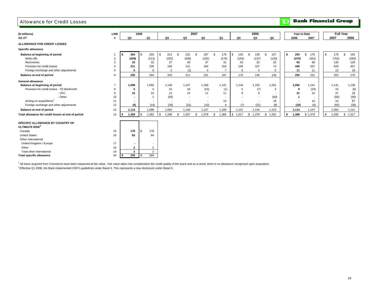### Allowance for Credit Losses

**TD** Bank Financial Group

| (\$ millions)                                                  | <b>LINE</b>    |                | 2008 |                |             |                          |                          | 2007 |                |                          |         | 2006                     |     |                |    |       | Year to Date             |            |       | <b>Full Year</b> |
|----------------------------------------------------------------|----------------|----------------|------|----------------|-------------|--------------------------|--------------------------|------|----------------|--------------------------|---------|--------------------------|-----|----------------|----|-------|--------------------------|------------|-------|------------------|
| AS AT                                                          |                | Q <sub>2</sub> | Q1   |                | Q4          |                          | Q3                       |      | Q <sub>2</sub> | Q1                       | Q4      | Q3                       |     | Q <sub>2</sub> |    | 2008  | 2007                     |            | 2007  | 2006             |
| ALLOWANCE FOR CREDIT LOSSES                                    |                |                |      |                |             |                          |                          |      |                |                          |         |                          |     |                |    |       |                          |            |       |                  |
| Specific allowance                                             |                |                |      |                |             |                          |                          |      |                |                          |         |                          |     |                |    |       |                          |            |       |                  |
| Balance at beginning of period                                 |                | 264            | S.   | 203            | \$<br>211   | $\mathbf{s}$             | 231                      | \$.  | 197            | -S<br>176                | 145     | 138<br>\$.               | \$. | 157            | s. | 203   | 176<br>\$.               | S.         | 176   | 155<br>\$.       |
| Write-offs                                                     | $\overline{2}$ | (258)          |      | (212)          | (202)       |                          | (200)                    |      | (191)          | (170)                    | (164)   | (137)                    |     | (130)          |    | (470) | (361)                    |            | (763) | (583)            |
| Recoveries                                                     | 3              | 33             |      | 32             |             | 27                       | 40                       |      | 37             | 31                       | 33      | 33                       |     | 32             |    | 65    | 68                       |            | 135   | 129              |
| Provision for credit losses                                    |                | 211            |      | 235            |             | 165                      | 141                      |      | 184            | 153                      | 156     | 107                      |     | 74             |    | 446   | 337                      |            | 643   | 457              |
| Foreign exchange and other adjustments                         | 5              | 5              |      | 6              |             | $\overline{2}$           | (1)                      |      |                | $\overline{7}$           | 6       | $\overline{4}$           |     | 5              |    | 11    | 11                       |            | 12    | 18               |
| Balance at end of period                                       | 6              | 255            |      | 264            |             | 203                      | 211                      |      | 231            | 197                      | 176     | 145                      |     | 138            |    | 255   | 231                      |            | 203   | 176              |
| <b>General allowance</b>                                       |                |                |      |                |             |                          |                          |      |                |                          |         |                          |     |                |    |       |                          |            |       |                  |
| Balance at beginning of period                                 | $\overline{7}$ | 1,098          |      | 1,092          | 1,146       |                          | 1.147                    |      | 1.169          | 1,141                    | 1,134   | 1,153                    |     | 1,201          |    | 1.092 | 1,141                    |            | 1.141 | 1,138            |
| Provision for credit losses - TD Banknorth                     | 8              | 5              |      | $\overline{4}$ |             | 21                       | 18                       |      | (23)           | (1)                      | 5       | (7)                      |     | $\overline{2}$ |    | 9     | (24)                     |            | 15    | (6)              |
| - VFC                                                          | 9              | 16             |      | 15             |             | 13                       | 12                       |      | 11             | 11                       | 9       | 9                        |     | $\sim$         |    | 31    | 22                       |            | 47    | 18               |
| - Other                                                        | 10             |                |      |                |             | (60)                     | $\overline{a}$           |      | $\sim$         | $\overline{\phantom{a}}$ |         | $\overline{\phantom{a}}$ |     | (60)           |    |       | $\overline{\phantom{a}}$ |            | (60)  | (60)             |
| Arising on acquisitions <sup>1</sup>                           | 11             | $\blacksquare$ |      |                |             | $\overline{\phantom{a}}$ | $\overline{\phantom{a}}$ |      | $\sim$         | 14                       |         | $\overline{\phantom{a}}$ |     | 18             |    |       | 14                       |            | 14    | 87               |
| Foreign exchange and other adjustments                         | 12             | (5)            |      | (14)           |             | (28)                     | (31)                     |      | (10)           | 4                        | (7)     | (21)                     |     | (8)            |    | (19)  | (6)                      |            | (65)  | (36)             |
| Balance at end of period                                       | 13             | 1,114          |      | 1,098          | 1,092       |                          | 1,146                    |      | 1,147          | 1,169                    | 1,141   | 1,134                    |     | 1,153          |    | 1,114 | 1,147                    |            | 1,092 | 1,141            |
| Total allowance for credit losses at end of period             | 14             | 1,369<br>IS.   | \$   | 1,362          | \$<br>1,295 | \$                       | 1,357                    | \$   | 1,378          | 1,366<br>\$              | \$1,317 | \$1,279                  |     | \$1,291        | \$ | 1,369 | \$1,378                  | $\sqrt{3}$ | 1,295 | \$<br>1,317      |
| SPECIFIC ALLOWANCE BY COUNTRY OF<br>ULTIMATE RISK <sup>2</sup> |                |                |      |                |             |                          |                          |      |                |                          |         |                          |     |                |    |       |                          |            |       |                  |
| Canada                                                         | 15             | 170            | \$   | 178            |             |                          |                          |      |                |                          |         |                          |     |                |    |       |                          |            |       |                  |
| <b>United States</b>                                           | 16             | 83             |      | 84             |             |                          |                          |      |                |                          |         |                          |     |                |    |       |                          |            |       |                  |
| Other international                                            |                |                |      |                |             |                          |                          |      |                |                          |         |                          |     |                |    |       |                          |            |       |                  |
| United Kingdom / Europe                                        | 17             |                |      |                |             |                          |                          |      |                |                          |         |                          |     |                |    |       |                          |            |       |                  |
| Other                                                          | 18             | $\mathbf{2}$   |      | $\overline{2}$ |             |                          |                          |      |                |                          |         |                          |     |                |    |       |                          |            |       |                  |
| Total other international                                      | 19             | $\overline{2}$ |      | 2              |             |                          |                          |      |                |                          |         |                          |     |                |    |       |                          |            |       |                  |
| <b>Total specific allowance</b>                                | 20             | 255            |      | 264            |             |                          |                          |      |                |                          |         |                          |     |                |    |       |                          |            |       |                  |

<sup>1</sup> All loans acquired from Commerce have been measured at fair value. Fair value takes into consideration the credit quality of the loans and as a result, there is no allowance recognized upon acquisition.

 $2$  Effective Q1 2008, the Bank implemented OSFI's guidelines under Basel II. This represents a new disclosure under Basel II.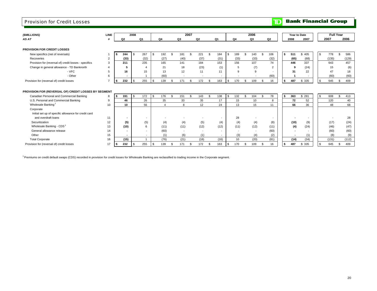### Provision for Credit Losses

## **TD** Bank Financial Group

| (\$MILLIONS)                                          | LINE           |      |                | 2008      |                          |                |                    |                          | 2007 |                |    |                          |                |                          |    | 2006                     |      |                |    | Year to Date |        |           | <b>Full Year</b> |           |
|-------------------------------------------------------|----------------|------|----------------|-----------|--------------------------|----------------|--------------------|--------------------------|------|----------------|----|--------------------------|----------------|--------------------------|----|--------------------------|------|----------------|----|--------------|--------|-----------|------------------|-----------|
| AS AT                                                 |                |      | Q <sub>2</sub> |           | Q1                       | Q4             |                    | Q3                       |      | Q2             |    | Q1                       |                | Q4                       |    | Q3                       |      | Q <sub>2</sub> |    | 2008         | 2007   | 2007      |                  | 2006      |
|                                                       |                |      |                |           |                          |                |                    |                          |      |                |    |                          |                |                          |    |                          |      |                |    |              |        |           |                  |           |
| <b>PROVISION FOR CREDIT LOSSES</b>                    |                |      |                |           |                          |                |                    |                          |      |                |    |                          |                |                          |    |                          |      |                |    |              |        |           |                  |           |
| New specifics (net of reversals)                      |                |      | 244            | \$        | 267                      | \$<br>192      | $\mathbf{\hat{S}}$ | 181                      | £.   | 221            | \$ | 184                      | $\mathfrak{L}$ | 189                      | \$ | 140                      | \$.  | 106            | \$ | 511          | \$405  | \$<br>778 |                  | 586<br>\$ |
| Recoveries                                            | $\overline{2}$ |      | (33)           |           | (32)                     | (27)           |                    | (40)                     |      | (37)           |    | (31)                     |                | (33)                     |    | (33)                     |      | (32)           |    | (65)         | (68)   | (135)     |                  | (129)     |
| Provision for (reversal of) credit losses - specifics | $\overline{3}$ |      | 211            |           | 235                      | 165            |                    | 141                      |      | 184            |    | 153                      |                | 156                      |    | 107                      |      | 74             |    | 446          | 337    | 643       |                  | 457       |
| Change in general allowance - TD Banknorth            |                |      | 5              |           | 4                        | 21             |                    | 18                       |      | (23)           |    | (1)                      |                | 5                        |    | (7)                      |      | $\overline{2}$ |    | 9            | (24)   | 15        |                  | (6)       |
| - VFC                                                 | $\overline{5}$ |      | 16             |           | 15                       | 13             |                    | 12                       |      | 11             |    | 11                       |                | 9                        |    | 9                        |      | $\sim$         |    | 31           | 22     | 47        |                  | 18        |
| - Other                                               | 6              |      |                |           |                          | (60)           |                    | $\overline{\phantom{a}}$ |      | $\overline{a}$ |    | $\overline{\phantom{a}}$ |                |                          |    |                          |      | (60)           |    |              |        | (60)      |                  | (60)      |
| Provision for (reversal of) credit losses             | $\overline{7}$ | ∣\$. | 232            |           | 255                      | \$<br>139      | -96                | 171                      |      | 172            | £. | 163                      |                | 170                      | S. | 109                      | - \$ | 16             |    | 487          | \$ 335 | \$<br>645 |                  | 409<br>S. |
|                                                       |                |      |                |           |                          |                |                    |                          |      |                |    |                          |                |                          |    |                          |      |                |    |              |        |           |                  |           |
| PROVISION FOR (REVERSAL OF) CREDIT LOSSES BY SEGMENT  |                |      |                |           |                          |                |                    |                          |      |                |    |                          |                |                          |    |                          |      |                |    |              |        |           |                  |           |
| Canadian Personal and Commercial Banking              | 8              | IS.  | 191            | <b>\$</b> | 172                      | \$<br>176      | - \$               | 151                      |      | 143            | \$ | 138                      | - \$           | 132                      | \$ | 104                      |      | 78             | S  | 363          | \$281  | \$<br>608 |                  | 413<br>\$ |
| U.S. Personal and Commercial Banking                  | 9              |      | 46             |           | 26                       | 35             |                    | 33                       |      | 35             |    | 17                       |                | 15                       |    | 10                       |      | 8              |    | 72           | 52     | 120       |                  | 40        |
| Wholesale Banking                                     | 10             |      | 10             |           | 56                       | $\overline{A}$ |                    | 8                        |      | 12             |    | 24                       |                | 13                       |    | 15                       |      | 11             |    | 66           | 36     | 48        |                  | 68        |
| Corporate                                             |                |      |                |           |                          |                |                    |                          |      |                |    |                          |                |                          |    |                          |      |                |    |              |        |           |                  |           |
| Initial set up of specific allowance for credit card  |                |      |                |           |                          |                |                    |                          |      |                |    |                          |                |                          |    |                          |      |                |    |              |        |           |                  |           |
| and overdraft loans                                   | 11             |      | $\blacksquare$ |           | $\overline{\phantom{a}}$ |                |                    | $\overline{\phantom{a}}$ |      |                |    | $\overline{\phantom{a}}$ |                | 28                       |    | $\overline{\phantom{a}}$ |      | $\sim$         |    |              |        |           |                  | 28        |
| Securitization                                        | 12             |      | (5)            |           | (5)                      | (4)            |                    | (4)                      |      | (5)            |    | (4)                      |                | (4)                      |    | (4)                      |      | (8)            |    | (10)         | (9)    | (17)      |                  | (24)      |
| Wholesale Banking - CDS <sup>1</sup>                  | 13             |      | (10)           |           | 6                        | (11)           |                    | (11)                     |      | (12)           |    | (12)                     |                | (11)                     |    | (12)                     |      | (11)           |    | (4)          | (24)   | (46)      |                  | (47)      |
| General allowance release                             | 14             |      |                |           |                          | (60)           |                    | $\overline{\phantom{a}}$ |      | $\overline{a}$ |    | $\overline{\phantom{a}}$ |                | $\overline{\phantom{a}}$ |    | $\overline{\phantom{a}}$ |      | (60)           |    |              |        | (60)      |                  | (60)      |
| Other                                                 | 15             |      |                |           | $\overline{\phantom{a}}$ | (1)            |                    | (6)                      |      | (1)            |    | $\sim$                   |                | (3)                      |    | (4)                      |      | (2)            |    |              | (1)    |           | (8)              | (9)       |
| <b>Total Corporate</b>                                | 16             |      | (15)           |           |                          | (76)           |                    | (21)                     |      | (18)           |    | (16)                     |                | 10                       |    | (20)                     |      | (81)           |    | (14)         | (34)   | (131)     |                  | (112)     |
| Provision for (reversal of) credit losses             | 17             | l \$ | 232            | -S        | 255                      | \$<br>139      |                    | 171                      |      | 172            | \$ | 163                      |                | 170                      |    | 109                      |      | 16             |    | 487          | \$335  | \$<br>645 |                  | 409<br>\$ |

1 Premiums on credit default swaps (CDS) recorded in provision for credit losses for Wholesale Banking are reclassified to trading income in the Corporate segment.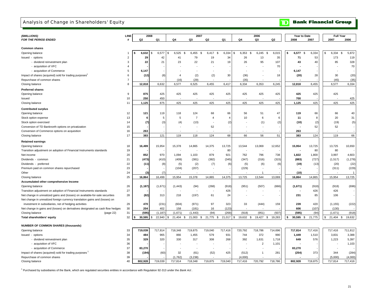## Analysis of Change in Shareholders' Equity

**TD** Bank Financial Group

| (\$MILLIONS)                                                                   | LINE           |                   | 2008         |                     | 2007           |                          |                |                               | 2006                    |                | Year to Date                  |         | <b>Full Year</b>        |                |
|--------------------------------------------------------------------------------|----------------|-------------------|--------------|---------------------|----------------|--------------------------|----------------|-------------------------------|-------------------------|----------------|-------------------------------|---------|-------------------------|----------------|
| FOR THE PERIOD ENDED                                                           | #              | Q <sub>2</sub>    | Q1           | Q4                  | Q3             | Q2                       | Q1             | Q4                            | Q3                      | Q <sub>2</sub> | 2008                          | 2007    | 2007                    | 2006           |
|                                                                                |                |                   |              |                     |                |                          |                |                               |                         |                |                               |         |                         |                |
| <b>Common shares</b>                                                           |                |                   |              |                     |                |                          |                |                               |                         |                |                               |         |                         |                |
| Opening balance                                                                |                | 6,632             | 6,577<br>\$. | 6,525<br>\$<br>- \$ | 6.455<br>\$    | 6.417<br>$\mathfrak{L}$  | 6,334          | \$<br>6,353<br>$\mathfrak{L}$ | 6,245<br>$\mathfrak{L}$ | 6,015          | 6,577<br>$\mathfrak{S}$<br>\$ | 6,334   | 6.334<br>$\mathfrak{L}$ | 5,872<br>-S    |
| Issued - options                                                               | $\overline{2}$ | 29                | 42           | 41                  | 79             | 19                       | 34             | 26                            | 13                      | 35             | 71                            | 53      | 173                     | 119            |
| - dividend reinvestment plan                                                   | 3              | 22                | 21           | 23                  | 22             | 21                       | 19             | 26                            | 95                      | 107            | 43                            | 40      | 85                      | 328            |
| - acquisition of VFC                                                           |                |                   |              |                     |                |                          |                |                               |                         | 70             |                               |         |                         | 70             |
| - acquisition of Commerce                                                      | 5              | 6,147             |              |                     |                |                          |                |                               |                         |                | 6,147                         |         |                         |                |
| Impact of shares (acquired) sold for trading purposes                          | 6              | (12)              | (8)          | $\overline{4}$      | (2)            | (2)                      | 30             | (36)                          |                         | 18             | (20)                          | 28      | 30                      | (20)           |
| Repurchase of common shares                                                    | $\overline{7}$ |                   |              | (16)                | (29)           |                          |                | (35)                          |                         |                |                               |         | (45)                    | (35)           |
| Closing balance                                                                | 8              | 12,818            | 6,632        | 6,577               | 6,525          | 6,455                    | 6,417          | 6,334                         | 6,353                   | 6,245          | 12,818                        | 6,455   | 6,577                   | 6,334          |
| <b>Preferred shares</b>                                                        |                |                   |              |                     |                |                          |                |                               |                         |                |                               |         |                         |                |
| Opening balance                                                                | 9              | 875               | 425          | 425                 | 425            | 425                      | 425            | 425                           | 425                     | 425            | 425                           | 425     | 425                     |                |
| Issued                                                                         | 10             | 250               | 450          |                     |                |                          |                |                               |                         |                | 700                           |         |                         | 425            |
| Closing balance                                                                | 11             | 1,125             | 875          | 425                 | 425            | 425                      | 425            | 425                           | 425                     | 425            | 1,125                         | 425     | 425                     | 425            |
|                                                                                |                |                   |              |                     |                |                          |                |                               |                         |                |                               |         |                         |                |
| <b>Contributed surplus</b>                                                     |                |                   |              |                     |                |                          |                |                               |                         |                |                               |         |                         |                |
| Opening balance                                                                | 12             | 121               | 119          | 118                 | 124            | 68                       | 66             | 56                            | 51                      | 47             | 119                           | 66      | 66                      | 40             |
| Stock option expense                                                           | 13             | 6                 | 5            | -5                  | $\overline{7}$ | $\overline{4}$           | $\overline{4}$ | 10                            | 6                       |                | 11                            | 8       | 20                      | 31             |
| Stock option exercised                                                         | 14             | (7)               | (3)          | (4)                 | (13)           | ٠.                       | (2)            |                               | (1)                     | (2)            | (10)                          | (2)     | (19)                    | (5)            |
| Conversion of TD Banknorth options on privatization                            | 15             |                   |              |                     |                | 52                       |                |                               |                         |                |                               | 52      | 52                      |                |
| Conversion of Commerce options on acquisition                                  | 16             | 263               |              |                     |                |                          |                |                               |                         |                | 263                           |         |                         |                |
| Closing balance                                                                | 17             | 383               | 121          | 119                 | 118            | 124                      | 68             | 66                            | 56                      | 51             | 383                           | 124     | 119                     | 66             |
| <b>Retained earnings</b>                                                       |                |                   |              |                     |                |                          |                |                               |                         |                |                               |         |                         |                |
| Opening balance                                                                | 18             | 16,499            | 15,954       | 15,378              | 14,865         | 14,375                   | 13,725         | 13,544                        | 13,069                  | 12,652         | 15,954                        | 13,725  | 13,725                  | 10,650         |
| Transition adjustment on adoption of Financial Instruments standards           | 19             |                   |              |                     |                | ÷,                       | 80             |                               |                         |                |                               | 80      | 80                      |                |
| Net income                                                                     | 20             | 852               | 970          | 1,094               | 1,103          | 879                      | 921            | 762                           | 796                     | 738            | 1,822                         | 1,800   | 3,997                   | 4,603          |
| Dividends - common                                                             | 21             | (473)             | (410)        | (409)               | (381)          | (382)                    | (345)          | (347)                         | (316)                   | (315)          | (883)                         | (727)   | (1, 517)                | (1, 278)       |
| Dividends - preferred                                                          | 22             | (11)              | (8)          | (5)                 | (2)            | (7)                      | (6)            | (5)                           | (6)                     | (6)            | (19)                          | (13)    | (20)                    | (22)           |
| Premium paid on common shares repurchased                                      | 23             |                   |              | (104)               | (207)          |                          |                | (229)                         |                         |                |                               |         | (311)                   | (229)          |
| Other                                                                          | 24             | $\left( 3\right)$ | (7)          |                     |                |                          |                |                               | -1                      |                | (10)                          |         |                         |                |
| Closing balance                                                                | 25             | 16,864            | 16,499       | 15,954              | 15,378         | 14,865                   | 14,375         | 13,725                        | 13,544                  | 13,069         | 16,864                        | 14,865  | 15,954                  | 13,725         |
| Accumulated other comprehensive Income                                         |                |                   |              |                     |                |                          |                |                               |                         |                |                               |         |                         |                |
| Opening balance                                                                | 26             | (1, 187)          | (1,671)      | (1, 443)            | (94)           | (268)                    | (918)          | (951)                         | (507)                   | (666)          | (1,671)                       | (918)   | (918)                   | (696)          |
| Transition adjustment on adoption of Financial Instruments standards           | 27             |                   |              |                     |                | $\overline{\phantom{a}}$ | 426            |                               |                         |                |                               | 426     | 426                     |                |
| Net change in unrealized gains and (losses) on available-for-sale securities   | 28             | (82)              | 313          | 218                 | (197)          | 61                       | 24             |                               |                         |                | 231                           | 85      | 106                     |                |
| Net change in unrealized foreign currency translation gains and (losses) on    |                |                   |              |                     |                |                          |                |                               |                         |                |                               |         |                         |                |
| investment in subsidiaries, net of hedging activities                          | 29             | 470               | (231)        | (604)               | (971)          | 97                       | 323            | 33                            | (444)                   | 159            | 239                           | 420     | (1, 155)                | (222)          |
| Net change in gains and (losses) on derivatives designated as cash flow hedges | 30             | 204               | 402          | 158                 | (181)          | 16                       | (123)          |                               |                         |                | 606                           | (107)   | (130)                   |                |
| Closing balance<br>(page 22)                                                   | 31             | (595)             | (1, 187)     | (1,671)             | (1, 443)       | (94)                     | (268)          | (918)                         | (951)                   | (507)          | (595)                         | (94)    | (1,671)                 | (918)          |
| Total shareholders' equity                                                     | 32             | 30,595            | 22,940       | 21,404<br>\$<br>\$  | 21,003<br>\$   | 21,775<br>\$             | 21,017         | \$<br>19,632 \$               | 19,427<br>\$            | 19,283         | 30,595<br>\$                  | 21,775  | 21,404<br>\$            | - \$<br>19,632 |
|                                                                                |                |                   |              |                     |                |                          |                |                               |                         |                |                               |         |                         |                |
| <b>NUMBER OF COMMON SHARES (thousands)</b>                                     |                |                   |              |                     |                |                          |                |                               |                         |                |                               |         |                         |                |
| Opening balance                                                                | 33             | 719,039           | 717,814      | 718,348             | 719,875        | 719,040                  | 717,416        | 720,792                       | 718,786                 | 714,696        | 717,814                       | 717,416 | 717,416                 | 711,812        |
| Issued - options                                                               | 34             | 484               | 965          | 866                 | 1,455          | 579                      | 931            | 744                           | 372                     | 990            | 1,449                         | 1,510   | 3,831                   | 3,388          |
| - dividend reinvestment plan                                                   | 35             | 329               | 320          | 330                 | 317            | 308                      | 268            | 392                           | 1,631                   | 1,718          | 649                           | 576     | 1,223                   | 5,397          |
| - acquisition of VFC                                                           | 36             |                   |              |                     |                |                          |                |                               | $\overline{2}$          | 1,101          |                               |         |                         | 1,103          |
| - acquisition of Commerce                                                      | 37             | 83,270            |              |                     |                | $\overline{\phantom{a}}$ |                |                               |                         |                | 83,270                        |         |                         |                |
| Impact of shares (acquired) sold for trading purposes                          | 38             | (194)             | (60)         | 32                  | (61)           | (52)                     | 425            | (512)                         | -1                      | 281            | (254)                         | 373     | 344                     | (284)          |
| Repurchase of common shares                                                    | 39             |                   |              | (1.762)             | (3,238)        |                          |                | (4.000)                       |                         |                |                               |         | (5,000)                 | (4,000)        |
| Closing balance                                                                | 40             | 802,928           | 719,039      | 717,814             | 718,348        | 719,875                  | 719,040        | 717,416                       | 720,792                 | 718,786        | 802,928                       | 719,875 | 717,814                 | 717,416        |

1 Purchased by subsidiaries of the Bank, which are regulated securities entities in accordance with Regulation 92-313 under the *Bank Act* .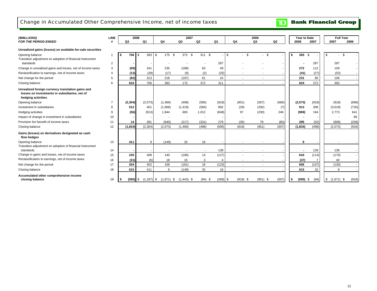## Change in Accumulated Other Comprehensive Income, net of income taxes

| (\$MILLIONS)                                                                                                             | <b>LINE</b> | 2008             |                  |                     | 2007           |                |            |                            | 2006                     |       | Year to Date     |       | <b>Full Year</b>         |        |
|--------------------------------------------------------------------------------------------------------------------------|-------------|------------------|------------------|---------------------|----------------|----------------|------------|----------------------------|--------------------------|-------|------------------|-------|--------------------------|--------|
| <b>FOR THE PERIOD ENDED</b>                                                                                              | #           | Q2               | Q1               | Q4                  | Q <sub>3</sub> | Q <sub>2</sub> | Q1         | Q4                         | Q3                       | Q2    | 2008             | 2007  | 2007                     | 2006   |
| Unrealized gains (losses) on available-for-sale securities                                                               |             |                  |                  |                     |                |                |            |                            |                          |       |                  |       |                          |        |
| Opening balance<br>Transition adjustment on adoption of financial instrument                                             | $\mathbf 1$ | 706<br>l S       | 393<br><b>\$</b> | 175<br>- \$<br>l \$ | 372 \$         | 311 \$         |            | \$<br>\$<br>$\blacksquare$ | $-$ \$                   |       | 393 \$<br>\$     |       | l \$                     | - \$   |
| standards                                                                                                                | 2           |                  |                  |                     |                |                | 287        |                            |                          |       |                  | 287   | 287                      |        |
| Change in unrealized gains and losses, net of income taxes                                                               | 3           | (69)             | 341              | 235                 | (188)          | 63             | 49         |                            |                          |       | 272              | 112   | 159                      |        |
| Reclassification to earnings, net of income taxes                                                                        |             | (13)             | (28)             | (17)                | (9)            | (2)            | (25)       | ٠                          |                          |       | (41)             | (27)  | (53)                     |        |
| Net change for the period                                                                                                | 5           | (82)             | 313              | 218                 | (197)          | 61             | 24         | $\overline{\phantom{a}}$   | $\overline{\phantom{a}}$ |       | 231              | 85    | 106                      | $\sim$ |
| Closing balance                                                                                                          | 6           | 624              | 706              | 393                 | 175            | 372            | 311        | $\sim$                     |                          |       | 624              | 372   | 393                      |        |
| Unrealized foreign currency translation gains and<br>losses on investments in subsidiaries, net of<br>hedging activities |             |                  |                  |                     |                |                |            |                            |                          |       |                  |       |                          |        |
| Opening balance                                                                                                          |             | (2, 304)         | (2,073)          | (1,469)             | (498)          | (595)          | (918)      | (951)                      | (507)                    | (666) | (2,073)          | (918) | (918)                    | (696)  |
| Investment in subsidiaries                                                                                               |             | 512              | 401              | (1,908)             | (1, 419)       | (584)          | 892        | (29)                       | (292)                    | (7)   | 913              | 308   | (3,019)                  | (720)  |
| Hedging activities                                                                                                       |             | (56)             | (913)            | 1,944               | 665            | 1,012          | (848)      | 97                         | (230)                    | 246   | (969)            | 164   | 2,773                    | 641    |
| Impact of change in investment in subsidiaries                                                                           | 10          |                  |                  |                     |                |                |            |                            |                          |       |                  |       |                          | 66     |
| Provision for/ benefit of income taxes                                                                                   | 11          | 14               | 281              | (640)               | (217)          | (331)          | 279        | (35)                       | 78                       | (80)  | 295              | (52)  | (909)                    | (209)  |
| Closing balance                                                                                                          | 12          | (1, 834)         | (2, 304)         | (2,073)             | (1, 469)       | (498)          | (595)      | (918)                      | (951)                    | (507) | (1,834)          | (498) | (2,073)                  | (918)  |
| Gains (losses) on derivatives designated as cash<br>flow hedges                                                          |             |                  |                  |                     |                |                |            |                            |                          |       |                  |       |                          |        |
| Opening balance                                                                                                          | 13          | 411              | 9                | (149)               | 32             | 16             |            |                            |                          |       | 9                |       |                          |        |
| Transition adjustment on adoption of financial instrument<br>standards                                                   | 14          |                  |                  |                     |                |                | 139        |                            |                          |       |                  | 139   | 139                      |        |
| Change in gains and losses, net of income taxes                                                                          | 15          | 235              | 408              | 140                 | (196)          | 13             | (127)      |                            |                          |       | 643              | (114) | (170)                    |        |
| Reclassification to earnings, net of income taxes                                                                        | 16          | (31)             | (6)              | 18                  | 15             | 3              |            |                            |                          |       | (37)             |       | 40                       |        |
| Net change for the period                                                                                                | 17          | 204              | 402              | 158                 | (181)          | 16             | (123)      | ٠                          |                          |       | 606              | (107) | (130)                    |        |
| Closing balance                                                                                                          | 18          | 615              | 411              | 9                   | (149)          | 32             | 16         | ٠                          |                          |       | 615              | 32    | 9                        |        |
| Accumulated other comprehensive income<br>closing balance                                                                | 19          | $(595)$ \$<br>s. | $(1, 187)$ \$    | $(1,671)$ \$        | $(1,443)$ \$   | $(94)$ \$      | $(268)$ \$ | $(918)$ \$                 | $(951)$ \$               | (507) | \$<br>$(595)$ \$ | (94)  | $\frac{1}{2}$ (1,671) \$ | (918)  |

**Bank Financial Group** 

 $\mathbf{D}$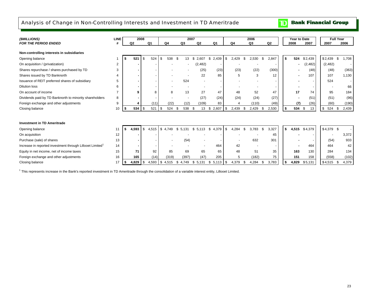## Analysis of Change in Non-Controlling Interests and Investment in TD Ameritrade

 $\mathbf{D}$ **Bank Financial Group** 

| (SMILLIONS)                                                           | <b>LINE</b>    |             | 2008       |            |            |     | 2007           |                          |                |      |                | 2006           |     |                | Year to Date   |          |             | <b>Full Year</b> |
|-----------------------------------------------------------------------|----------------|-------------|------------|------------|------------|-----|----------------|--------------------------|----------------|------|----------------|----------------|-----|----------------|----------------|----------|-------------|------------------|
| <b>FOR THE PERIOD ENDED</b>                                           |                | Q2          |            | Q1         | Q4         |     | Q <sub>3</sub> | Q <sub>2</sub>           | Q <sub>1</sub> |      | Q <sub>4</sub> | Q <sub>3</sub> |     | Q <sub>2</sub> | 2008           | 2007     | 2007        | 2006             |
|                                                                       |                |             |            |            |            |     |                |                          |                |      |                |                |     |                |                |          |             |                  |
| Non-controlling interests in subsidiaries                             |                |             |            |            |            |     |                |                          |                |      |                |                |     |                |                |          |             |                  |
| Opening balance                                                       |                |             | 521<br>\$  | 524        | 538<br>-S  |     | 13             | \$<br>2,607              | \$2,439        | \$   | 2,429<br>\$    | 2,530          | \$. | 2,847          | \$<br>524      | \$2,439  | \$2,439     | \$<br>1,708      |
| On acquisition / (privatization)                                      | $\overline{2}$ |             |            |            |            |     |                | (2, 482)                 |                |      |                |                |     |                |                | (2,482)  | (2, 482)    |                  |
| Shares repurchase / shares purchased by TD                            | 3              |             |            |            |            |     |                | (25)                     | (23)           |      | (23)           | (22)           |     | (300)          |                | (48)     | (48)        | (363)            |
| Shares issued by TD Banknorth                                         | $\overline{4}$ |             |            |            |            |     |                | 22                       | 85             |      | 5              | 3              |     | 12             | $\blacksquare$ | 107      | 107         | 1,130            |
| Issuance of REIT preferred shares of subsidiary                       | 5              |             |            |            |            |     | 524            | $\overline{\phantom{a}}$ |                |      |                |                |     |                |                |          | 524         |                  |
| <b>Dilution loss</b>                                                  | 6              |             |            |            |            |     |                |                          |                |      |                |                |     |                |                |          |             | 66               |
| On account of income                                                  | $\overline{7}$ |             | q          | 8          | 8          |     | 13             | 27                       | 47             |      | 48             | 52             |     | 47             | 17             | 74       | 95          | 184              |
| Dividends paid by TD Banknorth to minority shareholders               | 8              |             |            |            |            |     |                | (27)                     | (24)           |      | (24)           | (24)           |     | (27)           | $\blacksquare$ | (51)     | (51)        | (96)             |
| Foreign exchange and other adjustments                                | 9              |             |            | (11)       | (22)       |     | (12)           | (109)                    | 83             |      |                | (110)          |     | (49)           | (7)            | (26)     | (60)        | (190)            |
| Closing balance                                                       | 10             | S           | 534<br>\$  | 521        | 524<br>-\$ | \$  | 538            | -\$<br>13                | 2,607<br>\$    | \$   | 2,439<br>\$    | 2,429          |     | 2,530          | \$<br>534      | \$<br>13 | \$<br>524   | 2,439<br>-\$     |
|                                                                       |                |             |            |            |            |     |                |                          |                |      |                |                |     |                |                |          |             |                  |
| <b>Investment in TD Ameritrade</b>                                    |                |             |            |            |            |     |                |                          |                |      |                |                |     |                |                |          |             |                  |
|                                                                       |                |             |            |            |            |     |                |                          |                |      |                |                |     |                |                |          |             |                  |
| Opening balance                                                       | 11             | 4,593<br>\$ | \$         | 4,515      | \$4.749    | \$. | 5.131          | \$<br>5.113              | 4,379<br>\$    | - \$ | 4,284<br>\$    | 3.783          | -S  | 3,327          | \$<br>4,515    | \$4,379  | $$4,379$ \$ |                  |
| On acquisition                                                        | 12             |             |            |            |            |     |                |                          |                |      |                |                |     | 45             |                |          |             | 3,372            |
| Purchase (sale) of shares                                             | 13             |             |            |            |            |     | (54)           |                          |                |      |                | 632            |     | 301            |                |          | (54)        | 933              |
| Increase in reported investment through Lillooet Limited <sup>1</sup> | 14             |             |            |            |            |     |                |                          | 464            |      | 42             |                |     |                |                | 464      | 464         | 42               |
| Equity in net income, net of income taxes                             | 15             |             | 71         | 92         | 85         |     | 69             | 65                       | 65             |      | 48             | 51             |     | 35             | 163            | 130      | 284         | 134              |
| Foreign exchange and other adjustments                                | 16             |             | 165        | (14)       | (319)      |     | (397)          | (47)                     | 205            |      | 5              | (182)          |     | 75             | 151            | 158      | (558)       | (102)            |
| Closing balance                                                       | 17             | -5          | $4,829$ \$ | $4,593$ \$ | 4,515      | \$  | 4,749          | 5,131<br>\$              | \$<br>5,113    | l \$ | 4,379<br>\$    | 4,284          |     | 3,783          | \$<br>4,829    | \$5,131  | \$4,515     | 4,379<br>\$      |

<sup>1</sup> This represents increase in the Bank's reported investment in TD Ameritrade through the consolidation of a variable interest entity, Lillooet Limited.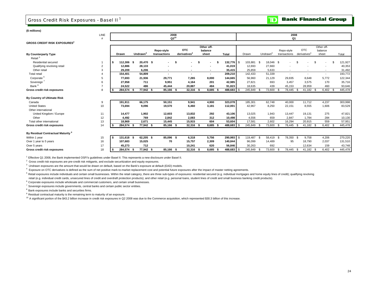## Gross Credit Risk Exposures - Basel II <sup>1</sup>



**(\$ millions)**

|                                                | LINE           |                  |                      | 2008<br>$Q2^{10}$        |                          |                          |              |                    |                      | 2008<br>Q <sub>1</sub> |                   |                |         |
|------------------------------------------------|----------------|------------------|----------------------|--------------------------|--------------------------|--------------------------|--------------|--------------------|----------------------|------------------------|-------------------|----------------|---------|
| <b>GROSS CREDIT RISK EXPOSURES<sup>2</sup></b> |                |                  |                      |                          |                          |                          |              |                    |                      |                        |                   |                |         |
|                                                |                |                  |                      |                          |                          | Other off-               |              |                    |                      |                        |                   | Other off-     |         |
|                                                |                |                  |                      | Repo-style               | <b>OTC</b>               | balance                  |              |                    |                      | Repo-style             | <b>OTC</b>        | balance        |         |
| <b>By Counterparty Type</b>                    |                | <b>Drawn</b>     | Undrawn <sup>3</sup> | transactions             | derivatives              | sheet                    | <b>Total</b> | Drawn              | Undrawn <sup>3</sup> | transactions           | derivatives       | sheet          | Total   |
| Retail <sup>5</sup>                            |                |                  |                      |                          |                          |                          |              |                    |                      |                        |                   |                |         |
| Residential secured                            |                | 112,306 \$<br>\$ | 20,470 \$            | $\sim$                   | \$<br>٠                  |                          | 132,776      | 103,881 \$<br>- \$ | 18,046 \$            | $\sim$                 | \$.<br>.ኖ         | .S             | 121,927 |
| Qualifying revolving retail                    | $\overline{2}$ | 12,886           | 28,133               | $\overline{\phantom{a}}$ |                          |                          | 41,019       | 12,693             | 27,660               |                        |                   |                | 40,353  |
| Other retail                                   | 3              | 29,209           | 6,206                | $\overline{\phantom{a}}$ | $\overline{\phantom{a}}$ | $\overline{\phantom{a}}$ | 35,415       | 25,859             | 5,633                |                        |                   | $\overline{a}$ | 31,492  |
| <b>Total retail</b>                            |                | 154,401          | 54,809               | $\overline{\phantom{a}}$ | $\blacksquare$           | $\sim$                   | 209,210      | 142,433            | 51,339               | $\sim$                 | $\sim$            | $\sim$         | 193,772 |
| Corporate                                      |                | 77,693           | 21,936               | 29,771                   | 7,265                    | 8,000                    | 144,665      | 56,960             | 21,129               | 29,835                 | 8,648             | 5.772          | 122,344 |
| Sovereign                                      | 6              | 27.958           | 711                  | 9,951                    | 4.164                    | 201                      | 42,985       | 27.821             | 693                  | 3,457                  | 3,575             | 170            | 35,716  |
| Bank <sup>8</sup>                              |                | 24,522           | 486                  | 45,444                   | 20,887                   | 484                      | 91,823       | 18,635             | 439                  | 45,153                 | 28,959            | 460            | 93,646  |
| Gross credit risk exposures                    | 8              | 284,574<br>£.    | 77,942 \$            | 85,166                   | 32,316                   | 8,685                    | 488,683      | 245,849            | 73,600               | 78,445<br>- 93         | 41,182 \$<br>- \$ | $6,402$ \$     | 445,478 |
| By Country of Ultimate Risk                    |                |                  |                      |                          |                          |                          |              |                    |                      |                        |                   |                |         |
| Canada                                         | 9              | 191,911          | 66,175               | 50,151                   | 9,941                    | 4,900                    | 323,078      | 185,301            | 62,748               | 40,000                 | 11,712            | 4,237          | 303,998 |
| <b>United States</b>                           | 10             | 73,694           | 9,096                | 19,570                   | 6,460                    | 3,181                    | 112,001      | 42,967             | 8,250                | 22,151                 | 8,555             | 1,606          | 83,529  |
| Other international                            |                |                  |                      |                          |                          |                          |              |                    |                      |                        |                   |                |         |
| United Kingdom / Europe                        | 11             | 14,477           | 1,902                | 12,603                   | 13,832                   | 292                      | 43,106       | 13,025             | 1,943                | 13,447                 | 19.131            | 275            | 47,821  |
| Other                                          | 12             | 4.492            | 769                  | 2.842                    | 2.083                    | 312                      | 10,498       | 4,556              | 659                  | 2.847                  | 1.784             | 284            | 10,130  |
| Total other international                      | 13             | 18,969           | 2,671                | 15,445                   | 15,915                   | 604                      | 53,604       | 17,581             | 2,602                | 16,294                 | 20,915            | 559            | 57,951  |
| Gross credit risk exposures                    | 14             | 284,574          | 77,942 \$            | 85,166                   | 32,316 \$                | 8.685                    | 488,683      | 245,849            | 73,600               | 78,445                 | 41,182 \$<br>- \$ | $6,402$ \$     | 445,478 |
| By Residual Contractual Maturity <sup>9</sup>  |                |                  |                      |                          |                          |                          |              |                    |                      |                        |                   |                |         |
| Within 1 year                                  | 15             | 131,618 \$<br>s  | 62,205 \$            | 85,096 \$                | 6,318                    | 5,756                    | 290,993      | 119,487<br>S.      | 58,419               | 78,350 \$<br>-96       | 9,758             | 4,206          | 270,220 |
| Over 1 year to 5 years                         | 16             | 107,683          | 15,025               | 70                       | 15,757                   | 2,309                    | 140,844      | 96,099             | 14,489               | 95                     | 18,790            | 2,037          | 131,510 |
| Over 5 years                                   | 17             | 45.273           | 712                  |                          | 10.241                   | 620                      | 56,846       | 30,263             | 692                  |                        | 12.634            | 159            | 43,748  |
| Gross credit risk exposures                    | 18             | 284,574<br>\$    | 77,942 \$            | 85,166 \$                | 32,316                   | 8,685<br>- 5             | 488,683      | 245,849            | 73,600               | 78,445<br>£.           | 41,182 \$<br>- \$ | 6,402          | 445,478 |

1 Effective Q1 2008, the Bank implemented OSFI's guidelines under Basel II. This represents a new disclosure under Basel II.

 $2$  Gross credit risk exposures are pre-credit risk mitigants, and exclude securitization and equity exposures.

<sup>3</sup> Undrawn exposures are the amount that would be drawn on default, based on the Bank's exposure at default (EAD) models.

4 Exposure on OTC derivatives is defined as the sum of net positive mark-to-market replacement cost and potential future exposures after the impact of master netting agreements.

<sup>5</sup> Retail exposures include individuals and certain small businesses. Within the retail category, there are three sub-types of exposures: residential secured (e.g. individual mortgages and home equity lines of credit); qu

retail (e.g. individual credit cards, unsecured lines of credit and overdraft protection products); and other retail (e.g. personal loans, student lines of credit and small business banking credit products).

 $6$  Corporate exposures include wholesale and commercial customers, and certain small businesses.

 $7$  Sovereign exposures include governments, central banks and certain public sector entities.

<sup>8</sup> Bank exposures include banks and securities firms.

<sup>9</sup> Residual contractual maturity is the remaining term to maturity of an exposure.

<sup>10</sup> A significant portion of the \$43.2 billion increase in credit risk exposures in Q2 2008 was due to the Commerce acquisition, which represented \$30.3 billion of this increase.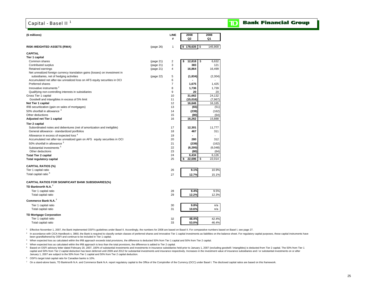## Capital - Basel II<sup>1</sup>

#### **Bank Financial Group** D

| (\$ millions)                                                               |           | LINE<br>#      | 2008<br>Q2   | 2008<br>Q1    |
|-----------------------------------------------------------------------------|-----------|----------------|--------------|---------------|
|                                                                             |           |                |              |               |
| <b>RISK-WEIGHTED ASSETS (RWA)</b>                                           | (page 26) | $\mathbf{1}$   | \$178,635    | \$<br>145,900 |
| <b>CAPITAL</b>                                                              |           |                |              |               |
| Tier 1 capital                                                              |           |                |              |               |
| Common shares                                                               | (page 21) | $\overline{c}$ | 12,818<br>\$ | \$<br>6,632   |
| Contributed surplus                                                         | (page 21) | 3              | 383          | 121           |
| Retained earnings                                                           | (page 21) | $\overline{4}$ | 16,864       | 16,499        |
| Net unrealized foreign currency translation gains (losses) on investment in |           |                |              |               |
| subsidiaries, net of hedging activities                                     | (page 22) | 5              | (1,834)      | (2, 304)      |
| Accumulated net after-tax unrealized loss on AFS equity securities in OCI   |           | 6              |              |               |
| Preferred shares                                                            |           | $\overline{7}$ | 1,675        | 1,425         |
| Innovative instruments <sup>2</sup>                                         |           | 8              | 1,736        | 1,739         |
| Qualifying non-controlling interests in subsidiaries                        |           | 9              | 20           | 20            |
| Gross Tier 1 capital                                                        |           | 10             | 31,662       | 24,132        |
| Goodwill and intangibles in excess of 5% limit                              |           | 11             | (15,016)     | (7, 967)      |
| Net Tier 1 capital                                                          |           | 12             | 16,646       | 16,165        |
| IRB securitization (gain on sales of mortgages)                             |           | 13             | (65)         | (51)          |
| 50% shortfall in allowance 3                                                |           | 14             | (239)        | (162)         |
| Other deductions                                                            |           | 15             | (80)         | (64)          |
| Adjusted net Tier 1 capital                                                 |           | 16             | 16,262       | 15,888        |
| Tier 2 capital                                                              |           |                |              |               |
| Subordinated notes and debentures (net of amortization and ineligible)      |           | 17             | 12,301       | 11.777        |
| General allowance - standardized portfolios                                 |           | 18             | 467          | 311           |
| Allowance in excess of expected loss <sup>4</sup>                           |           | 19             |              |               |
| Accumulated net after-tax unrealized gain on AFS equity securities in OCI   |           | 20             | 280          | 312           |
| 50% shortfall in allowance 3                                                |           | 21             | (239)        | (162)         |
| Substantial investments <sup>5</sup>                                        |           | 22             | (6, 295)     | (6,048)       |
| Other deductions                                                            |           | 23             | (80)         | (64)          |
| <b>Total Tier 2 capital</b>                                                 |           | 24             | 6,434        | 6,126         |
| <b>Total regulatory capital</b>                                             |           | 25             | 22,696<br>\$ | \$<br>22,014  |
| <b>CAPITAL RATIOS (%)</b>                                                   |           |                |              |               |
| Tier 1 capital ratio                                                        |           | 26             | 9.1%         | 10.9%         |
| Total capital ratio <sup>6</sup>                                            |           |                |              |               |
|                                                                             |           | 27             | 12.7%        | 15.1%         |
| CAPITAL RATIOS FOR SIGNIFICANT BANK SUBSIDIARIES(%)                         |           |                |              |               |
| TD Banknorth N.A. <sup>7</sup>                                              |           |                |              |               |
| Tier 1 capital ratio                                                        |           | 28             | 9.4%         | 9.5%          |
| Total capital ratio                                                         |           | 29             | 12.2%        | 12.3%         |
| Commerce Bank N.A. <sup>7</sup>                                             |           |                |              |               |
|                                                                             |           |                |              |               |
| Tier 1 capital ratio                                                        |           | 30             | 9.8%         | n/a           |
| Total capital ratio                                                         |           | 31             | 10.6%        | n/a           |
| <b>TD Mortgage Corporation</b>                                              |           |                |              |               |
| Tier 1 capital ratio                                                        |           | 32             | 48.4%        | 42.4%         |
| Total capital ratio                                                         |           | 33             | 53.0%        | 46.4%         |
|                                                                             |           |                |              |               |

1 Effective November 1, 2007, the Bank implemented OSFI's guidelines under Basel II. Accordingly, the numbers for 2008 are based on Basel II. For comparative numbers based on Basel I, see page 27.

<sup>2</sup> In accordance with CICA Handbook s. 3860, the Bank is required to classify certain classes of preferred shares and innovative Tier 1 capital investments as liabilities on the balance sheet. For regulatory capital purpo been grandfathered by OSFI and continue to be included in Tier 1 capital.

3 When expected loss as calculated within the IRB approach exceeds total provisions, the difference is deducted 50% from Tier 1 capital and 50% from Tier 2 capital.

4 When expected loss as calculated within the IRB approach is less than the total provisions, the difference is added to Tier 2 capital.

5 Based on OSFI advisory letter dated February 20, 2007, 100% of substantial investments and investments in insurance subsidiaries held prior to January 1, 2007 (excluding goodwill / intangibles) is deducted from Tier 2 ca capital and 50% from Tier 2 capital deduction has been deferred until 2009 and 2012 for substantial investments and insurance respectively. Increases in the investment value of insurance subsidiaries and / or substantial i January 1, 2007 are subject to the 50% from Tier 1 capital and 50% from Tier 2 capital deduction.

6 OSFI's target total capital ratio for Canadian banks is 10%.

 $^7$  On a stand-alone basis, TD Banknorth N.A. and Commerce Bank N.A. report regulatory capital to the Office of the Comptroller of the Currency (OCC) under Basel I. The disclosed capital ratios are based on this framewor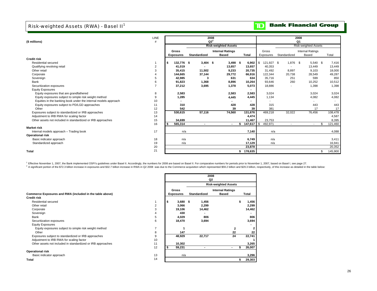# Risk-weighted Assets (RWA) - Basel II<sup>1</sup>

# **TD** Bank Financial Group

| (\$ millions)                                                   | <b>LINE</b><br># |                   |                | 2008<br>$Q2^2$              |              |                 |                          | 2008<br>Q1                  |               |
|-----------------------------------------------------------------|------------------|-------------------|----------------|-----------------------------|--------------|-----------------|--------------------------|-----------------------------|---------------|
|                                                                 |                  |                   |                | <b>Risk-weighted Assets</b> |              |                 |                          | <b>Risk-weighted Assets</b> |               |
|                                                                 |                  | <b>Gross</b>      |                | <b>Internal Ratings</b>     |              | Gross           |                          | <b>Internal Ratings</b>     |               |
|                                                                 |                  | <b>Exposures</b>  | Standardized   | <b>Based</b>                | <b>Total</b> | Exposures       | Standardized             | Based                       | Total         |
| <b>Credit risk</b>                                              |                  |                   |                |                             |              |                 |                          |                             |               |
| Residential secured                                             |                  | 132,776 \$<br>- 5 | $3,404$ \$     | $3,498$ \$                  | $6,902$   \$ | 121,927 \$      | 1,876 \$                 | 5,540 \$                    | 7,416         |
| Qualifying revolving retail                                     | 2                | 41.019            |                | 13,657                      | 13,657       | 40.353          |                          | 13.449                      | 13,449        |
| Other retail                                                    |                  | 35,415            | 11,502         | 9,233                       | 20,735       | 31,492          | 8,897                    | 9,103                       | 18,000        |
| Corporate                                                       |                  | 144,665           | 37,144         | 29,772                      | 66,916       | 122,344         | 20,738                   | 28,549                      | 49,287        |
| Sovereign                                                       | 5                | 42,985            | 3              | 631                         | 634          | 35,716          | 251                      | 599                         | 850           |
| Bank                                                            | 6                | 91,823            | 1.368          | 8,896                       | 10,264       | 93.646          | 260                      | 10,252                      | 10,512        |
| Securitization exposures                                        |                  | 37,212            | 3,695          | 1,378                       | 5,073        | 18,886          |                          | 1,398                       | 1,398         |
| <b>Equity Exposures</b>                                         |                  |                   |                |                             |              |                 |                          |                             |               |
| Equity exposures that are grandfathered                         | 8                | 2,583             |                | 2,583                       | 2,583        | 3,024           |                          | 3,024                       | 3,024         |
| Equity exposures subject to simple risk weight method           | 9                | 1,285             |                | 4,445                       | 4,445        | 1,134           |                          | 4,082                       | 4,082         |
| Equities in the banking book under the internal models approach | 10               |                   |                |                             |              |                 |                          |                             |               |
| Equity exposures subject to PD/LGD approaches                   | 11               | 310               |                | 428                         | 428          | 315             |                          | 443                         | 443           |
| Other                                                           | 12               | 542               |                | 39                          | 39           | 381             |                          | 17                          | 17            |
| Exposures subject to standardized or IRB approaches             | 13               | 530,615           | 57,116         | 74,560                      | 131,676      | 469,218         | 32,022                   | 76,456                      | 108,478       |
| Adjustment to IRB RWA for scaling factor                        | 14               |                   |                |                             | 4,474        |                 |                          |                             | 4,587         |
| Other assets not included in standardized or IRB approaches     | 15               | 34,699            |                |                             | 11,467       | 23,753          |                          |                             | 8,395         |
|                                                                 | 16               | 565,314           | $\blacksquare$ | $\blacksquare$              | 147,617      | l \$<br>492,971 | $\overline{\phantom{a}}$ | $\overline{\phantom{a}}$    | 121,460<br>\$ |
| <b>Market risk</b>                                              |                  |                   |                |                             |              |                 |                          |                             |               |
| Internal models approach - Trading book                         | 17               | n/a               |                |                             | 7,140        | n/a             |                          |                             | 4,088         |
| <b>Operational risk</b>                                         |                  |                   |                |                             |              |                 |                          |                             |               |
| Basic indicator approach                                        | 18               | n/a               |                |                             | 6,749        | n/a             |                          |                             | 3,411         |
| Standardized approach                                           | 19               | n/a               |                |                             | 17,129       | n/a             |                          |                             | 16,941        |
|                                                                 | 20               |                   |                |                             | 23,878       |                 |                          |                             | 20,352        |
| <b>Total</b>                                                    | 21               |                   |                |                             | \$178,635    |                 |                          |                             | 145,900<br>\$ |

<sup>1</sup> Effective November 1, 2007, the Bank implemented OSFI's guidelines under Basel II. Accordingly, the numbers for 2008 are based on Basel II. For comparative numbers for periods prior to November 1, 2007, based on Basel

<sup>2</sup> A significant portion of the \$72.3 billion increase in exposures and \$32.7 billion increase in RWA in Q2 2008 was due to the Commerce acquisition which represented \$59.2 billion and \$29.3 billion, respectively, of this

|                                                             |    |                  |            |                     | <b>KISK-Weighted Assets</b> |        |
|-------------------------------------------------------------|----|------------------|------------|---------------------|-----------------------------|--------|
|                                                             |    | <b>Gross</b>     |            |                     | <b>Internal Ratings</b>     |        |
| Commerce Exposures and RWA (included in the table above)    |    | <b>Exposures</b> |            | <b>Standardized</b> | Based                       | Total  |
| <b>Credit risk</b>                                          |    |                  |            |                     |                             |        |
| Residential secured                                         |    | s                | $3,680$ \$ | 1,456               |                             | 1,456  |
| Other retail                                                | 2  |                  | 3,066      | 2,299               |                             | 2,299  |
| Corporate                                                   | 3  |                  | 19,106     | 14,462              |                             | 14,462 |
| Sovereign                                                   | 4  |                  | 430        |                     |                             |        |
| Bank                                                        | 5  |                  | 4,029      | 806                 |                             | 806    |
| Securitization exposures                                    | 6  |                  | 18,470     | 3,694               |                             | 3,694  |
| <b>Equity Exposures</b>                                     |    |                  |            |                     |                             |        |
| Equity exposures subject to simple risk weight method       |    |                  |            |                     | 2                           |        |
| Other                                                       | 8  |                  | 147        |                     | 22                          | 22     |
| Exposures subject to standardized or IRB approaches         | 9  |                  | 48,929     | 22,717              | 24                          | 22,741 |
| Adjustment to IRB RWA for scaling factor                    | 10 |                  |            |                     |                             |        |
| Other assets not included in standardized or IRB approaches | 11 |                  | 10,302     |                     |                             | 3,265  |
|                                                             | 12 |                  | 59,231     |                     | ۰                           | 26,007 |
| <b>Operational risk</b>                                     |    |                  |            |                     |                             |        |
| Basic indicator approach                                    | 13 |                  | n/a        |                     |                             | 3,296  |
| Total                                                       | 14 |                  |            |                     |                             | 29,303 |

|                                                             |                |                  |                     | Q2                          |    |              |
|-------------------------------------------------------------|----------------|------------------|---------------------|-----------------------------|----|--------------|
|                                                             |                |                  |                     | <b>Risk-weighted Assets</b> |    |              |
|                                                             |                | Gross            |                     | <b>Internal Ratings</b>     |    |              |
| merce Exposures and RWA (included in the table above)       |                | <b>Exposures</b> | <b>Standardized</b> | <b>Based</b>                |    | Total        |
| lit risk                                                    |                |                  |                     |                             |    |              |
| Residential secured                                         |                | $3,680$ \$       | 1,456               |                             |    | 1,456        |
| Other retail                                                | $\overline{2}$ | 3,066            | 2,299               |                             |    | 2,299        |
| Corporate                                                   | 3              | 19,106           | 14,462              |                             |    | 14,462       |
| Sovereign                                                   | 4              | 430              |                     |                             |    |              |
| 3ank                                                        | 5              | 4,029            | 806                 |                             |    | 806          |
| Securitization exposures                                    | 6              | 18,470           | 3,694               |                             |    | 3,694        |
| Equity Exposures                                            |                |                  |                     |                             |    |              |
| Equity exposures subject to simple risk weight method       | 7              |                  |                     |                             | 2  | $\mathbf{2}$ |
| Other                                                       | 8              | 147              |                     |                             | 22 | 22           |
| Exposures subject to standardized or IRB approaches         | 9              | 48,929           | 22,717              |                             | 24 | 22,741       |
| Adjustment to IRB RWA for scaling factor                    | 10             |                  |                     |                             |    |              |
| Other assets not included in standardized or IRB approaches | 11             | 10,302           |                     |                             |    | 3,265        |
|                                                             | 12             | 59,231           |                     |                             | \$ | 26,007       |
| rational risk                                               |                |                  |                     |                             |    |              |
| Basic indicator approach                                    | 13             | n/a              |                     |                             |    | 3,296        |
|                                                             | 14             |                  |                     |                             | S  | 29,303       |
|                                                             |                |                  |                     |                             |    |              |

**2008**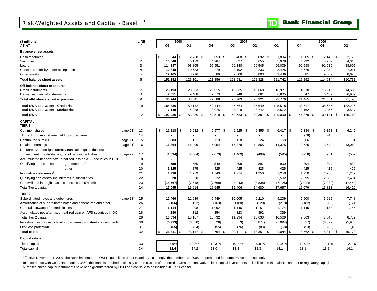| (\$ millions)                                                                                                               |           | LINE                |     |                  | 2008 |                 |                          |      | 2007                     |                 |         |                |    |                 | 2006             |                |
|-----------------------------------------------------------------------------------------------------------------------------|-----------|---------------------|-----|------------------|------|-----------------|--------------------------|------|--------------------------|-----------------|---------|----------------|----|-----------------|------------------|----------------|
| AS AT                                                                                                                       |           | #                   |     | Q2               |      | Q1              | Q4                       |      | Q3                       | Q2              | Q1      |                |    | Q4              | Q3               | Q2             |
| <b>Balance sheet assets</b>                                                                                                 |           |                     |     |                  |      |                 |                          |      |                          |                 |         |                |    |                 |                  |                |
| Cash resources                                                                                                              |           | -1                  | \$  |                  |      | $2,768$ \$      | $3,053$ \$               |      | $2,408$ \$               | $2,092$ \$      |         | 1,894          | \$ | $1,905$ \$      | $2,145$ \$       | 2,176          |
| Securities                                                                                                                  |           | $\overline{2}$      |     | 10,048           |      | 5,179           | 4,984                    |      | 5,027                    | 5,655           |         | 5,978          |    | 4,792           | 3,952            | 4,316          |
| Loans                                                                                                                       |           | 3                   |     | 114,837          |      | 98,805          | 95,951                   |      | 96,348                   | 96,545          |         | 96,009         |    | 92,998          | 91,629           | 88,605         |
| Customers' liability under acceptances<br>Other assets                                                                      |           | $\overline{4}$<br>5 |     | 10,848<br>12,165 |      | 10,633<br>8,716 | 9,279<br>8,589           |      | 9,192<br>9,006           | 9,233<br>8,803  |         | 8,425<br>9,436 |    | 8,676<br>8,881  | 7,239<br>9,069   | 7,011<br>8,623 |
| Total balance sheet assets                                                                                                  |           | 6                   |     | 151,142          |      | 126,101         | 121,856                  |      | 121,981                  | 122,328         |         | 121,742        |    | 117,252         | 114,034          | 110,731        |
| Off-balance sheet exposures                                                                                                 |           |                     |     |                  |      |                 |                          |      |                          |                 |         |                |    |                 |                  |                |
| Credit instruments                                                                                                          |           |                     |     | 26,193           |      | 23,633          | 20,015                   |      | 18,835                   | 16,660          |         | 16,971         |    | 14,818          | 15,212           | 14,536         |
| Derivative financial instruments                                                                                            |           | 8                   |     | 7,551            |      | 9,408           | 7,573                    |      | 6,948                    | 6,661           |         | 6,805          |    | 6,647           | 6,439            | 6,959          |
| Total off-balance sheet exposures                                                                                           |           | 9                   |     | 33,744           |      | 33,041          | 27,588                   |      | 25,783                   | 23,321          |         | 23,776         |    | 21,465          | 21,651           | 21,495         |
| Total RWA equivalent - Credit risk                                                                                          |           | 10                  |     | 184,886          |      | 159,142         | 149,444                  |      | 147,764                  | 145,649         |         | 145,518        |    | 138,717         | 135,685          | 132,226        |
| Total RWA equivalent - Market risk                                                                                          |           | 11                  |     | 7,140            |      | 4,088           | 3,075                    |      | 3,019                    | 3,742           |         | 3,572          |    | 3,162           | 3,456            | 3,537          |
| <b>Total RWA</b>                                                                                                            |           | 12                  | \$. | 192,026          | \$   | 163,230         | \$<br>152,519            | - \$ | 150,783<br>\$            | 149,391<br>\$   | 149,090 |                | S  | 141,879         | \$<br>139,141 \$ | 135,763        |
| <b>CAPITAL</b>                                                                                                              |           |                     |     |                  |      |                 |                          |      |                          |                 |         |                |    |                 |                  |                |
| TIER <sub>1</sub>                                                                                                           |           |                     |     |                  |      |                 |                          |      |                          |                 |         |                |    |                 |                  |                |
| Common shares                                                                                                               | (page 21) | 13                  | \$  | $12,818$ \$      |      | $6,632$ \$      | 6,577 \$                 |      | 6,525 \$                 | $6,455$ \$      |         | $6,417$ \$     |    | 6,334 \$        | $6,353$ \$       | 6,245          |
| TD Bank common shares held by subsidiaries                                                                                  |           | 14                  |     |                  |      |                 | $\overline{\phantom{a}}$ |      |                          | $\blacksquare$  |         |                |    | (78)            | (45)             | (30)           |
| Contributed surplus                                                                                                         | (page 21) | 15                  |     | 383              |      | 121             | 119                      |      | 118                      | 124             |         | 68             |    | 66              | 56               | 51             |
| Retained earnings                                                                                                           | (page 21) | 16                  |     | 16,864           |      | 16,499          | 15,954                   |      | 15,378                   | 14,865          |         | 14,375         |    | 13,725          | 13,544           | 13,069         |
| Net unrealized foreign currency translation gains (losses) on                                                               |           |                     |     |                  |      |                 |                          |      |                          |                 |         |                |    |                 |                  |                |
| investment in subsidiaries, net of hedging activities<br>Accumulated net after tax unrealized loss on AFS securities in OCI | (page 22) | 17<br>18            |     | (1,834)          |      | (2,304)         | (2,073)                  |      | (1,469)                  | (498)<br>$\sim$ |         | (595)          |    | (918)<br>$\sim$ | (951)            | (507)          |
| Qualifying preferred shares - grandfathered                                                                                 |           | 19                  |     | 550              |      | 550             | 549                      |      | 898                      | 897             |         | 900            |    | 894             | 894              | 889            |
| - other                                                                                                                     |           | 20                  |     | 1,125            |      | 875             | 425                      |      | 425                      | 425             |         | 425            |    | 425             | 425              | 425            |
| Innovative instruments <sup>2</sup>                                                                                         |           | 21                  |     | 1,736            |      | 1,739           | 1,740                    |      | 1,774                    | 1,250           |         | 1,250          |    | 1,250           | 1,250            | 1,247          |
| Qualifying non-controlling interests in subsidiaries                                                                        |           | 22                  |     | 20               |      | 20              | 22                       |      | $\overline{\phantom{a}}$ | $\mathbf{r}$    |         | 2,582          |    | 2,395           | 2,386            | 2,484          |
| Goodwill and intangible assets in excess of 5% limit                                                                        |           | 23                  |     | (14, 567)        |      | (7, 518)        | (7,668)                  |      | (8, 243)                 | (8,838)         |         | (7, 725)       |    | (7,014)         | (7,089)          | (7, 444)       |
| Total Tier 1 capital                                                                                                        |           | 24                  |     | 17,095           |      | 16,614          | 15,645                   |      | 15,406                   | 14,680          |         | 17,697         |    | 17,079          | 16,823           | 16,429         |
| TIER 2                                                                                                                      |           |                     |     |                  |      |                 |                          |      |                          |                 |         |                |    |                 |                  |                |
| Subordinated notes and debentures                                                                                           | (page 13) | 25                  |     | 12,466           |      | 11,939          | 9,449                    |      | 10,005                   | 9,210           |         | 9,209          |    | 6,900           | 6,915            | 7,748          |
| Amortization of subordinated notes and debentures and other                                                                 |           | 26                  |     | (166)            |      | (162)           | (163)                    |      | (180)                    | (120)           |         | (213)          |    | (182)           | (205)            | (171)          |
| General allowance for credit losses                                                                                         |           | 27                  |     | 1,114            |      | 1,098           | 1,092                    |      | 1,146                    | 1,151           |         | 1,174          |    | 1,145           | 1,138            | 1,155          |
| Accumulated net after tax unrealized gain on AFS securities in OCI                                                          |           | 28                  |     | 280              |      | 312             | 354                      |      | 323                      | 392             |         | 339            |    |                 |                  |                |
| <b>Total Tier 2 capital</b>                                                                                                 |           | 29                  |     | 13,694           |      | 13,187          | 10,732                   |      | 11,294                   | 10,633          |         | 10,509         |    | 7,863           | 7,848            | 8,732          |
| Investment in unconsolidated subsidiaries / substantial investments                                                         |           | 30                  |     | (6, 913)         |      | (6,630)         | (6, 528)                 |      | (6, 513)                 | (6, 874)        |         | (7,094)        |    | (6, 327)        | (6, 327)         | (5,945)        |
| First loss protection                                                                                                       |           | 31                  |     | (65)             |      | (54)            | (55)                     |      | (76)                     | (88)            |         | (68)           |    | (53)            | (32)             | (43)           |
| <b>Total capital</b>                                                                                                        |           | 32                  |     | 23,811           | \$   | 23,117          | \$<br>19,794             | - \$ | 20,111 \$                | 18,351<br>\$    |         | 21,044         |    | 18,562 \$       | 18,312 \$        | 19,173         |
| <b>Capital ratios</b>                                                                                                       |           |                     |     |                  |      |                 |                          |      |                          |                 |         |                |    |                 |                  |                |
| Tier 1 capital                                                                                                              |           | 33                  |     | 8.9%             |      | 10.2%           | 10.3%                    |      | 10.2%                    | 9.8%            |         | 11.9%          |    | 12.0%           | 12.1%            | 12.1 %         |
| Total capital                                                                                                               |           | 34                  |     | 12.4             |      | 14.2            | 13.0                     |      | 13.3                     | 12.3            | 14.1    |                |    | 13.1            | 13.2             | 14.1           |

<sup>1</sup> Effective November 1, 2007, the Bank implemented OSFI's guidelines under Basel II. Accordingly, the numbers for 2008 are presented for comparative purposes only.

 $2$  In accordance with CICA Handbook s. 3860, the Bank is required to classify certain classes of preferred shares and innovative Tier 1 capital investments as liabilities on the balance sheet. For regulatory capital purposes, these capital instruments have been grandfathered by OSFI and continue to be included in Tier 1 capital.